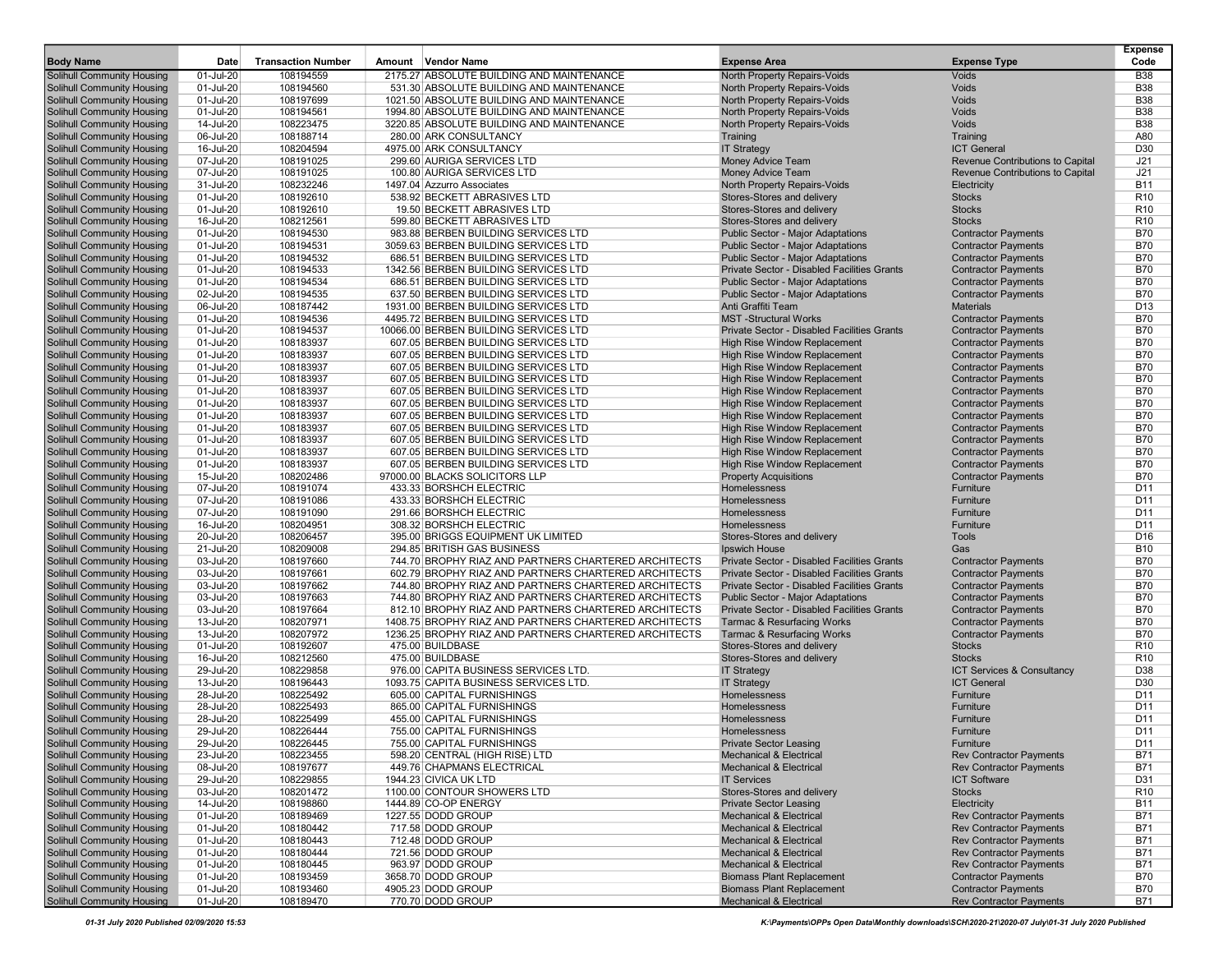| <b>Body Name</b>                                         | Date                   | <b>Transaction Number</b> | Amount Vendor Name                                           | <b>Expense Area</b>                                                 | <b>Expense Type</b>                                                  | <b>Expense</b><br>Code   |
|----------------------------------------------------------|------------------------|---------------------------|--------------------------------------------------------------|---------------------------------------------------------------------|----------------------------------------------------------------------|--------------------------|
| <b>Solihull Community Housing</b>                        | 01-Jul-20              | 108194559                 | 2175.27 ABSOLUTE BUILDING AND MAINTENANCE                    | North Property Repairs-Voids                                        | <b>Voids</b>                                                         | <b>B</b> 38              |
| Solihull Community Housing                               | 01-Jul-20              | 108194560                 | 531.30 ABSOLUTE BUILDING AND MAINTENANCE                     | North Property Repairs-Voids                                        | Voids                                                                | <b>B38</b>               |
| Solihull Community Housing                               | 01-Jul-20              | 108197699                 | 1021.50 ABSOLUTE BUILDING AND MAINTENANCE                    | North Property Repairs-Voids                                        | Voids                                                                | <b>B38</b>               |
| Solihull Community Housing                               | 01-Jul-20              | 108194561                 | 1994.80 ABSOLUTE BUILDING AND MAINTENANCE                    | North Property Repairs-Voids                                        | Voids                                                                | <b>B38</b>               |
| Solihull Community Housing                               | 14-Jul-20              | 108223475                 | 3220.85 ABSOLUTE BUILDING AND MAINTENANCE                    | North Property Repairs-Voids                                        | Voids                                                                | <b>B38</b>               |
| Solihull Community Housing                               | 06-Jul-20              | 108188714                 | 280.00 ARK CONSULTANCY                                       | Training                                                            | Training                                                             | A80                      |
| Solihull Community Housing                               | 16-Jul-20              | 108204594                 | 4975.00 ARK CONSULTANCY                                      | <b>IT Strategy</b>                                                  | <b>ICT General</b>                                                   | D30                      |
| Solihull Community Housing<br>Solihull Community Housing | 07-Jul-20<br>07-Jul-20 | 108191025<br>108191025    | 299.60 AURIGA SERVICES LTD<br>100.80 AURIGA SERVICES LTD     | Money Advice Team<br>Money Advice Team                              | Revenue Contributions to Capital<br>Revenue Contributions to Capital | J21<br>J21               |
| Solihull Community Housing                               | 31-Jul-20              | 108232246                 | 1497.04 Azzurro Associates                                   | North Property Repairs-Voids                                        | Electricity                                                          | <b>B11</b>               |
| Solihull Community Housing                               | 01-Jul-20              | 108192610                 | 538.92 BECKETT ABRASIVES LTD                                 | Stores-Stores and delivery                                          | <b>Stocks</b>                                                        | R <sub>10</sub>          |
| Solihull Community Housing                               | 01-Jul-20              | 108192610                 | 19.50 BECKETT ABRASIVES LTD                                  | Stores-Stores and delivery                                          | <b>Stocks</b>                                                        | R <sub>10</sub>          |
| Solihull Community Housing                               | 16-Jul-20              | 108212561                 | 599.80 BECKETT ABRASIVES LTD                                 | Stores-Stores and delivery                                          | <b>Stocks</b>                                                        | R <sub>10</sub>          |
| Solihull Community Housing                               | 01-Jul-20              | 108194530                 | 983.88 BERBEN BUILDING SERVICES LTD                          | Public Sector - Major Adaptations                                   | <b>Contractor Payments</b>                                           | <b>B70</b>               |
| Solihull Community Housing                               | 01-Jul-20              | 108194531                 | 3059.63 BERBEN BUILDING SERVICES LTD                         | <b>Public Sector - Major Adaptations</b>                            | <b>Contractor Payments</b>                                           | <b>B70</b>               |
| Solihull Community Housing                               | 01-Jul-20              | 108194532                 | 686.51 BERBEN BUILDING SERVICES LTD                          | Public Sector - Major Adaptations                                   | <b>Contractor Payments</b>                                           | <b>B70</b>               |
| Solihull Community Housing                               | 01-Jul-20              | 108194533                 | 1342.56 BERBEN BUILDING SERVICES LTD                         | Private Sector - Disabled Facilities Grants                         | <b>Contractor Payments</b>                                           | <b>B70</b>               |
| Solihull Community Housing                               | 01-Jul-20              | 108194534                 | 686.51 BERBEN BUILDING SERVICES LTD                          | Public Sector - Major Adaptations                                   | <b>Contractor Payments</b>                                           | <b>B70</b>               |
| Solihull Community Housing                               | 02-Jul-20              | 108194535                 | 637.50 BERBEN BUILDING SERVICES LTD                          | Public Sector - Major Adaptations                                   | <b>Contractor Payments</b>                                           | <b>B70</b>               |
| Solihull Community Housing                               | 06-Jul-20              | 108187442                 | 1931.00 BERBEN BUILDING SERVICES LTD                         | Anti Graffiti Team                                                  | <b>Materials</b>                                                     | D <sub>13</sub>          |
| Solihull Community Housing                               | 01-Jul-20              | 108194536                 | 4495.72 BERBEN BUILDING SERVICES LTD                         | <b>MST-Structural Works</b>                                         | <b>Contractor Payments</b>                                           | <b>B70</b>               |
| Solihull Community Housing                               | 01-Jul-20              | 108194537                 | 10066.00 BERBEN BUILDING SERVICES LTD                        | Private Sector - Disabled Facilities Grants                         | <b>Contractor Payments</b>                                           | <b>B70</b>               |
| Solihull Community Housing                               | 01-Jul-20              | 108183937                 | 607.05 BERBEN BUILDING SERVICES LTD                          | <b>High Rise Window Replacement</b>                                 | <b>Contractor Payments</b>                                           | <b>B70</b>               |
| Solihull Community Housing                               | 01-Jul-20              | 108183937                 | 607.05 BERBEN BUILDING SERVICES LTD                          | <b>High Rise Window Replacement</b>                                 | <b>Contractor Payments</b>                                           | <b>B70</b>               |
| Solihull Community Housing                               | 01-Jul-20              | 108183937                 | 607.05 BERBEN BUILDING SERVICES LTD                          | <b>High Rise Window Replacement</b>                                 | <b>Contractor Payments</b>                                           | <b>B70</b>               |
| Solihull Community Housing                               | 01-Jul-20              | 108183937                 | 607.05 BERBEN BUILDING SERVICES LTD                          | <b>High Rise Window Replacement</b>                                 | <b>Contractor Payments</b>                                           | <b>B70</b>               |
| Solihull Community Housing                               | 01-Jul-20              | 108183937                 | 607.05 BERBEN BUILDING SERVICES LTD                          | <b>High Rise Window Replacement</b>                                 | <b>Contractor Payments</b>                                           | <b>B70</b>               |
| Solihull Community Housing                               | 01-Jul-20              | 108183937                 | 607.05 BERBEN BUILDING SERVICES LTD                          | <b>High Rise Window Replacement</b>                                 | <b>Contractor Payments</b>                                           | <b>B70</b>               |
| Solihull Community Housing                               | 01-Jul-20              | 108183937                 | 607.05 BERBEN BUILDING SERVICES LTD                          | <b>High Rise Window Replacement</b>                                 | <b>Contractor Payments</b>                                           | <b>B70</b>               |
| Solihull Community Housing                               | 01-Jul-20              | 108183937                 | 607.05 BERBEN BUILDING SERVICES LTD                          | <b>High Rise Window Replacement</b>                                 | <b>Contractor Payments</b>                                           | <b>B70</b>               |
| Solihull Community Housing                               | 01-Jul-20              | 108183937                 | 607.05 BERBEN BUILDING SERVICES LTD                          | <b>High Rise Window Replacement</b>                                 | <b>Contractor Payments</b>                                           | <b>B70</b>               |
| Solihull Community Housing                               | 01-Jul-20              | 108183937                 | 607.05 BERBEN BUILDING SERVICES LTD                          | <b>High Rise Window Replacement</b>                                 | <b>Contractor Payments</b>                                           | <b>B70</b>               |
| Solihull Community Housing                               | 01-Jul-20              | 108183937                 | 607.05 BERBEN BUILDING SERVICES LTD                          | <b>High Rise Window Replacement</b>                                 | <b>Contractor Payments</b>                                           | <b>B70</b>               |
| Solihull Community Housing                               | 15-Jul-20              | 108202486                 | 97000.00 BLACKS SOLICITORS LLP                               | <b>Property Acquisitions</b>                                        | <b>Contractor Payments</b>                                           | <b>B70</b>               |
| Solihull Community Housing                               | 07-Jul-20              | 108191074                 | 433.33 BORSHCH ELECTRIC                                      | Homelessness                                                        | Furniture                                                            | D <sub>11</sub>          |
| Solihull Community Housing                               | 07-Jul-20              | 108191086                 | 433.33 BORSHCH ELECTRIC                                      | Homelessness                                                        | Furniture                                                            | D11                      |
| Solihull Community Housing                               | 07-Jul-20              | 108191090                 | 291.66 BORSHCH ELECTRIC                                      | Homelessness                                                        | Furniture                                                            | D <sub>11</sub>          |
| Solihull Community Housing                               | 16-Jul-20              | 108204951                 | 308.32 BORSHCH ELECTRIC                                      | Homelessness                                                        | Furniture                                                            | D11                      |
| Solihull Community Housing                               | 20-Jul-20              | 108206457                 | 395.00 BRIGGS EQUIPMENT UK LIMITED                           | Stores-Stores and delivery                                          | <b>Tools</b>                                                         | D <sub>16</sub>          |
| Solihull Community Housing                               | 21-Jul-20              | 108209008                 | 294.85 BRITISH GAS BUSINESS                                  | <b>Ipswich House</b>                                                | Gas                                                                  | <b>B10</b>               |
| Solihull Community Housing                               | 03-Jul-20              | 108197660                 | 744.70 BROPHY RIAZ AND PARTNERS CHARTERED ARCHITECTS         | Private Sector - Disabled Facilities Grants                         | <b>Contractor Payments</b>                                           | <b>B70</b>               |
| Solihull Community Housing                               | 03-Jul-20              | 108197661                 | 602.79 BROPHY RIAZ AND PARTNERS CHARTERED ARCHITECTS         | Private Sector - Disabled Facilities Grants                         | <b>Contractor Payments</b>                                           | <b>B70</b>               |
| Solihull Community Housing                               | 03-Jul-20              | 108197662                 | 744.80 BROPHY RIAZ AND PARTNERS CHARTERED ARCHITECTS         | Private Sector - Disabled Facilities Grants                         | <b>Contractor Payments</b>                                           | <b>B70</b>               |
| Solihull Community Housing                               | 03-Jul-20              | 108197663                 | 744.80 BROPHY RIAZ AND PARTNERS CHARTERED ARCHITECTS         | Public Sector - Major Adaptations                                   | <b>Contractor Payments</b>                                           | <b>B70</b>               |
| Solihull Community Housing                               | 03-Jul-20              | 108197664                 | 812.10 BROPHY RIAZ AND PARTNERS CHARTERED ARCHITECTS         | Private Sector - Disabled Facilities Grants                         | <b>Contractor Payments</b>                                           | <b>B70</b>               |
| Solihull Community Housing                               | 13-Jul-20              | 108207971                 | 1408.75 BROPHY RIAZ AND PARTNERS CHARTERED ARCHITECTS        | <b>Tarmac &amp; Resurfacing Works</b>                               | <b>Contractor Payments</b>                                           | <b>B70</b>               |
| Solihull Community Housing                               | 13-Jul-20              | 108207972                 | 1236.25 BROPHY RIAZ AND PARTNERS CHARTERED ARCHITECTS        | <b>Tarmac &amp; Resurfacing Works</b>                               | <b>Contractor Payments</b>                                           | <b>B70</b>               |
| Solihull Community Housing                               | 01-Jul-20              | 108192607                 | 475.00 BUILDBASE                                             | Stores-Stores and delivery                                          | <b>Stocks</b>                                                        | R <sub>10</sub>          |
| Solihull Community Housing                               | 16-Jul-20              | 108212560                 | 475.00 BUILDBASE                                             | Stores-Stores and delivery                                          | <b>Stocks</b>                                                        | R <sub>10</sub>          |
| Solihull Community Housing                               | 29-Jul-20              | 108229858                 | 976.00 CAPITA BUSINESS SERVICES LTD                          | <b>IT Strategy</b>                                                  | ICT Services & Consultancy                                           | D38                      |
| Solihull Community Housing                               | 13-Jul-20              | 108196443                 | 1093.75 CAPITA BUSINESS SERVICES LTD.                        | <b>IT Strategy</b>                                                  | <b>ICT General</b>                                                   | D <sub>30</sub>          |
| Solihull Community Housing                               | 28-Jul-20              | 108225492                 | 605.00 CAPITAL FURNISHINGS                                   | Homelessness                                                        | Furniture                                                            | D <sub>11</sub>          |
| Solihull Community Housing                               | 28-Jul-20              | 108225493<br>108225499    | 865.00 CAPITAL FURNISHINGS                                   | Homelessness                                                        | Furniture                                                            | D11                      |
| Solihull Community Housing                               | 28-Jul-20<br>29-Jul-20 | 108226444                 | 455.00 CAPITAL FURNISHINGS<br>755.00 CAPITAL FURNISHINGS     | Homelessness<br>Homelessness                                        | Furniture<br>Furniture                                               | D11<br>D <sub>11</sub>   |
| Solihull Community Housing                               |                        |                           |                                                              |                                                                     |                                                                      |                          |
| Solihull Community Housing<br>Solihull Community Housing | 29-Jul-20<br>23-Jul-20 | 108226445<br>108223455    | 755.00 CAPITAL FURNISHINGS<br>598.20 CENTRAL (HIGH RISE) LTD | <b>Private Sector Leasing</b><br><b>Mechanical &amp; Electrical</b> | <b>Furniture</b><br><b>Rev Contractor Payments</b>                   | D11<br><b>B71</b>        |
|                                                          |                        |                           |                                                              |                                                                     | <b>Rev Contractor Payments</b>                                       |                          |
| Solihull Community Housing<br>Solihull Community Housing | 08-Jul-20<br>29-Jul-20 | 108197677<br>108229855    | 449.76 CHAPMANS ELECTRICAL<br>1944.23 CIVICA UK LTD          | <b>Mechanical &amp; Electrical</b><br><b>IT Services</b>            | <b>ICT Software</b>                                                  | <b>B71</b><br>D31        |
| Solihull Community Housing                               | 03-Jul-20              | 108201472                 | 1100.00 CONTOUR SHOWERS LTD                                  | Stores-Stores and delivery                                          | <b>Stocks</b>                                                        | R <sub>10</sub>          |
| Solihull Community Housing                               | 14-Jul-20              | 108198860                 | 1444.89 CO-OP ENERGY                                         | <b>Private Sector Leasing</b>                                       | Electricity                                                          | <b>B11</b>               |
|                                                          | 01-Jul-20              |                           | 1227.55 DODD GROUP                                           |                                                                     | <b>Rev Contractor Payments</b>                                       |                          |
| Solihull Community Housing<br>Solihull Community Housing | 01-Jul-20              | 108189469<br>108180442    | 717.58 DODD GROUP                                            | Mechanical & Electrical<br><b>Mechanical &amp; Electrical</b>       | <b>Rev Contractor Payments</b>                                       | <b>B71</b><br><b>B71</b> |
| Solihull Community Housing                               | 01-Jul-20              | 108180443                 | 712.48 DODD GROUP                                            | Mechanical & Electrical                                             | <b>Rev Contractor Payments</b>                                       | <b>B71</b>               |
| Solihull Community Housing                               | 01-Jul-20              | 108180444                 | 721.56 DODD GROUP                                            | <b>Mechanical &amp; Electrical</b>                                  | <b>Rev Contractor Payments</b>                                       | <b>B71</b>               |
| Solihull Community Housing                               | 01-Jul-20              | 108180445                 | 963.97 DODD GROUP                                            | <b>Mechanical &amp; Electrical</b>                                  | <b>Rev Contractor Payments</b>                                       | <b>B71</b>               |
| Solihull Community Housing                               | 01-Jul-20              | 108193459                 | 3658.70 DODD GROUP                                           | <b>Biomass Plant Replacement</b>                                    | <b>Contractor Payments</b>                                           | <b>B70</b>               |
| Solihull Community Housing                               | 01-Jul-20              | 108193460                 | 4905.23 DODD GROUP                                           | <b>Biomass Plant Replacement</b>                                    | <b>Contractor Payments</b>                                           | <b>B70</b>               |
| Solihull Community Housing                               | 01-Jul-20              | 108189470                 | 770.70 DODD GROUP                                            | <b>Mechanical &amp; Electrical</b>                                  | <b>Rev Contractor Payments</b>                                       | B71                      |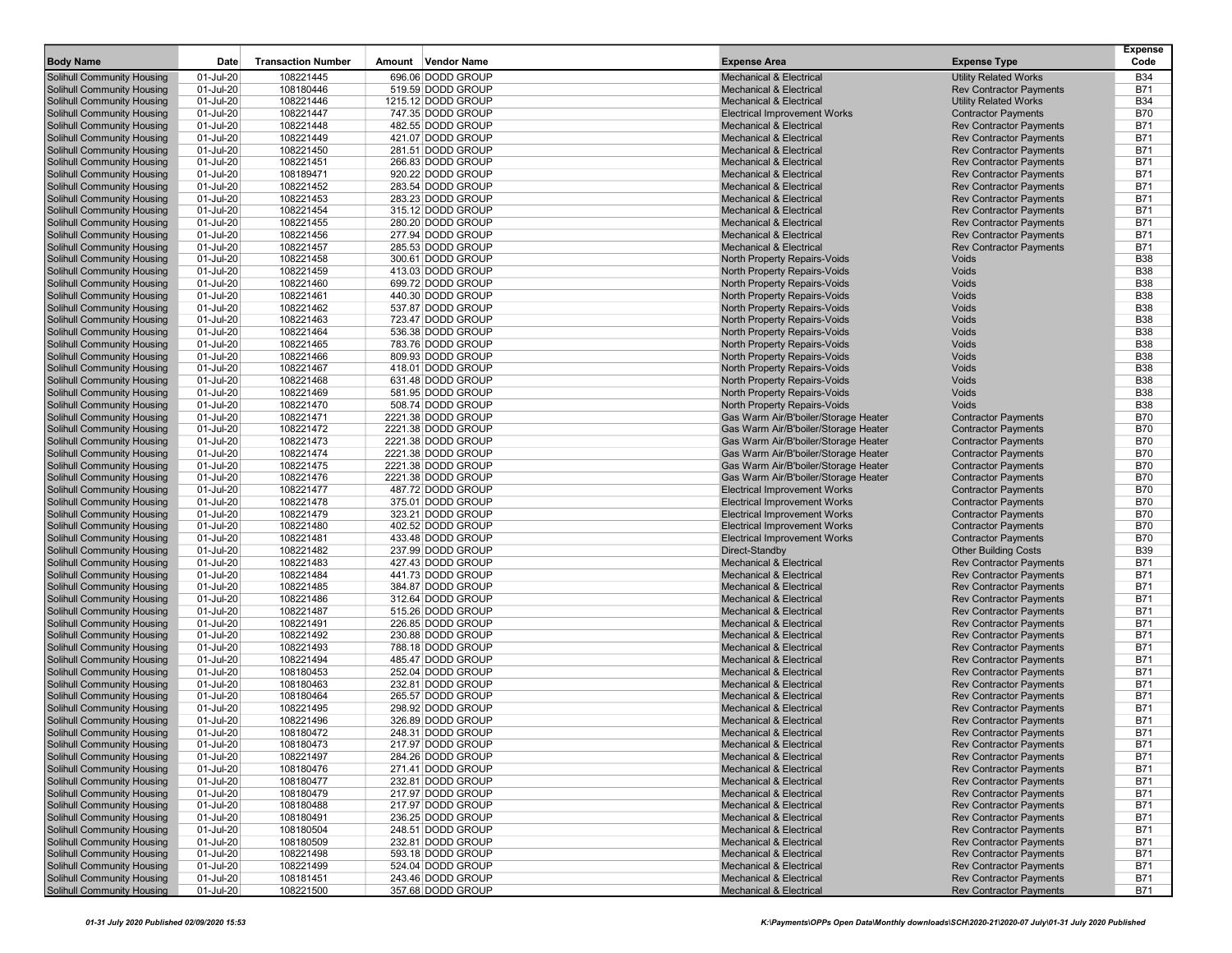| <b>Body Name</b>                  | Date      | <b>Transaction Number</b> | Amount Vendor Name | <b>Expense Area</b>                  | <b>Expense Type</b>            | Expense<br>Code |
|-----------------------------------|-----------|---------------------------|--------------------|--------------------------------------|--------------------------------|-----------------|
|                                   |           |                           |                    |                                      |                                |                 |
| <b>Solihull Community Housing</b> | 01-Jul-20 | 108221445                 | 696.06 DODD GROUP  | <b>Mechanical &amp; Electrical</b>   | <b>Utility Related Works</b>   | <b>B34</b>      |
| Solihull Community Housing        | 01-Jul-20 | 108180446                 | 519.59 DODD GROUP  | <b>Mechanical &amp; Electrical</b>   | <b>Rev Contractor Payments</b> | <b>B71</b>      |
| <b>Solihull Community Housing</b> | 01-Jul-20 | 108221446                 | 1215.12 DODD GROUP | <b>Mechanical &amp; Electrical</b>   | <b>Utility Related Works</b>   | <b>B34</b>      |
| <b>Solihull Community Housing</b> | 01-Jul-20 | 108221447                 | 747.35 DODD GROUP  | <b>Electrical Improvement Works</b>  | <b>Contractor Payments</b>     | <b>B70</b>      |
| <b>Solihull Community Housing</b> | 01-Jul-20 | 108221448                 | 482.55 DODD GROUP  | <b>Mechanical &amp; Electrical</b>   | <b>Rev Contractor Payments</b> | <b>B71</b>      |
| Solihull Community Housing        | 01-Jul-20 | 108221449                 | 421.07 DODD GROUP  | <b>Mechanical &amp; Electrical</b>   | <b>Rev Contractor Payments</b> | <b>B71</b>      |
| <b>Solihull Community Housing</b> | 01-Jul-20 | 108221450                 | 281.51 DODD GROUP  | <b>Mechanical &amp; Electrical</b>   | <b>Rev Contractor Payments</b> | <b>B71</b>      |
| <b>Solihull Community Housing</b> | 01-Jul-20 | 108221451                 | 266.83 DODD GROUP  | <b>Mechanical &amp; Electrical</b>   | <b>Rev Contractor Payments</b> | <b>B71</b>      |
| <b>Solihull Community Housing</b> | 01-Jul-20 | 108189471                 | 920.22 DODD GROUP  | <b>Mechanical &amp; Electrical</b>   | <b>Rev Contractor Payments</b> | <b>B71</b>      |
| <b>Solihull Community Housing</b> | 01-Jul-20 | 108221452                 | 283.54 DODD GROUP  | <b>Mechanical &amp; Electrical</b>   | <b>Rev Contractor Payments</b> | <b>B71</b>      |
| <b>Solihull Community Housing</b> | 01-Jul-20 | 108221453                 | 283.23 DODD GROUP  | <b>Mechanical &amp; Electrical</b>   | <b>Rev Contractor Payments</b> | <b>B71</b>      |
| <b>Solihull Community Housing</b> | 01-Jul-20 | 108221454                 | 315.12 DODD GROUP  | <b>Mechanical &amp; Electrical</b>   | <b>Rev Contractor Payments</b> | <b>B71</b>      |
| <b>Solihull Community Housing</b> | 01-Jul-20 | 108221455                 | 280.20 DODD GROUP  | <b>Mechanical &amp; Electrical</b>   | <b>Rev Contractor Payments</b> | <b>B71</b>      |
| <b>Solihull Community Housing</b> | 01-Jul-20 | 108221456                 | 277.94 DODD GROUP  | <b>Mechanical &amp; Electrical</b>   | <b>Rev Contractor Payments</b> | <b>B71</b>      |
| Solihull Community Housing        | 01-Jul-20 | 108221457                 | 285.53 DODD GROUP  | <b>Mechanical &amp; Electrical</b>   | <b>Rev Contractor Payments</b> | <b>B71</b>      |
| Solihull Community Housing        | 01-Jul-20 | 108221458                 | 300.61 DODD GROUP  | North Property Repairs-Voids         | <b>Voids</b>                   | <b>B38</b>      |
| <b>Solihull Community Housing</b> | 01-Jul-20 | 108221459                 | 413.03 DODD GROUP  | North Property Repairs-Voids         | Voids                          | <b>B38</b>      |
| <b>Solihull Community Housing</b> | 01-Jul-20 | 108221460                 | 699.72 DODD GROUP  | North Property Repairs-Voids         | Voids                          | <b>B38</b>      |
| <b>Solihull Community Housing</b> | 01-Jul-20 | 108221461                 | 440.30 DODD GROUP  | North Property Repairs-Voids         | Voids                          | <b>B38</b>      |
| <b>Solihull Community Housing</b> | 01-Jul-20 | 108221462                 | 537.87 DODD GROUP  | North Property Repairs-Voids         | Voids                          | <b>B38</b>      |
| <b>Solihull Community Housing</b> | 01-Jul-20 | 108221463                 | 723.47 DODD GROUP  | North Property Repairs-Voids         | Voids                          | <b>B38</b>      |
| <b>Solihull Community Housing</b> | 01-Jul-20 | 108221464                 | 536.38 DODD GROUP  | North Property Repairs-Voids         | Voids                          | <b>B38</b>      |
| <b>Solihull Community Housing</b> | 01-Jul-20 | 108221465                 | 783.76 DODD GROUP  | North Property Repairs-Voids         | Voids                          | <b>B38</b>      |
| <b>Solihull Community Housing</b> | 01-Jul-20 | 108221466                 | 809.93 DODD GROUP  | North Property Repairs-Voids         | Voids                          | <b>B38</b>      |
| <b>Solihull Community Housing</b> | 01-Jul-20 | 108221467                 | 418.01 DODD GROUP  | North Property Repairs-Voids         | Voids                          | <b>B38</b>      |
| <b>Solihull Community Housing</b> | 01-Jul-20 | 108221468                 | 631.48 DODD GROUP  | North Property Repairs-Voids         | Voids                          | <b>B38</b>      |
| <b>Solihull Community Housing</b> | 01-Jul-20 | 108221469                 | 581.95 DODD GROUP  | North Property Repairs-Voids         | Voids                          | <b>B38</b>      |
| <b>Solihull Community Housing</b> | 01-Jul-20 | 108221470                 | 508.74 DODD GROUP  | North Property Repairs-Voids         | Voids                          | <b>B38</b>      |
| <b>Solihull Community Housing</b> | 01-Jul-20 | 108221471                 | 2221.38 DODD GROUP | Gas Warm Air/B'boiler/Storage Heater | <b>Contractor Payments</b>     | <b>B70</b>      |
| <b>Solihull Community Housing</b> | 01-Jul-20 | 108221472                 | 2221.38 DODD GROUP | Gas Warm Air/B'boiler/Storage Heater | <b>Contractor Payments</b>     | <b>B70</b>      |
| <b>Solihull Community Housing</b> | 01-Jul-20 | 108221473                 | 2221.38 DODD GROUP | Gas Warm Air/B'boiler/Storage Heater | <b>Contractor Payments</b>     | <b>B70</b>      |
| <b>Solihull Community Housing</b> | 01-Jul-20 | 108221474                 | 2221.38 DODD GROUP | Gas Warm Air/B'boiler/Storage Heater | <b>Contractor Payments</b>     | <b>B70</b>      |
| <b>Solihull Community Housing</b> | 01-Jul-20 | 108221475                 | 2221.38 DODD GROUP | Gas Warm Air/B'boiler/Storage Heater | <b>Contractor Payments</b>     | <b>B70</b>      |
| <b>Solihull Community Housing</b> | 01-Jul-20 | 108221476                 | 2221.38 DODD GROUP | Gas Warm Air/B'boiler/Storage Heater | <b>Contractor Payments</b>     | <b>B70</b>      |
| <b>Solihull Community Housing</b> | 01-Jul-20 | 108221477                 | 487.72 DODD GROUP  | <b>Electrical Improvement Works</b>  | <b>Contractor Payments</b>     | <b>B70</b>      |
| <b>Solihull Community Housing</b> | 01-Jul-20 | 108221478                 | 375.01 DODD GROUP  | <b>Electrical Improvement Works</b>  | <b>Contractor Payments</b>     | <b>B70</b>      |
| <b>Solihull Community Housing</b> | 01-Jul-20 | 108221479                 | 323.21 DODD GROUP  | <b>Electrical Improvement Works</b>  | <b>Contractor Payments</b>     | <b>B70</b>      |
| <b>Solihull Community Housing</b> | 01-Jul-20 | 108221480                 | 402.52 DODD GROUP  | <b>Electrical Improvement Works</b>  | <b>Contractor Payments</b>     | <b>B70</b>      |
| <b>Solihull Community Housing</b> | 01-Jul-20 | 108221481                 | 433.48 DODD GROUP  | <b>Electrical Improvement Works</b>  | <b>Contractor Payments</b>     | <b>B70</b>      |
| <b>Solihull Community Housing</b> | 01-Jul-20 | 108221482                 | 237.99 DODD GROUP  | Direct-Standby                       | <b>Other Building Costs</b>    | <b>B39</b>      |
| <b>Solihull Community Housing</b> | 01-Jul-20 | 108221483                 | 427.43 DODD GROUP  | <b>Mechanical &amp; Electrical</b>   | <b>Rev Contractor Payments</b> | <b>B71</b>      |
| <b>Solihull Community Housing</b> | 01-Jul-20 | 108221484                 | 441.73 DODD GROUP  | <b>Mechanical &amp; Electrical</b>   | <b>Rev Contractor Payments</b> | <b>B71</b>      |
| <b>Solihull Community Housing</b> | 01-Jul-20 | 108221485                 | 384.87 DODD GROUP  | <b>Mechanical &amp; Electrical</b>   | <b>Rev Contractor Payments</b> | <b>B71</b>      |
| <b>Solihull Community Housing</b> | 01-Jul-20 | 108221486                 | 312.64 DODD GROUP  | <b>Mechanical &amp; Electrical</b>   | <b>Rev Contractor Payments</b> | <b>B71</b>      |
| <b>Solihull Community Housing</b> | 01-Jul-20 | 108221487                 | 515.26 DODD GROUP  | <b>Mechanical &amp; Electrical</b>   | <b>Rev Contractor Payments</b> | <b>B71</b>      |
| <b>Solihull Community Housing</b> | 01-Jul-20 | 108221491                 | 226.85 DODD GROUP  | <b>Mechanical &amp; Electrical</b>   | <b>Rev Contractor Payments</b> | <b>B71</b>      |
| <b>Solihull Community Housing</b> | 01-Jul-20 | 108221492                 | 230.88 DODD GROUP  | <b>Mechanical &amp; Electrical</b>   | <b>Rev Contractor Payments</b> | <b>B71</b>      |
| <b>Solihull Community Housing</b> | 01-Jul-20 | 108221493                 | 788.18 DODD GROUP  | <b>Mechanical &amp; Electrical</b>   | <b>Rev Contractor Payments</b> | <b>B71</b>      |
| <b>Solihull Community Housing</b> | 01-Jul-20 | 108221494                 | 485.47 DODD GROUP  | <b>Mechanical &amp; Electrical</b>   | <b>Rev Contractor Payments</b> | <b>B71</b>      |
| <b>Solihull Community Housing</b> | 01-Jul-20 | 108180453                 | 252.04 DODD GROUP  | <b>Mechanical &amp; Electrical</b>   | <b>Rev Contractor Payments</b> | <b>B71</b>      |
| Solihull Community Housing        | 01-Jul-20 | 108180463                 | 232.81 DODD GROUP  | <b>Mechanical &amp; Electrical</b>   | <b>Rev Contractor Payments</b> | <b>B71</b>      |
| <b>Solihull Community Housing</b> | 01-Jul-20 | 108180464                 | 265.57 DODD GROUP  | <b>Mechanical &amp; Electrical</b>   | <b>Rev Contractor Payments</b> | <b>B71</b>      |
| <b>Solihull Community Housing</b> | 01-Jul-20 | 108221495                 | 298.92 DODD GROUP  | <b>Mechanical &amp; Electrical</b>   | <b>Rev Contractor Payments</b> | <b>B71</b>      |
| <b>Solihull Community Housing</b> | 01-Jul-20 | 108221496                 | 326.89 DODD GROUP  | <b>Mechanical &amp; Electrical</b>   | <b>Rev Contractor Payments</b> | <b>B71</b>      |
| <b>Solihull Community Housing</b> | 01-Jul-20 | 108180472                 | 248.31 DODD GROUP  | <b>Mechanical &amp; Electrical</b>   | <b>Rev Contractor Payments</b> | <b>B71</b>      |
| <b>Solihull Community Housing</b> | 01-Jul-20 | 108180473                 | 217.97 DODD GROUP  | <b>Mechanical &amp; Electrical</b>   | <b>Rev Contractor Payments</b> | B71             |
| <b>Solihull Community Housing</b> | 01-Jul-20 | 108221497                 | 284.26 DODD GROUP  | <b>Mechanical &amp; Electrical</b>   | <b>Rev Contractor Payments</b> | <b>B71</b>      |
| Solihull Community Housing        | 01-Jul-20 | 108180476                 | 271.41 DODD GROUP  | Mechanical & Electrical              | <b>Rev Contractor Payments</b> | <b>B71</b>      |
| <b>Solihull Community Housing</b> | 01-Jul-20 | 108180477                 | 232.81 DODD GROUP  | Mechanical & Electrical              | <b>Rev Contractor Payments</b> | <b>B71</b>      |
| Solihull Community Housing        | 01-Jul-20 | 108180479                 | 217.97 DODD GROUP  | <b>Mechanical &amp; Electrical</b>   | <b>Rev Contractor Payments</b> | <b>B71</b>      |
| Solihull Community Housing        | 01-Jul-20 | 108180488                 | 217.97 DODD GROUP  | <b>Mechanical &amp; Electrical</b>   | <b>Rev Contractor Payments</b> | <b>B71</b>      |
| <b>Solihull Community Housing</b> | 01-Jul-20 | 108180491                 | 236.25 DODD GROUP  | Mechanical & Electrical              | <b>Rev Contractor Payments</b> | <b>B71</b>      |
| <b>Solihull Community Housing</b> | 01-Jul-20 | 108180504                 | 248.51 DODD GROUP  | Mechanical & Electrical              | <b>Rev Contractor Payments</b> | B71             |
| <b>Solihull Community Housing</b> | 01-Jul-20 | 108180509                 | 232.81 DODD GROUP  | Mechanical & Electrical              | <b>Rev Contractor Payments</b> | <b>B71</b>      |
| <b>Solihull Community Housing</b> | 01-Jul-20 | 108221498                 | 593.18 DODD GROUP  | <b>Mechanical &amp; Electrical</b>   | <b>Rev Contractor Payments</b> | <b>B71</b>      |
| <b>Solihull Community Housing</b> | 01-Jul-20 | 108221499                 | 524.04 DODD GROUP  | <b>Mechanical &amp; Electrical</b>   | <b>Rev Contractor Payments</b> | <b>B71</b>      |
| <b>Solihull Community Housing</b> | 01-Jul-20 | 108181451                 | 243.46 DODD GROUP  | Mechanical & Electrical              | <b>Rev Contractor Payments</b> | <b>B71</b>      |
| Solihull Community Housing        | 01-Jul-20 | 108221500                 | 357.68 DODD GROUP  | <b>Mechanical &amp; Electrical</b>   | <b>Rev Contractor Payments</b> | B71             |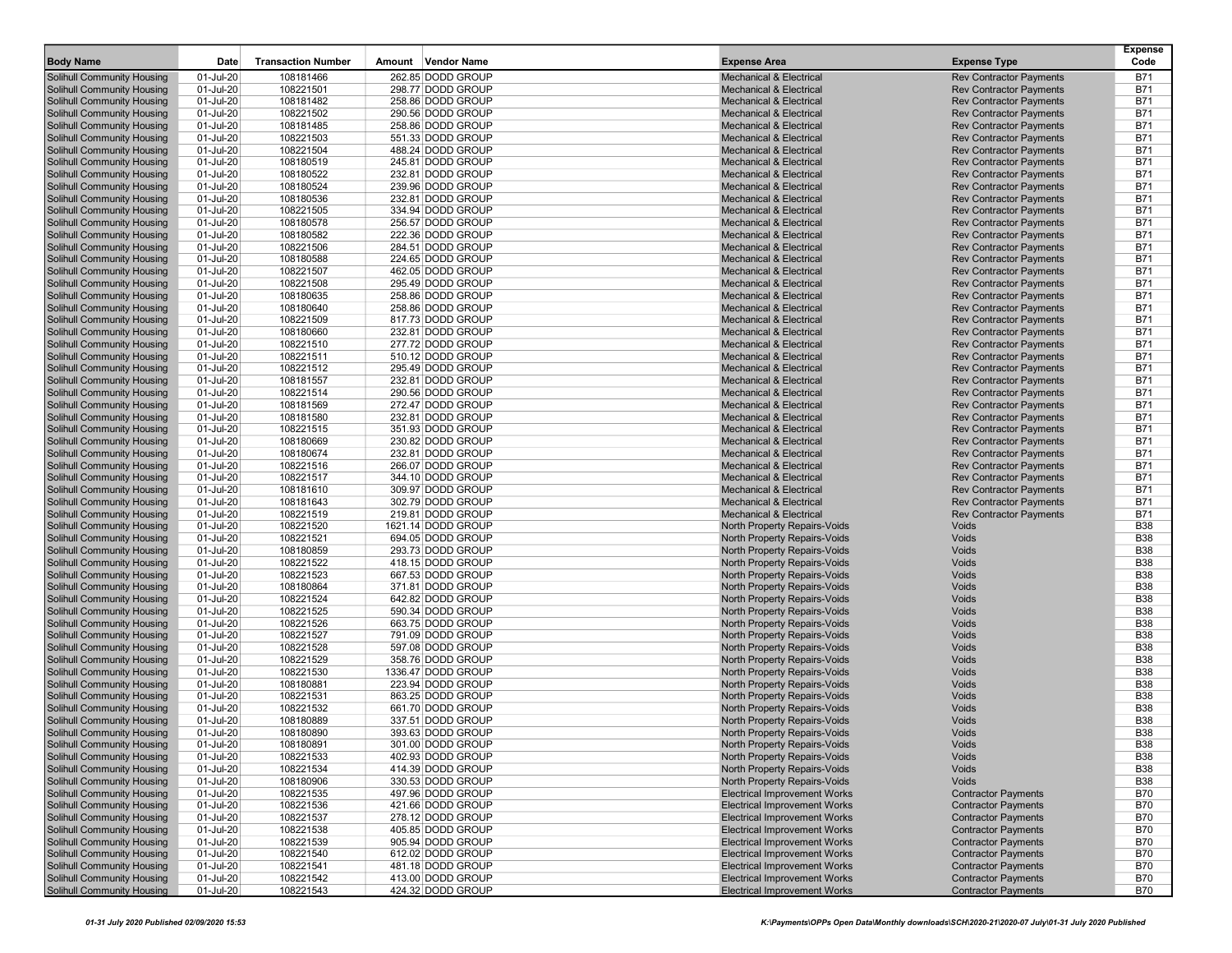| <b>Body Name</b>                                                       | Date                   | <b>Transaction Number</b> | Amount Vendor Name                      | <b>Expense Area</b>                                          | <b>Expense Type</b>            | <b>Expense</b><br>Code   |
|------------------------------------------------------------------------|------------------------|---------------------------|-----------------------------------------|--------------------------------------------------------------|--------------------------------|--------------------------|
| <b>Solihull Community Housing</b>                                      | 01-Jul-20              | 108181466                 | 262.85 DODD GROUP                       | <b>Mechanical &amp; Electrical</b>                           | <b>Rev Contractor Payments</b> | B71                      |
| <b>Solihull Community Housing</b>                                      | 01-Jul-20              | 108221501                 | 298.77 DODD GROUP                       | <b>Mechanical &amp; Electrical</b>                           | <b>Rev Contractor Payments</b> | <b>B71</b>               |
| <b>Solihull Community Housing</b>                                      | 01-Jul-20              | 108181482                 | 258.86 DODD GROUP                       | <b>Mechanical &amp; Electrical</b>                           | <b>Rev Contractor Payments</b> | <b>B71</b>               |
| Solihull Community Housing                                             | 01-Jul-20              | 108221502                 | 290.56 DODD GROUP                       | <b>Mechanical &amp; Electrical</b>                           | <b>Rev Contractor Payments</b> | <b>B71</b>               |
| <b>Solihull Community Housing</b>                                      | 01-Jul-20              | 108181485                 | 258.86 DODD GROUP                       | <b>Mechanical &amp; Electrical</b>                           | <b>Rev Contractor Payments</b> | <b>B71</b>               |
| <b>Solihull Community Housing</b>                                      | 01-Jul-20              | 108221503                 | 551.33 DODD GROUP                       | <b>Mechanical &amp; Electrical</b>                           | <b>Rev Contractor Payments</b> | <b>B71</b>               |
| <b>Solihull Community Housing</b>                                      | 01-Jul-20              | 108221504                 | 488.24 DODD GROUP                       | <b>Mechanical &amp; Electrical</b>                           | <b>Rev Contractor Payments</b> | <b>B71</b>               |
| <b>Solihull Community Housing</b>                                      | 01-Jul-20              | 108180519                 | 245.81 DODD GROUP                       | <b>Mechanical &amp; Electrical</b>                           | <b>Rev Contractor Payments</b> | <b>B71</b>               |
| <b>Solihull Community Housing</b>                                      | 01-Jul-20              | 108180522                 | 232.81 DODD GROUP                       | <b>Mechanical &amp; Electrical</b>                           | <b>Rev Contractor Payments</b> | <b>B71</b>               |
| <b>Solihull Community Housing</b>                                      | 01-Jul-20              | 108180524                 | 239.96 DODD GROUP                       | <b>Mechanical &amp; Electrical</b>                           | <b>Rev Contractor Payments</b> | <b>B71</b>               |
| <b>Solihull Community Housing</b>                                      | 01-Jul-20              | 108180536                 | 232.81 DODD GROUP                       | <b>Mechanical &amp; Electrical</b>                           | <b>Rev Contractor Payments</b> | <b>B71</b>               |
| <b>Solihull Community Housing</b>                                      | 01-Jul-20              | 108221505                 | 334.94 DODD GROUP                       | <b>Mechanical &amp; Electrical</b>                           | <b>Rev Contractor Payments</b> | <b>B71</b>               |
| <b>Solihull Community Housing</b>                                      | 01-Jul-20              | 108180578                 | 256.57 DODD GROUP                       | <b>Mechanical &amp; Electrical</b>                           | <b>Rev Contractor Payments</b> | <b>B71</b>               |
| <b>Solihull Community Housing</b>                                      | 01-Jul-20              | 108180582                 | 222.36 DODD GROUP                       | <b>Mechanical &amp; Electrical</b>                           | <b>Rev Contractor Payments</b> | <b>B71</b>               |
| <b>Solihull Community Housing</b>                                      | 01-Jul-20              | 108221506                 | 284.51 DODD GROUP                       | <b>Mechanical &amp; Electrical</b>                           | <b>Rev Contractor Payments</b> | <b>B71</b>               |
| <b>Solihull Community Housing</b>                                      | 01-Jul-20              | 108180588                 | 224.65 DODD GROUP                       | <b>Mechanical &amp; Electrical</b>                           | <b>Rev Contractor Payments</b> | <b>B71</b>               |
| <b>Solihull Community Housing</b>                                      | 01-Jul-20              | 108221507                 | 462.05 DODD GROUP                       | <b>Mechanical &amp; Electrical</b>                           | <b>Rev Contractor Payments</b> | <b>B71</b>               |
| <b>Solihull Community Housing</b>                                      | 01-Jul-20              | 108221508                 | 295.49 DODD GROUP                       | <b>Mechanical &amp; Electrical</b>                           | <b>Rev Contractor Payments</b> | <b>B71</b>               |
| <b>Solihull Community Housing</b>                                      | 01-Jul-20              | 108180635                 | 258.86 DODD GROUP                       | <b>Mechanical &amp; Electrical</b>                           | <b>Rev Contractor Payments</b> | <b>B71</b>               |
| <b>Solihull Community Housing</b>                                      | 01-Jul-20              | 108180640                 | 258.86 DODD GROUP                       | <b>Mechanical &amp; Electrical</b>                           | <b>Rev Contractor Payments</b> | <b>B71</b>               |
| <b>Solihull Community Housing</b>                                      | 01-Jul-20              | 108221509                 | 817.73 DODD GROUP                       | <b>Mechanical &amp; Electrical</b>                           | <b>Rev Contractor Payments</b> | <b>B71</b>               |
| <b>Solihull Community Housing</b>                                      | 01-Jul-20              | 108180660                 | 232.81 DODD GROUP                       | <b>Mechanical &amp; Electrical</b>                           | <b>Rev Contractor Payments</b> | <b>B71</b>               |
| <b>Solihull Community Housing</b>                                      | 01-Jul-20              | 108221510                 | 277.72 DODD GROUP                       | <b>Mechanical &amp; Electrical</b>                           | <b>Rev Contractor Payments</b> | <b>B71</b>               |
| <b>Solihull Community Housing</b>                                      | 01-Jul-20              | 108221511                 | 510.12 DODD GROUP                       | <b>Mechanical &amp; Electrical</b>                           | <b>Rev Contractor Payments</b> | <b>B71</b>               |
| <b>Solihull Community Housing</b>                                      | 01-Jul-20              | 108221512                 | 295.49 DODD GROUP                       | <b>Mechanical &amp; Electrical</b>                           | <b>Rev Contractor Payments</b> | <b>B71</b>               |
| <b>Solihull Community Housing</b>                                      | 01-Jul-20              | 108181557                 | 232.81 DODD GROUP                       | <b>Mechanical &amp; Electrical</b>                           | <b>Rev Contractor Payments</b> | <b>B71</b>               |
| <b>Solihull Community Housing</b>                                      | 01-Jul-20              | 108221514                 | 290.56 DODD GROUP                       | <b>Mechanical &amp; Electrical</b>                           | <b>Rev Contractor Payments</b> | <b>B71</b>               |
| <b>Solihull Community Housing</b>                                      | 01-Jul-20              | 108181569                 | 272.47 DODD GROUP                       | <b>Mechanical &amp; Electrical</b>                           | <b>Rev Contractor Payments</b> | <b>B71</b>               |
| <b>Solihull Community Housing</b>                                      | 01-Jul-20              | 108181580                 | 232.81 DODD GROUP                       | <b>Mechanical &amp; Electrical</b>                           | <b>Rev Contractor Payments</b> | <b>B71</b>               |
| <b>Solihull Community Housing</b>                                      | 01-Jul-20              | 108221515                 | 351.93 DODD GROUP                       | <b>Mechanical &amp; Electrical</b>                           | <b>Rev Contractor Payments</b> | <b>B71</b>               |
| <b>Solihull Community Housing</b>                                      | 01-Jul-20              | 108180669                 | 230.82 DODD GROUP                       | <b>Mechanical &amp; Electrical</b>                           | <b>Rev Contractor Payments</b> | <b>B71</b>               |
| <b>Solihull Community Housing</b>                                      | 01-Jul-20              | 108180674                 | 232.81 DODD GROUP                       | <b>Mechanical &amp; Electrical</b>                           | <b>Rev Contractor Payments</b> | <b>B71</b>               |
| <b>Solihull Community Housing</b>                                      | 01-Jul-20              | 108221516                 | 266.07 DODD GROUP                       | <b>Mechanical &amp; Electrical</b>                           | <b>Rev Contractor Payments</b> | <b>B71</b>               |
| <b>Solihull Community Housing</b>                                      | 01-Jul-20              | 108221517                 | 344.10 DODD GROUP                       | <b>Mechanical &amp; Electrical</b>                           | <b>Rev Contractor Payments</b> | <b>B71</b>               |
| <b>Solihull Community Housing</b>                                      | 01-Jul-20              | 108181610                 | 309.97 DODD GROUP                       | <b>Mechanical &amp; Electrical</b>                           | <b>Rev Contractor Payments</b> | <b>B71</b>               |
| <b>Solihull Community Housing</b>                                      | 01-Jul-20              | 108181643                 | 302.79 DODD GROUP                       | <b>Mechanical &amp; Electrical</b>                           | <b>Rev Contractor Payments</b> | <b>B71</b>               |
| <b>Solihull Community Housing</b>                                      | 01-Jul-20              | 108221519                 | 219.81 DODD GROUP                       | <b>Mechanical &amp; Electrical</b>                           | <b>Rev Contractor Payments</b> | <b>B71</b>               |
| <b>Solihull Community Housing</b><br><b>Solihull Community Housing</b> | 01-Jul-20<br>01-Jul-20 | 108221520<br>108221521    | 1621.14 DODD GROUP<br>694.05 DODD GROUP | North Property Repairs-Voids<br>North Property Repairs-Voids | Voids<br>Voids                 | <b>B38</b><br><b>B38</b> |
| <b>Solihull Community Housing</b>                                      | 01-Jul-20              | 108180859                 | 293.73 DODD GROUP                       | North Property Repairs-Voids                                 | Voids                          | <b>B38</b>               |
| <b>Solihull Community Housing</b>                                      | 01-Jul-20              | 108221522                 | 418.15 DODD GROUP                       | North Property Repairs-Voids                                 | Voids                          | <b>B38</b>               |
| <b>Solihull Community Housing</b>                                      | 01-Jul-20              | 108221523                 | 667.53 DODD GROUP                       | North Property Repairs-Voids                                 | Voids                          | <b>B38</b>               |
| <b>Solihull Community Housing</b>                                      | 01-Jul-20              | 108180864                 | 371.81 DODD GROUP                       | North Property Repairs-Voids                                 | Voids                          | <b>B38</b>               |
| <b>Solihull Community Housing</b>                                      | 01-Jul-20              | 108221524                 | 642.82 DODD GROUP                       | North Property Repairs-Voids                                 | Voids                          | <b>B38</b>               |
| <b>Solihull Community Housing</b>                                      | 01-Jul-20              | 108221525                 | 590.34 DODD GROUP                       | North Property Repairs-Voids                                 | Voids                          | <b>B38</b>               |
| <b>Solihull Community Housing</b>                                      | 01-Jul-20              | 108221526                 | 663.75 DODD GROUP                       | North Property Repairs-Voids                                 | Voids                          | <b>B38</b>               |
| <b>Solihull Community Housing</b>                                      | 01-Jul-20              | 108221527                 | 791.09 DODD GROUP                       | North Property Repairs-Voids                                 | Voids                          | <b>B38</b>               |
| <b>Solihull Community Housing</b>                                      | 01-Jul-20              | 108221528                 | 597.08 DODD GROUP                       | North Property Repairs-Voids                                 | Voids                          | <b>B38</b>               |
| <b>Solihull Community Housing</b>                                      | 01-Jul-20              | 108221529                 | 358.76 DODD GROUP                       | North Property Repairs-Voids                                 | Voids                          | <b>B38</b>               |
| <b>Solihull Community Housing</b>                                      | 01-Jul-20              | 108221530                 | 1336.47 DODD GROUP                      | North Property Repairs-Voids                                 | Voids                          | <b>B38</b>               |
| <b>Solihull Community Housing</b>                                      | 01-Jul-20              | 108180881                 | 223.94 DODD GROUP                       | North Property Repairs-Voids                                 | Voids                          | <b>B38</b>               |
| <b>Solihull Community Housing</b>                                      | 01-Jul-20              | 108221531                 | 863.25 DODD GROUP                       | North Property Repairs-Voids                                 | Voids                          | <b>B38</b>               |
| <b>Solihull Community Housing</b>                                      | 01-Jul-20              | 108221532                 | 661.70 DODD GROUP                       | North Property Repairs-Voids                                 | Voids                          | <b>B38</b>               |
| <b>Solihull Community Housing</b>                                      | 01-Jul-20              | 108180889                 | 337.51 DODD GROUP                       | North Property Repairs-Voids                                 | Voids                          | <b>B38</b>               |
| <b>Solihull Community Housing</b>                                      | 01-Jul-20              | 108180890                 | 393.63 DODD GROUP                       | North Property Repairs-Voids                                 | Voids                          | <b>B38</b>               |
| <b>Solihull Community Housing</b>                                      | 01-Jul-20              | 108180891                 | 301.00 DODD GROUP                       | North Property Repairs-Voids                                 | Voids                          | B38                      |
| <b>Solihull Community Housing</b>                                      | 01-Jul-20              | 108221533                 | 402.93 DODD GROUP                       | North Property Repairs-Voids                                 | Voids                          | <b>B38</b>               |
| Solihull Community Housing                                             | 01-Jul-20              | 108221534                 | 414.39 DODD GROUP                       | North Property Repairs-Voids                                 | Voids                          | <b>B38</b>               |
| <b>Solihull Community Housing</b>                                      | 01-Jul-20              | 108180906                 | 330.53 DODD GROUP                       | North Property Repairs-Voids                                 | Voids                          | <b>B38</b>               |
| <b>Solihull Community Housing</b>                                      | 01-Jul-20              | 108221535                 | 497.96 DODD GROUP                       | <b>Electrical Improvement Works</b>                          | <b>Contractor Payments</b>     | <b>B70</b>               |
| Solihull Community Housing                                             | 01-Jul-20              | 108221536                 | 421.66 DODD GROUP                       | <b>Electrical Improvement Works</b>                          | <b>Contractor Payments</b>     | <b>B70</b>               |
| <b>Solihull Community Housing</b>                                      | 01-Jul-20              | 108221537                 | 278.12 DODD GROUP                       | <b>Electrical Improvement Works</b>                          | <b>Contractor Payments</b>     | <b>B70</b>               |
| <b>Solihull Community Housing</b>                                      | 01-Jul-20              | 108221538                 | 405.85 DODD GROUP                       | <b>Electrical Improvement Works</b>                          | <b>Contractor Payments</b>     | <b>B70</b>               |
| <b>Solihull Community Housing</b>                                      | 01-Jul-20              | 108221539                 | 905.94 DODD GROUP                       | <b>Electrical Improvement Works</b>                          | <b>Contractor Payments</b>     | <b>B70</b>               |
| <b>Solihull Community Housing</b>                                      | 01-Jul-20              | 108221540                 | 612.02 DODD GROUP                       | <b>Electrical Improvement Works</b>                          | <b>Contractor Payments</b>     | <b>B70</b>               |
| <b>Solihull Community Housing</b>                                      | 01-Jul-20              | 108221541                 | 481.18 DODD GROUP                       | <b>Electrical Improvement Works</b>                          | <b>Contractor Payments</b>     | B70                      |
| <b>Solihull Community Housing</b>                                      | 01-Jul-20              | 108221542                 | 413.00 DODD GROUP                       | <b>Electrical Improvement Works</b>                          | <b>Contractor Payments</b>     | B70                      |
| Solihull Community Housing                                             | 01-Jul-20              | 108221543                 | 424.32 DODD GROUP                       | <b>Electrical Improvement Works</b>                          | <b>Contractor Payments</b>     | <b>B70</b>               |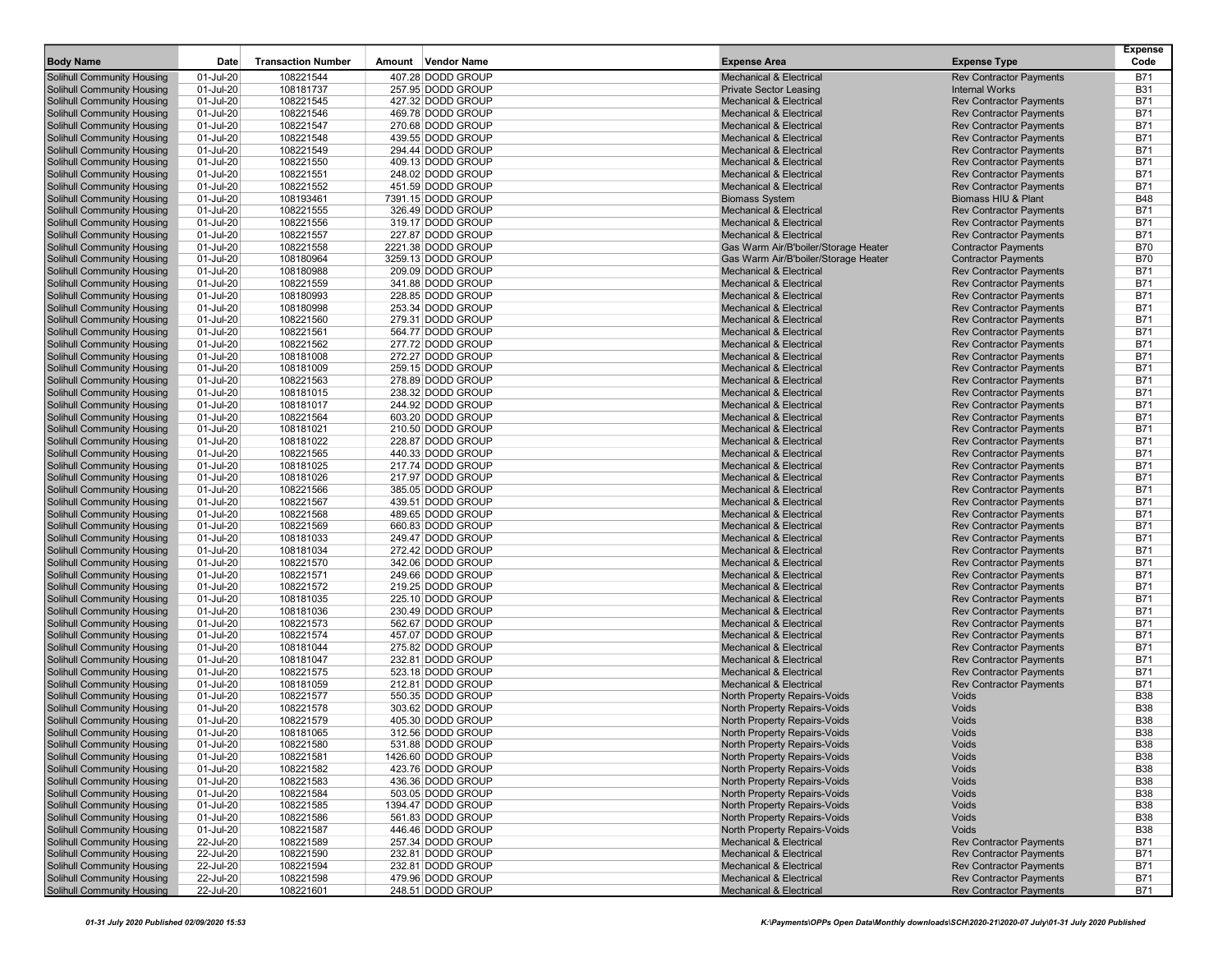| <b>Body Name</b>                                                       | Date                   | <b>Transaction Number</b> | Amount Vendor Name                     | <b>Expense Area</b>                                                      | <b>Expense Type</b>                                              | Expense<br>Code          |
|------------------------------------------------------------------------|------------------------|---------------------------|----------------------------------------|--------------------------------------------------------------------------|------------------------------------------------------------------|--------------------------|
| <b>Solihull Community Housing</b>                                      | 01-Jul-20              | 108221544                 | 407.28 DODD GROUP                      | <b>Mechanical &amp; Electrical</b>                                       | <b>Rev Contractor Payments</b>                                   | <b>B71</b>               |
| Solihull Community Housing                                             | 01-Jul-20              | 108181737                 | 257.95 DODD GROUP                      | <b>Private Sector Leasing</b>                                            | <b>Internal Works</b>                                            | <b>B31</b>               |
| <b>Solihull Community Housing</b>                                      | 01-Jul-20              | 108221545                 | 427.32 DODD GROUP                      | <b>Mechanical &amp; Electrical</b>                                       | <b>Rev Contractor Payments</b>                                   | <b>B71</b>               |
| Solihull Community Housing                                             | 01-Jul-20              | 108221546                 | 469.78 DODD GROUP                      | <b>Mechanical &amp; Electrical</b>                                       | <b>Rev Contractor Payments</b>                                   | <b>B71</b>               |
| Solihull Community Housing                                             | 01-Jul-20              | 108221547                 | 270.68 DODD GROUP                      | <b>Mechanical &amp; Electrical</b>                                       | <b>Rev Contractor Payments</b>                                   | <b>B71</b>               |
| Solihull Community Housing                                             | 01-Jul-20              | 108221548                 | 439.55 DODD GROUP                      | <b>Mechanical &amp; Electrical</b>                                       | <b>Rev Contractor Payments</b>                                   | <b>B71</b>               |
| <b>Solihull Community Housing</b>                                      | 01-Jul-20              | 108221549                 | 294.44 DODD GROUP                      | <b>Mechanical &amp; Electrical</b>                                       | <b>Rev Contractor Payments</b>                                   | <b>B71</b>               |
| Solihull Community Housing                                             | 01-Jul-20              | 108221550                 | 409.13 DODD GROUP                      | <b>Mechanical &amp; Electrical</b>                                       | <b>Rev Contractor Payments</b>                                   | <b>B71</b>               |
| <b>Solihull Community Housing</b>                                      | 01-Jul-20              | 108221551                 | 248.02 DODD GROUP                      | <b>Mechanical &amp; Electrical</b>                                       | <b>Rev Contractor Payments</b>                                   | <b>B71</b>               |
| <b>Solihull Community Housing</b>                                      | 01-Jul-20              | 108221552                 | 451.59 DODD GROUP                      | <b>Mechanical &amp; Electrical</b>                                       | <b>Rev Contractor Payments</b>                                   | <b>B71</b>               |
| <b>Solihull Community Housing</b>                                      | 01-Jul-20              | 108193461                 | 7391.15 DODD GROUP                     | <b>Biomass System</b>                                                    | Biomass HIU & Plant                                              | <b>B48</b>               |
| <b>Solihull Community Housing</b>                                      | 01-Jul-20              | 108221555                 | 326.49 DODD GROUP                      | <b>Mechanical &amp; Electrical</b>                                       | <b>Rev Contractor Payments</b>                                   | <b>B71</b>               |
| <b>Solihull Community Housing</b>                                      | 01-Jul-20              | 108221556                 | 319.17 DODD GROUP                      | <b>Mechanical &amp; Electrical</b>                                       | <b>Rev Contractor Payments</b>                                   | <b>B71</b>               |
| <b>Solihull Community Housing</b>                                      | 01-Jul-20              | 108221557                 | 227.87 DODD GROUP                      | <b>Mechanical &amp; Electrical</b>                                       | <b>Rev Contractor Payments</b>                                   | <b>B71</b>               |
| Solihull Community Housing                                             | 01-Jul-20              | 108221558                 | 2221.38 DODD GROUP                     | Gas Warm Air/B'boiler/Storage Heater                                     | <b>Contractor Payments</b>                                       | <b>B70</b>               |
| Solihull Community Housing                                             | 01-Jul-20              | 108180964                 | 3259.13 DODD GROUP                     | Gas Warm Air/B'boiler/Storage Heater                                     | <b>Contractor Payments</b>                                       | <b>B70</b>               |
| <b>Solihull Community Housing</b>                                      | 01-Jul-20              | 108180988                 | 209.09 DODD GROUP                      | <b>Mechanical &amp; Electrical</b>                                       | <b>Rev Contractor Payments</b>                                   | <b>B71</b>               |
| <b>Solihull Community Housing</b>                                      | 01-Jul-20              | 108221559                 | 341.88 DODD GROUP                      | <b>Mechanical &amp; Electrical</b>                                       | <b>Rev Contractor Payments</b>                                   | <b>B71</b>               |
| <b>Solihull Community Housing</b>                                      | 01-Jul-20              | 108180993                 | 228.85 DODD GROUP                      | <b>Mechanical &amp; Electrical</b>                                       | <b>Rev Contractor Payments</b>                                   | <b>B71</b>               |
| <b>Solihull Community Housing</b>                                      | 01-Jul-20              | 108180998                 | 253.34 DODD GROUP                      | <b>Mechanical &amp; Electrical</b>                                       | <b>Rev Contractor Payments</b>                                   | <b>B71</b>               |
| <b>Solihull Community Housing</b>                                      | 01-Jul-20              | 108221560                 | 279.31 DODD GROUP                      | <b>Mechanical &amp; Electrical</b>                                       | <b>Rev Contractor Payments</b>                                   | <b>B71</b>               |
| <b>Solihull Community Housing</b>                                      | 01-Jul-20              | 108221561                 | 564.77 DODD GROUP                      | <b>Mechanical &amp; Electrical</b>                                       | <b>Rev Contractor Payments</b>                                   | <b>B71</b>               |
| <b>Solihull Community Housing</b>                                      | 01-Jul-20              | 108221562                 | 277.72 DODD GROUP                      | <b>Mechanical &amp; Electrical</b>                                       | <b>Rev Contractor Payments</b>                                   | <b>B71</b>               |
| <b>Solihull Community Housing</b>                                      | 01-Jul-20              | 108181008                 | 272.27 DODD GROUP                      | <b>Mechanical &amp; Electrical</b>                                       | <b>Rev Contractor Payments</b>                                   | <b>B71</b>               |
| <b>Solihull Community Housing</b>                                      | 01-Jul-20              | 108181009                 | 259.15 DODD GROUP                      | <b>Mechanical &amp; Electrical</b>                                       | <b>Rev Contractor Payments</b>                                   | <b>B71</b>               |
| <b>Solihull Community Housing</b>                                      | 01-Jul-20              | 108221563                 | 278.89 DODD GROUP                      | <b>Mechanical &amp; Electrical</b>                                       | <b>Rev Contractor Payments</b>                                   | <b>B71</b>               |
| <b>Solihull Community Housing</b>                                      | 01-Jul-20              | 108181015                 | 238.32 DODD GROUP                      | <b>Mechanical &amp; Electrical</b>                                       | <b>Rev Contractor Payments</b>                                   | <b>B71</b>               |
| <b>Solihull Community Housing</b>                                      | 01-Jul-20              | 108181017                 | 244.92 DODD GROUP                      | <b>Mechanical &amp; Electrical</b>                                       | <b>Rev Contractor Payments</b>                                   | <b>B71</b>               |
| <b>Solihull Community Housing</b>                                      | 01-Jul-20              | 108221564                 | 603.20 DODD GROUP                      | <b>Mechanical &amp; Electrical</b>                                       | <b>Rev Contractor Payments</b>                                   | <b>B71</b>               |
| <b>Solihull Community Housing</b>                                      | 01-Jul-20              | 108181021                 | 210.50 DODD GROUP                      | <b>Mechanical &amp; Electrical</b>                                       | <b>Rev Contractor Payments</b>                                   | <b>B71</b>               |
| <b>Solihull Community Housing</b>                                      | 01-Jul-20              | 108181022                 | 228.87 DODD GROUP                      | <b>Mechanical &amp; Electrical</b>                                       | <b>Rev Contractor Payments</b>                                   | <b>B71</b>               |
| <b>Solihull Community Housing</b>                                      | 01-Jul-20              | 108221565                 | 440.33 DODD GROUP<br>217.74 DODD GROUP | <b>Mechanical &amp; Electrical</b>                                       | <b>Rev Contractor Payments</b>                                   | <b>B71</b>               |
| <b>Solihull Community Housing</b><br><b>Solihull Community Housing</b> | 01-Jul-20<br>01-Jul-20 | 108181025<br>108181026    | 217.97 DODD GROUP                      | <b>Mechanical &amp; Electrical</b><br><b>Mechanical &amp; Electrical</b> | <b>Rev Contractor Payments</b><br><b>Rev Contractor Payments</b> | <b>B71</b><br><b>B71</b> |
| Solihull Community Housing                                             | 01-Jul-20              | 108221566                 | 385.05 DODD GROUP                      | <b>Mechanical &amp; Electrical</b>                                       | <b>Rev Contractor Payments</b>                                   | <b>B71</b>               |
| <b>Solihull Community Housing</b>                                      | 01-Jul-20              | 108221567                 | 439.51 DODD GROUP                      | <b>Mechanical &amp; Electrical</b>                                       | <b>Rev Contractor Payments</b>                                   | <b>B71</b>               |
| <b>Solihull Community Housing</b>                                      | 01-Jul-20              | 108221568                 | 489.65 DODD GROUP                      | <b>Mechanical &amp; Electrical</b>                                       | <b>Rev Contractor Payments</b>                                   | <b>B71</b>               |
| <b>Solihull Community Housing</b>                                      | 01-Jul-20              | 108221569                 | 660.83 DODD GROUP                      | <b>Mechanical &amp; Electrical</b>                                       | <b>Rev Contractor Payments</b>                                   | <b>B71</b>               |
| <b>Solihull Community Housing</b>                                      | 01-Jul-20              | 108181033                 | 249.47 DODD GROUP                      | <b>Mechanical &amp; Electrical</b>                                       | <b>Rev Contractor Payments</b>                                   | <b>B71</b>               |
| <b>Solihull Community Housing</b>                                      | 01-Jul-20              | 108181034                 | 272.42 DODD GROUP                      | <b>Mechanical &amp; Electrical</b>                                       | <b>Rev Contractor Payments</b>                                   | <b>B71</b>               |
| <b>Solihull Community Housing</b>                                      | 01-Jul-20              | 108221570                 | 342.06 DODD GROUP                      | <b>Mechanical &amp; Electrical</b>                                       | <b>Rev Contractor Payments</b>                                   | <b>B71</b>               |
| <b>Solihull Community Housing</b>                                      | 01-Jul-20              | 108221571                 | 249.66 DODD GROUP                      | <b>Mechanical &amp; Electrical</b>                                       | <b>Rev Contractor Payments</b>                                   | <b>B71</b>               |
| <b>Solihull Community Housing</b>                                      | 01-Jul-20              | 108221572                 | 219.25 DODD GROUP                      | <b>Mechanical &amp; Electrical</b>                                       | <b>Rev Contractor Payments</b>                                   | <b>B71</b>               |
| <b>Solihull Community Housing</b>                                      | 01-Jul-20              | 108181035                 | 225.10 DODD GROUP                      | <b>Mechanical &amp; Electrical</b>                                       | <b>Rev Contractor Payments</b>                                   | <b>B71</b>               |
| <b>Solihull Community Housing</b>                                      | 01-Jul-20              | 108181036                 | 230.49 DODD GROUP                      | <b>Mechanical &amp; Electrical</b>                                       | <b>Rev Contractor Payments</b>                                   | <b>B71</b>               |
| <b>Solihull Community Housing</b>                                      | 01-Jul-20              | 108221573                 | 562.67 DODD GROUP                      | <b>Mechanical &amp; Electrical</b>                                       | <b>Rev Contractor Payments</b>                                   | <b>B71</b>               |
| <b>Solihull Community Housing</b>                                      | 01-Jul-20              | 108221574                 | 457.07 DODD GROUP                      | <b>Mechanical &amp; Electrical</b>                                       | <b>Rev Contractor Payments</b>                                   | <b>B71</b>               |
| <b>Solihull Community Housing</b>                                      | 01-Jul-20              | 108181044                 | 275.82 DODD GROUP                      | <b>Mechanical &amp; Electrical</b>                                       | <b>Rev Contractor Payments</b>                                   | <b>B71</b>               |
| <b>Solihull Community Housing</b>                                      | 01-Jul-20              | 108181047                 | 232.81 DODD GROUP                      | <b>Mechanical &amp; Electrical</b>                                       | <b>Rev Contractor Payments</b>                                   | <b>B71</b>               |
| Solihull Community Housing                                             | 01-Jul-20              | 108221575                 | 523.18 DODD GROUP                      | <b>Mechanical &amp; Electrical</b>                                       | <b>Rev Contractor Payments</b>                                   | <b>B71</b>               |
| <b>Solihull Community Housing</b>                                      | 01-Jul-20              | 108181059                 | 212.81 DODD GROUP                      | <b>Mechanical &amp; Electrical</b>                                       | <b>Rev Contractor Payments</b>                                   | <b>B71</b>               |
| <b>Solihull Community Housing</b>                                      | 01-Jul-20              | 108221577                 | 550.35 DODD GROUP                      | North Property Repairs-Voids                                             | Voids<br>Voids                                                   | <b>B38</b><br><b>B38</b> |
| <b>Solihull Community Housing</b><br><b>Solihull Community Housing</b> | 01-Jul-20<br>01-Jul-20 | 108221578<br>108221579    | 303.62 DODD GROUP<br>405.30 DODD GROUP | North Property Repairs-Voids<br>North Property Repairs-Voids             | Voids                                                            | <b>B38</b>               |
| <b>Solihull Community Housing</b>                                      | 01-Jul-20              | 108181065                 | 312.56 DODD GROUP                      | North Property Repairs-Voids                                             | Voids                                                            | <b>B38</b>               |
|                                                                        |                        | 108221580                 | 531.88 DODD GROUP                      |                                                                          |                                                                  |                          |
| Solihull Community Housing<br><b>Solihull Community Housing</b>        | 01-Jul-20<br>01-Jul-20 | 108221581                 | 1426.60 DODD GROUP                     | North Property Repairs-Voids<br>North Property Repairs-Voids             | Voids<br>Voids                                                   | <b>B38</b><br><b>B38</b> |
| Solihull Community Housing                                             | 01-Jul-20              | 108221582                 | 423.76 DODD GROUP                      | North Property Repairs-Voids                                             | Voids                                                            | <b>B38</b>               |
| <b>Solihull Community Housing</b>                                      | 01-Jul-20              | 108221583                 | 436.36 DODD GROUP                      | North Property Repairs-Voids                                             | Voids                                                            | <b>B38</b>               |
| <b>Solihull Community Housing</b>                                      | 01-Jul-20              | 108221584                 | 503.05 DODD GROUP                      | North Property Repairs-Voids                                             | Voids                                                            | <b>B38</b>               |
| <b>Solihull Community Housing</b>                                      | 01-Jul-20              | 108221585                 | 1394.47 DODD GROUP                     | North Property Repairs-Voids                                             | Voids                                                            | <b>B38</b>               |
| <b>Solihull Community Housing</b>                                      | 01-Jul-20              | 108221586                 | 561.83 DODD GROUP                      | North Property Repairs-Voids                                             | <b>Voids</b>                                                     | <b>B38</b>               |
| <b>Solihull Community Housing</b>                                      | 01-Jul-20              | 108221587                 | 446.46 DODD GROUP                      | North Property Repairs-Voids                                             | Voids                                                            | <b>B38</b>               |
| <b>Solihull Community Housing</b>                                      | 22-Jul-20              | 108221589                 | 257.34 DODD GROUP                      | <b>Mechanical &amp; Electrical</b>                                       | <b>Rev Contractor Payments</b>                                   | <b>B71</b>               |
| <b>Solihull Community Housing</b>                                      | 22-Jul-20              | 108221590                 | 232.81 DODD GROUP                      | <b>Mechanical &amp; Electrical</b>                                       | <b>Rev Contractor Payments</b>                                   | <b>B71</b>               |
| <b>Solihull Community Housing</b>                                      | 22-Jul-20              | 108221594                 | 232.81 DODD GROUP                      | <b>Mechanical &amp; Electrical</b>                                       | <b>Rev Contractor Payments</b>                                   | <b>B71</b>               |
| <b>Solihull Community Housing</b>                                      | 22-Jul-20              | 108221598                 | 479.96 DODD GROUP                      | Mechanical & Electrical                                                  | <b>Rev Contractor Payments</b>                                   | <b>B71</b>               |
| Solihull Community Housing                                             | 22-Jul-20              | 108221601                 | 248.51 DODD GROUP                      | Mechanical & Electrical                                                  | <b>Rev Contractor Payments</b>                                   | B71                      |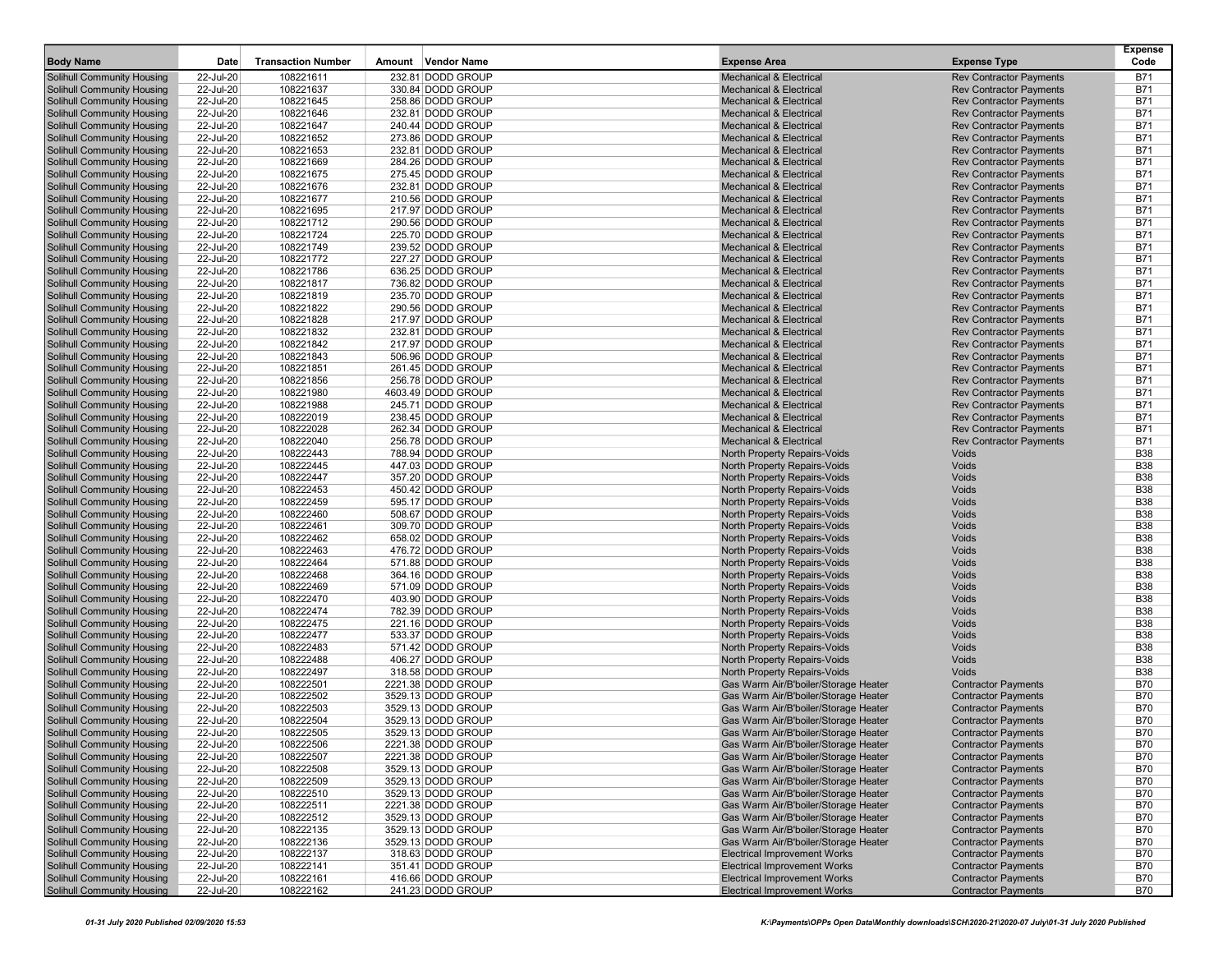| <b>Body Name</b>                  | Date      | <b>Transaction Number</b> | Amount Vendor Name                     | <b>Expense Area</b>                  | <b>Expense Type</b>            | <b>Expense</b><br>Code |
|-----------------------------------|-----------|---------------------------|----------------------------------------|--------------------------------------|--------------------------------|------------------------|
| <b>Solihull Community Housing</b> | 22-Jul-20 | 108221611                 | 232.81 DODD GROUP                      | <b>Mechanical &amp; Electrical</b>   | <b>Rev Contractor Payments</b> | <b>B71</b>             |
| <b>Solihull Community Housing</b> | 22-Jul-20 | 108221637                 | 330.84 DODD GROUP                      | <b>Mechanical &amp; Electrical</b>   | <b>Rev Contractor Payments</b> | <b>B71</b>             |
| Solihull Community Housing        | 22-Jul-20 | 108221645                 | 258.86 DODD GROUP                      | <b>Mechanical &amp; Electrical</b>   | <b>Rev Contractor Payments</b> | <b>B71</b>             |
| <b>Solihull Community Housing</b> | 22-Jul-20 | 108221646                 | 232.81 DODD GROUP                      | <b>Mechanical &amp; Electrical</b>   | <b>Rev Contractor Payments</b> | <b>B71</b>             |
| <b>Solihull Community Housing</b> | 22-Jul-20 | 108221647                 | 240.44 DODD GROUP                      | <b>Mechanical &amp; Electrical</b>   | <b>Rev Contractor Payments</b> | <b>B71</b>             |
| Solihull Community Housing        | 22-Jul-20 | 108221652                 | 273.86 DODD GROUP                      | <b>Mechanical &amp; Electrical</b>   | <b>Rev Contractor Payments</b> | <b>B71</b>             |
| <b>Solihull Community Housing</b> | 22-Jul-20 | 108221653                 | 232.81 DODD GROUP                      | <b>Mechanical &amp; Electrical</b>   | <b>Rev Contractor Payments</b> | <b>B71</b>             |
|                                   |           |                           |                                        |                                      |                                |                        |
| Solihull Community Housing        | 22-Jul-20 | 108221669                 | 284.26 DODD GROUP                      | <b>Mechanical &amp; Electrical</b>   | <b>Rev Contractor Payments</b> | <b>B71</b>             |
| Solihull Community Housing        | 22-Jul-20 | 108221675                 | 275.45 DODD GROUP                      | <b>Mechanical &amp; Electrical</b>   | <b>Rev Contractor Payments</b> | <b>B71</b>             |
| <b>Solihull Community Housing</b> | 22-Jul-20 | 108221676                 | 232.81 DODD GROUP                      | <b>Mechanical &amp; Electrical</b>   | <b>Rev Contractor Payments</b> | <b>B71</b>             |
| Solihull Community Housing        | 22-Jul-20 | 108221677                 | 210.56 DODD GROUP                      | <b>Mechanical &amp; Electrical</b>   | <b>Rev Contractor Payments</b> | <b>B71</b>             |
| Solihull Community Housing        | 22-Jul-20 | 108221695                 | 217.97 DODD GROUP                      | <b>Mechanical &amp; Electrical</b>   | <b>Rev Contractor Payments</b> | <b>B71</b>             |
| Solihull Community Housing        | 22-Jul-20 | 108221712                 | 290.56 DODD GROUP                      | <b>Mechanical &amp; Electrical</b>   | <b>Rev Contractor Payments</b> | <b>B71</b>             |
| Solihull Community Housing        | 22-Jul-20 | 108221724                 | 225.70 DODD GROUP                      | <b>Mechanical &amp; Electrical</b>   | <b>Rev Contractor Payments</b> | <b>B71</b>             |
| <b>Solihull Community Housing</b> | 22-Jul-20 | 108221749                 | 239.52 DODD GROUP                      | <b>Mechanical &amp; Electrical</b>   | <b>Rev Contractor Payments</b> | <b>B71</b>             |
| Solihull Community Housing        | 22-Jul-20 | 108221772                 | 227.27 DODD GROUP                      | <b>Mechanical &amp; Electrical</b>   | <b>Rev Contractor Payments</b> | <b>B71</b>             |
| <b>Solihull Community Housing</b> | 22-Jul-20 | 108221786                 | 636.25 DODD GROUP                      | <b>Mechanical &amp; Electrical</b>   | <b>Rev Contractor Payments</b> | <b>B71</b>             |
| Solihull Community Housing        | 22-Jul-20 | 108221817                 | 736.82 DODD GROUP                      | <b>Mechanical &amp; Electrical</b>   | <b>Rev Contractor Payments</b> | <b>B71</b>             |
| Solihull Community Housing        | 22-Jul-20 | 108221819                 | 235.70 DODD GROUP                      | <b>Mechanical &amp; Electrical</b>   | <b>Rev Contractor Payments</b> | <b>B71</b>             |
| <b>Solihull Community Housing</b> | 22-Jul-20 | 108221822                 | 290.56 DODD GROUP                      | <b>Mechanical &amp; Electrical</b>   | <b>Rev Contractor Payments</b> | <b>B71</b>             |
| Solihull Community Housing        | 22-Jul-20 | 108221828                 | 217.97 DODD GROUP                      | <b>Mechanical &amp; Electrical</b>   | <b>Rev Contractor Payments</b> | <b>B71</b>             |
| <b>Solihull Community Housing</b> | 22-Jul-20 | 108221832                 | 232.81 DODD GROUP                      | <b>Mechanical &amp; Electrical</b>   | <b>Rev Contractor Payments</b> | <b>B71</b>             |
| Solihull Community Housing        | 22-Jul-20 | 108221842                 | 217.97 DODD GROUP                      | <b>Mechanical &amp; Electrical</b>   | <b>Rev Contractor Payments</b> | <b>B71</b>             |
| <b>Solihull Community Housing</b> | 22-Jul-20 | 108221843                 | 506.96 DODD GROUP                      | <b>Mechanical &amp; Electrical</b>   | <b>Rev Contractor Payments</b> | <b>B71</b>             |
| Solihull Community Housing        | 22-Jul-20 | 108221851                 | 261.45 DODD GROUP                      | <b>Mechanical &amp; Electrical</b>   | <b>Rev Contractor Payments</b> | <b>B71</b>             |
| Solihull Community Housing        | 22-Jul-20 | 108221856                 | 256.78 DODD GROUP                      | <b>Mechanical &amp; Electrical</b>   | <b>Rev Contractor Payments</b> | <b>B71</b>             |
| Solihull Community Housing        | 22-Jul-20 | 108221980                 | 4603.49 DODD GROUP                     | <b>Mechanical &amp; Electrical</b>   | <b>Rev Contractor Payments</b> | <b>B71</b>             |
| Solihull Community Housing        | 22-Jul-20 | 108221988                 | 245.71 DODD GROUP                      | <b>Mechanical &amp; Electrical</b>   | <b>Rev Contractor Payments</b> | <b>B71</b>             |
| Solihull Community Housing        | 22-Jul-20 | 108222019                 | 238.45 DODD GROUP                      | <b>Mechanical &amp; Electrical</b>   | <b>Rev Contractor Payments</b> | <b>B71</b>             |
| <b>Solihull Community Housing</b> | 22-Jul-20 | 108222028                 | 262.34 DODD GROUP                      | <b>Mechanical &amp; Electrical</b>   | <b>Rev Contractor Payments</b> | <b>B71</b>             |
| Solihull Community Housing        | 22-Jul-20 | 108222040                 | 256.78 DODD GROUP                      | <b>Mechanical &amp; Electrical</b>   | <b>Rev Contractor Payments</b> | <b>B71</b>             |
| <b>Solihull Community Housing</b> | 22-Jul-20 | 108222443                 | 788.94 DODD GROUP                      | North Property Repairs-Voids         | Voids                          | <b>B38</b>             |
| Solihull Community Housing        | 22-Jul-20 | 108222445                 | 447.03 DODD GROUP                      | North Property Repairs-Voids         | Voids                          | <b>B38</b>             |
| Solihull Community Housing        | 22-Jul-20 | 108222447                 | 357.20 DODD GROUP                      | North Property Repairs-Voids         | Voids                          | <b>B38</b>             |
| <b>Solihull Community Housing</b> | 22-Jul-20 | 108222453                 | 450.42 DODD GROUP                      | North Property Repairs-Voids         | Voids                          | <b>B38</b>             |
| Solihull Community Housing        | 22-Jul-20 | 108222459                 | 595.17 DODD GROUP                      | <b>North Property Repairs-Voids</b>  | Voids                          | <b>B38</b>             |
| <b>Solihull Community Housing</b> | 22-Jul-20 | 108222460                 | 508.67 DODD GROUP                      | North Property Repairs-Voids         | Voids                          | <b>B38</b>             |
| Solihull Community Housing        | 22-Jul-20 | 108222461                 | 309.70 DODD GROUP                      | North Property Repairs-Voids         | Voids                          | <b>B38</b>             |
| Solihull Community Housing        | 22-Jul-20 | 108222462                 | 658.02 DODD GROUP                      | North Property Repairs-Voids         | Voids                          | <b>B38</b>             |
| Solihull Community Housing        | 22-Jul-20 | 108222463                 | 476.72 DODD GROUP                      | North Property Repairs-Voids         | Voids                          | <b>B38</b>             |
| Solihull Community Housing        | 22-Jul-20 | 108222464                 | 571.88 DODD GROUP                      | North Property Repairs-Voids         | Voids                          | <b>B38</b>             |
| <b>Solihull Community Housing</b> | 22-Jul-20 | 108222468                 | 364.16 DODD GROUP                      | North Property Repairs-Voids         | Voids                          | <b>B38</b>             |
| Solihull Community Housing        | 22-Jul-20 | 108222469                 | 571.09 DODD GROUP                      | North Property Repairs-Voids         | Voids                          | <b>B38</b>             |
| Solihull Community Housing        | 22-Jul-20 | 108222470                 | 403.90 DODD GROUP                      | North Property Repairs-Voids         | Voids                          | <b>B38</b>             |
|                                   |           |                           |                                        |                                      |                                | <b>B38</b>             |
| Solihull Community Housing        | 22-Jul-20 | 108222474                 | 782.39 DODD GROUP                      | North Property Repairs-Voids         | Voids                          |                        |
| Solihull Community Housing        | 22-Jul-20 | 108222475                 | 221.16 DODD GROUP                      | <b>North Property Repairs-Voids</b>  | Voids                          | <b>B38</b>             |
| <b>Solihull Community Housing</b> | 22-Jul-20 | 108222477                 | 533.37 DODD GROUP                      | North Property Repairs-Voids         | Voids                          | <b>B38</b>             |
| Solihull Community Housing        | 22-Jul-20 | 108222483                 | 571.42 DODD GROUP<br>406.27 DODD GROUP | North Property Repairs-Voids         | Voids                          | <b>B38</b>             |
| Solihull Community Housing        | 22-Jul-20 | 108222488                 |                                        | North Property Repairs-Voids         | Voids                          | <b>B38</b>             |
| <b>Solihull Community Housing</b> | 22-Jul-20 | 108222497                 | 318.58 DODD GROUP                      | North Property Repairs-Voids         | Voids                          | <b>B38</b>             |
| Solihull Community Housing        | 22-Jul-20 | 108222501                 | 2221.38 DODD GROUP                     | Gas Warm Air/B'boiler/Storage Heater | <b>Contractor Payments</b>     | <b>B70</b>             |
| <b>Solihull Community Housing</b> | 22-Jul-20 | 108222502                 | 3529.13 DODD GROUP                     | Gas Warm Air/B'boiler/Storage Heater | <b>Contractor Payments</b>     | <b>B70</b>             |
| Solihull Community Housing        | 22-Jul-20 | 108222503                 | 3529.13 DODD GROUP                     | Gas Warm Air/B'boiler/Storage Heater | <b>Contractor Payments</b>     | <b>B70</b>             |
| Solihull Community Housing        | 22-Jul-20 | 108222504                 | 3529.13 DODD GROUP                     | Gas Warm Air/B'boiler/Storage Heater | <b>Contractor Payments</b>     | <b>B70</b>             |
| Solihull Community Housing        | 22-Jul-20 | 108222505                 | 3529.13 DODD GROUP                     | Gas Warm Air/B'boiler/Storage Heater | <b>Contractor Payments</b>     | <b>B70</b>             |
| Solihull Community Housing        | 22-Jul-20 | 108222506                 | 2221.38 DODD GROUP                     | Gas Warm Air/B'boiler/Storage Heater | Contractor Payments            | B70                    |
| Solihull Community Housing        | 22-Jul-20 | 108222507                 | 2221.38 DODD GROUP                     | Gas Warm Air/B'boiler/Storage Heater | <b>Contractor Payments</b>     | <b>B70</b>             |
| Solihull Community Housing        | 22-Jul-20 | 108222508                 | 3529.13 DODD GROUP                     | Gas Warm Air/B'boiler/Storage Heater | <b>Contractor Payments</b>     | <b>B70</b>             |
| Solihull Community Housing        | 22-Jul-20 | 108222509                 | 3529.13 DODD GROUP                     | Gas Warm Air/B'boiler/Storage Heater | <b>Contractor Payments</b>     | <b>B70</b>             |
| <b>Solihull Community Housing</b> | 22-Jul-20 | 108222510                 | 3529.13 DODD GROUP                     | Gas Warm Air/B'boiler/Storage Heater | <b>Contractor Payments</b>     | <b>B70</b>             |
| Solihull Community Housing        | 22-Jul-20 | 108222511                 | 2221.38 DODD GROUP                     | Gas Warm Air/B'boiler/Storage Heater | <b>Contractor Payments</b>     | <b>B70</b>             |
| Solihull Community Housing        | 22-Jul-20 | 108222512                 | 3529.13 DODD GROUP                     | Gas Warm Air/B'boiler/Storage Heater | <b>Contractor Payments</b>     | <b>B70</b>             |
| Solihull Community Housing        | 22-Jul-20 | 108222135                 | 3529.13 DODD GROUP                     | Gas Warm Air/B'boiler/Storage Heater | <b>Contractor Payments</b>     | <b>B70</b>             |
| Solihull Community Housing        | 22-Jul-20 | 108222136                 | 3529.13 DODD GROUP                     | Gas Warm Air/B'boiler/Storage Heater | <b>Contractor Payments</b>     | <b>B70</b>             |
| Solihull Community Housing        | 22-Jul-20 | 108222137                 | 318.63 DODD GROUP                      | <b>Electrical Improvement Works</b>  | <b>Contractor Payments</b>     | <b>B70</b>             |
| Solihull Community Housing        | 22-Jul-20 | 108222141                 | 351.41 DODD GROUP                      | <b>Electrical Improvement Works</b>  | <b>Contractor Payments</b>     | <b>B70</b>             |
| Solihull Community Housing        | 22-Jul-20 | 108222161                 | 416.66 DODD GROUP                      | <b>Electrical Improvement Works</b>  | <b>Contractor Payments</b>     | <b>B70</b>             |
| <b>Solihull Community Housing</b> | 22-Jul-20 | 108222162                 | 241.23 DODD GROUP                      | <b>Electrical Improvement Works</b>  | <b>Contractor Payments</b>     | <b>B70</b>             |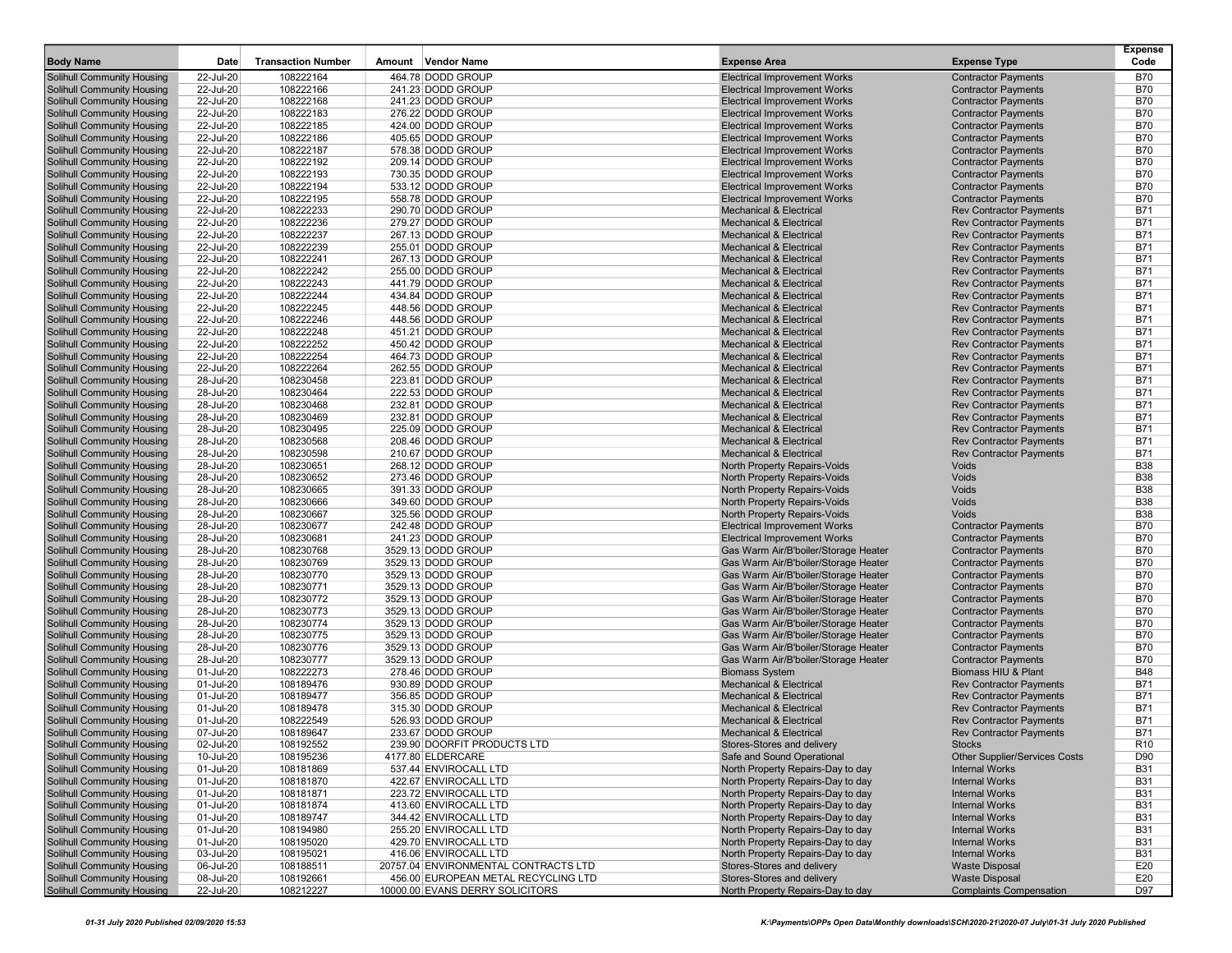| <b>Body Name</b>                                                | Date                   | <b>Transaction Number</b> | Amount Vendor Name                               | <b>Expense Area</b>                                                      | <b>Expense Type</b>                                              | <b>Expense</b><br>Code   |
|-----------------------------------------------------------------|------------------------|---------------------------|--------------------------------------------------|--------------------------------------------------------------------------|------------------------------------------------------------------|--------------------------|
| <b>Solihull Community Housing</b>                               | 22-Jul-20              | 108222164                 | 464.78 DODD GROUP                                | <b>Electrical Improvement Works</b>                                      | <b>Contractor Payments</b>                                       | <b>B70</b>               |
| <b>Solihull Community Housing</b>                               | 22-Jul-20              | 108222166                 | 241.23 DODD GROUP                                | <b>Electrical Improvement Works</b>                                      | <b>Contractor Payments</b>                                       | <b>B70</b>               |
| <b>Solihull Community Housing</b>                               | 22-Jul-20              | 108222168                 | 241.23 DODD GROUP                                | <b>Electrical Improvement Works</b>                                      | <b>Contractor Payments</b>                                       | <b>B70</b>               |
| Solihull Community Housing                                      | 22-Jul-20              | 108222183                 | 276.22 DODD GROUP                                | <b>Electrical Improvement Works</b>                                      | <b>Contractor Payments</b>                                       | <b>B70</b>               |
| Solihull Community Housing                                      | 22-Jul-20              | 108222185                 | 424.00 DODD GROUP                                | <b>Electrical Improvement Works</b>                                      | <b>Contractor Payments</b>                                       | <b>B70</b>               |
| Solihull Community Housing                                      | 22-Jul-20              | 108222186                 | 405.65 DODD GROUP                                | <b>Electrical Improvement Works</b>                                      | <b>Contractor Payments</b>                                       | <b>B70</b>               |
| <b>Solihull Community Housing</b>                               | 22-Jul-20              | 108222187                 | 578.38 DODD GROUP                                | <b>Electrical Improvement Works</b>                                      | <b>Contractor Payments</b>                                       | <b>B70</b>               |
| Solihull Community Housing                                      | 22-Jul-20              | 108222192                 | 209.14 DODD GROUP                                | <b>Electrical Improvement Works</b>                                      | <b>Contractor Payments</b>                                       | <b>B70</b>               |
| <b>Solihull Community Housing</b>                               | 22-Jul-20              | 108222193                 | 730.35 DODD GROUP                                | <b>Electrical Improvement Works</b>                                      | <b>Contractor Payments</b>                                       | <b>B70</b>               |
| <b>Solihull Community Housing</b>                               | 22-Jul-20              | 108222194                 | 533.12 DODD GROUP                                | <b>Electrical Improvement Works</b>                                      | <b>Contractor Payments</b>                                       | <b>B70</b>               |
| <b>Solihull Community Housing</b>                               | 22-Jul-20              | 108222195                 | 558.78 DODD GROUP                                | <b>Electrical Improvement Works</b>                                      | <b>Contractor Payments</b>                                       | <b>B70</b>               |
| <b>Solihull Community Housing</b>                               | 22-Jul-20              | 108222233                 | 290.70 DODD GROUP                                | <b>Mechanical &amp; Electrical</b>                                       | <b>Rev Contractor Payments</b>                                   | <b>B71</b>               |
| <b>Solihull Community Housing</b>                               | 22-Jul-20              | 108222236                 | 279.27 DODD GROUP                                | <b>Mechanical &amp; Electrical</b>                                       | <b>Rev Contractor Payments</b>                                   | <b>B71</b>               |
| <b>Solihull Community Housing</b>                               | 22-Jul-20              | 108222237                 | 267.13 DODD GROUP                                | <b>Mechanical &amp; Electrical</b>                                       | <b>Rev Contractor Payments</b>                                   | <b>B71</b>               |
| Solihull Community Housing                                      | 22-Jul-20              | 108222239                 | 255.01 DODD GROUP                                | <b>Mechanical &amp; Electrical</b>                                       | <b>Rev Contractor Payments</b>                                   | <b>B71</b>               |
| <b>Solihull Community Housing</b>                               | 22-Jul-20              | 108222241                 | 267.13 DODD GROUP                                | <b>Mechanical &amp; Electrical</b>                                       | <b>Rev Contractor Payments</b>                                   | <b>B71</b>               |
| <b>Solihull Community Housing</b>                               | 22-Jul-20              | 108222242                 | 255.00 DODD GROUP                                | <b>Mechanical &amp; Electrical</b>                                       | <b>Rev Contractor Payments</b>                                   | <b>B71</b>               |
| <b>Solihull Community Housing</b>                               | 22-Jul-20              | 108222243                 | 441.79 DODD GROUP                                | <b>Mechanical &amp; Electrical</b>                                       | <b>Rev Contractor Payments</b>                                   | <b>B71</b>               |
| <b>Solihull Community Housing</b>                               | 22-Jul-20              | 108222244                 | 434.84 DODD GROUP                                | <b>Mechanical &amp; Electrical</b>                                       | <b>Rev Contractor Payments</b>                                   | <b>B71</b>               |
| <b>Solihull Community Housing</b>                               | 22-Jul-20              | 108222245                 | 448.56 DODD GROUP                                | <b>Mechanical &amp; Electrical</b>                                       | <b>Rev Contractor Payments</b>                                   | <b>B71</b>               |
| <b>Solihull Community Housing</b>                               | 22-Jul-20              | 108222246                 | 448.56 DODD GROUP                                | <b>Mechanical &amp; Electrical</b>                                       | <b>Rev Contractor Payments</b>                                   | <b>B71</b>               |
| <b>Solihull Community Housing</b>                               | 22-Jul-20              | 108222248                 | 451.21 DODD GROUP                                | <b>Mechanical &amp; Electrical</b>                                       | <b>Rev Contractor Payments</b>                                   | <b>B71</b>               |
| <b>Solihull Community Housing</b>                               | 22-Jul-20              | 108222252                 | 450.42 DODD GROUP                                | <b>Mechanical &amp; Electrical</b>                                       | <b>Rev Contractor Payments</b>                                   | <b>B71</b>               |
| <b>Solihull Community Housing</b><br>Solihull Community Housing | 22-Jul-20<br>22-Jul-20 | 108222254                 | 464.73 DODD GROUP                                | <b>Mechanical &amp; Electrical</b>                                       | <b>Rev Contractor Payments</b>                                   | <b>B71</b><br><b>B71</b> |
| <b>Solihull Community Housing</b>                               | 28-Jul-20              | 108222264<br>108230458    | 262.55 DODD GROUP<br>223.81 DODD GROUP           | <b>Mechanical &amp; Electrical</b><br><b>Mechanical &amp; Electrical</b> | <b>Rev Contractor Payments</b><br><b>Rev Contractor Payments</b> | <b>B71</b>               |
| <b>Solihull Community Housing</b>                               | 28-Jul-20              | 108230464                 | 222.53 DODD GROUP                                | <b>Mechanical &amp; Electrical</b>                                       | <b>Rev Contractor Payments</b>                                   | <b>B71</b>               |
| Solihull Community Housing                                      | 28-Jul-20              | 108230468                 | 232.81 DODD GROUP                                | <b>Mechanical &amp; Electrical</b>                                       | <b>Rev Contractor Payments</b>                                   | <b>B71</b>               |
| <b>Solihull Community Housing</b>                               | 28-Jul-20              | 108230469                 | 232.81 DODD GROUP                                | <b>Mechanical &amp; Electrical</b>                                       | <b>Rev Contractor Payments</b>                                   | <b>B71</b>               |
| Solihull Community Housing                                      | 28-Jul-20              | 108230495                 | 225.09 DODD GROUP                                | <b>Mechanical &amp; Electrical</b>                                       | <b>Rev Contractor Payments</b>                                   | <b>B71</b>               |
| <b>Solihull Community Housing</b>                               | 28-Jul-20              | 108230568                 | 208.46 DODD GROUP                                | <b>Mechanical &amp; Electrical</b>                                       | <b>Rev Contractor Payments</b>                                   | <b>B71</b>               |
| <b>Solihull Community Housing</b>                               | 28-Jul-20              | 108230598                 | 210.67 DODD GROUP                                | <b>Mechanical &amp; Electrical</b>                                       | <b>Rev Contractor Payments</b>                                   | <b>B71</b>               |
| <b>Solihull Community Housing</b>                               | 28-Jul-20              | 108230651                 | 268.12 DODD GROUP                                | North Property Repairs-Voids                                             | Voids                                                            | <b>B38</b>               |
| <b>Solihull Community Housing</b>                               | 28-Jul-20              | 108230652                 | 273.46 DODD GROUP                                | North Property Repairs-Voids                                             | Voids                                                            | <b>B38</b>               |
| Solihull Community Housing                                      | 28-Jul-20              | 108230665                 | 391.33 DODD GROUP                                | North Property Repairs-Voids                                             | Voids                                                            | <b>B38</b>               |
| <b>Solihull Community Housing</b>                               | 28-Jul-20              | 108230666                 | 349.60 DODD GROUP                                | North Property Repairs-Voids                                             | Voids                                                            | <b>B38</b>               |
| <b>Solihull Community Housing</b>                               | 28-Jul-20              | 108230667                 | 325.56 DODD GROUP                                | North Property Repairs-Voids                                             | Voids                                                            | <b>B38</b>               |
| <b>Solihull Community Housing</b>                               | 28-Jul-20              | 108230677                 | 242.48 DODD GROUP                                | <b>Electrical Improvement Works</b>                                      | <b>Contractor Payments</b>                                       | <b>B70</b>               |
| <b>Solihull Community Housing</b>                               | 28-Jul-20              | 108230681                 | 241.23 DODD GROUP                                | <b>Electrical Improvement Works</b>                                      | <b>Contractor Payments</b>                                       | <b>B70</b>               |
| <b>Solihull Community Housing</b>                               | 28-Jul-20              | 108230768                 | 3529.13 DODD GROUP                               | Gas Warm Air/B'boiler/Storage Heater                                     | <b>Contractor Payments</b>                                       | <b>B70</b>               |
| <b>Solihull Community Housing</b>                               | 28-Jul-20              | 108230769                 | 3529.13 DODD GROUP                               | Gas Warm Air/B'boiler/Storage Heater                                     | <b>Contractor Payments</b>                                       | <b>B70</b>               |
| <b>Solihull Community Housing</b>                               | 28-Jul-20              | 108230770                 | 3529.13 DODD GROUP                               | Gas Warm Air/B'boiler/Storage Heater                                     | <b>Contractor Payments</b>                                       | <b>B70</b>               |
| <b>Solihull Community Housing</b>                               | 28-Jul-20              | 108230771                 | 3529.13 DODD GROUP                               | Gas Warm Air/B'boiler/Storage Heater                                     | <b>Contractor Payments</b>                                       | <b>B70</b>               |
| <b>Solihull Community Housing</b>                               | 28-Jul-20              | 108230772                 | 3529.13 DODD GROUP                               | Gas Warm Air/B'boiler/Storage Heater                                     | <b>Contractor Payments</b>                                       | <b>B70</b>               |
| <b>Solihull Community Housing</b>                               | 28-Jul-20              | 108230773                 | 3529.13 DODD GROUP                               | Gas Warm Air/B'boiler/Storage Heater                                     | <b>Contractor Payments</b>                                       | <b>B70</b>               |
| <b>Solihull Community Housing</b>                               | 28-Jul-20              | 108230774                 | 3529.13 DODD GROUP                               | Gas Warm Air/B'boiler/Storage Heater                                     | <b>Contractor Payments</b>                                       | <b>B70</b>               |
| <b>Solihull Community Housing</b>                               | 28-Jul-20              | 108230775                 | 3529.13 DODD GROUP                               | Gas Warm Air/B'boiler/Storage Heater                                     | <b>Contractor Payments</b>                                       | <b>B70</b>               |
| <b>Solihull Community Housing</b>                               | 28-Jul-20              | 108230776                 | 3529.13 DODD GROUP                               | Gas Warm Air/B'boiler/Storage Heater                                     | <b>Contractor Payments</b>                                       | <b>B70</b>               |
| <b>Solihull Community Housing</b>                               | 28-Jul-20              | 108230777                 | 3529.13 DODD GROUP                               | Gas Warm Air/B'boiler/Storage Heater                                     | <b>Contractor Payments</b>                                       | <b>B70</b>               |
| Solihull Community Housing                                      | 01-Jul-20              | 108222273                 | 278.46 DODD GROUP                                | <b>Biomass System</b>                                                    | Biomass HIU & Plant                                              | <b>B48</b>               |
| <b>Solihull Community Housing</b>                               | 01-Jul-20              | 108189476                 | 930.89 DODD GROUP                                | <b>Mechanical &amp; Electrical</b>                                       | <b>Rev Contractor Payments</b>                                   | <b>B71</b>               |
| <b>Solihull Community Housing</b>                               | 01-Jul-20              | 108189477                 | 356.85 DODD GROUP                                | <b>Mechanical &amp; Electrical</b>                                       | <b>Rev Contractor Payments</b>                                   | <b>B71</b>               |
| <b>Solihull Community Housing</b>                               | 01-Jul-20              | 108189478                 | 315.30 DODD GROUP                                | <b>Mechanical &amp; Electrical</b>                                       | <b>Rev Contractor Payments</b>                                   | <b>B71</b>               |
| <b>Solihull Community Housing</b>                               | 01-Jul-20              | 108222549                 | 526.93 DODD GROUP                                | <b>Mechanical &amp; Electrical</b>                                       | <b>Rev Contractor Payments</b>                                   | <b>B71</b>               |
| <b>Solihull Community Housing</b>                               | 07-Jul-20              | 108189647                 | 233.67 DODD GROUP                                | <b>Mechanical &amp; Electrical</b>                                       | <b>Rev Contractor Payments</b>                                   | <b>B71</b>               |
| Solihull Community Housing<br><b>Solihull Community Housing</b> | 02-Jul-20              | 108192552                 | 239.90 DOORFIT PRODUCTS LTD<br>4177.80 ELDERCARE | Stores-Stores and delivery                                               | <b>Stocks</b>                                                    | R <sub>10</sub><br>D90   |
| Solihull Community Housing                                      | 10-Jul-20<br>01-Jul-20 | 108195236<br>108181869    | 537.44 ENVIROCALL LTD                            | Safe and Sound Operational<br>North Property Repairs-Day to day          | Other Supplier/Services Costs<br><b>Internal Works</b>           | <b>B31</b>               |
| <b>Solihull Community Housing</b>                               | 01-Jul-20              | 108181870                 | 422.67 ENVIROCALL LTD                            | North Property Repairs-Day to day                                        | <b>Internal Works</b>                                            | <b>B31</b>               |
| Solihull Community Housing                                      | 01-Jul-20              | 108181871                 | 223.72 ENVIROCALL LTD                            | North Property Repairs-Day to day                                        | <b>Internal Works</b>                                            | <b>B31</b>               |
| Solihull Community Housing                                      | 01-Jul-20              | 108181874                 | 413.60 ENVIROCALL LTD                            | North Property Repairs-Day to day                                        | <b>Internal Works</b>                                            | <b>B31</b>               |
| <b>Solihull Community Housing</b>                               | 01-Jul-20              | 108189747                 | 344.42 ENVIROCALL LTD                            | North Property Repairs-Day to day                                        | <b>Internal Works</b>                                            | <b>B31</b>               |
| <b>Solihull Community Housing</b>                               | 01-Jul-20              | 108194980                 | 255.20 ENVIROCALL LTD                            | North Property Repairs-Day to day                                        | <b>Internal Works</b>                                            | <b>B31</b>               |
| <b>Solihull Community Housing</b>                               | 01-Jul-20              | 108195020                 | 429.70 ENVIROCALL LTD                            | North Property Repairs-Day to day                                        | <b>Internal Works</b>                                            | <b>B31</b>               |
| <b>Solihull Community Housing</b>                               | 03-Jul-20              | 108195021                 | 416.06 ENVIROCALL LTD                            | North Property Repairs-Day to day                                        | <b>Internal Works</b>                                            | <b>B31</b>               |
| Solihull Community Housing                                      | 06-Jul-20              | 108188511                 | 20757.04 ENVIRONMENTAL CONTRACTS LTD             | Stores-Stores and delivery                                               | <b>Waste Disposal</b>                                            | E20                      |
| <b>Solihull Community Housing</b>                               | 08-Jul-20              | 108192661                 | 456.00 EUROPEAN METAL RECYCLING LTD              | Stores-Stores and delivery                                               | <b>Waste Disposal</b>                                            | E20                      |
| Solihull Community Housing                                      | 22-Jul-20              | 108212227                 | 10000.00 EVANS DERRY SOLICITORS                  | North Property Repairs-Day to day                                        | <b>Complaints Compensation</b>                                   | D97                      |
|                                                                 |                        |                           |                                                  |                                                                          |                                                                  |                          |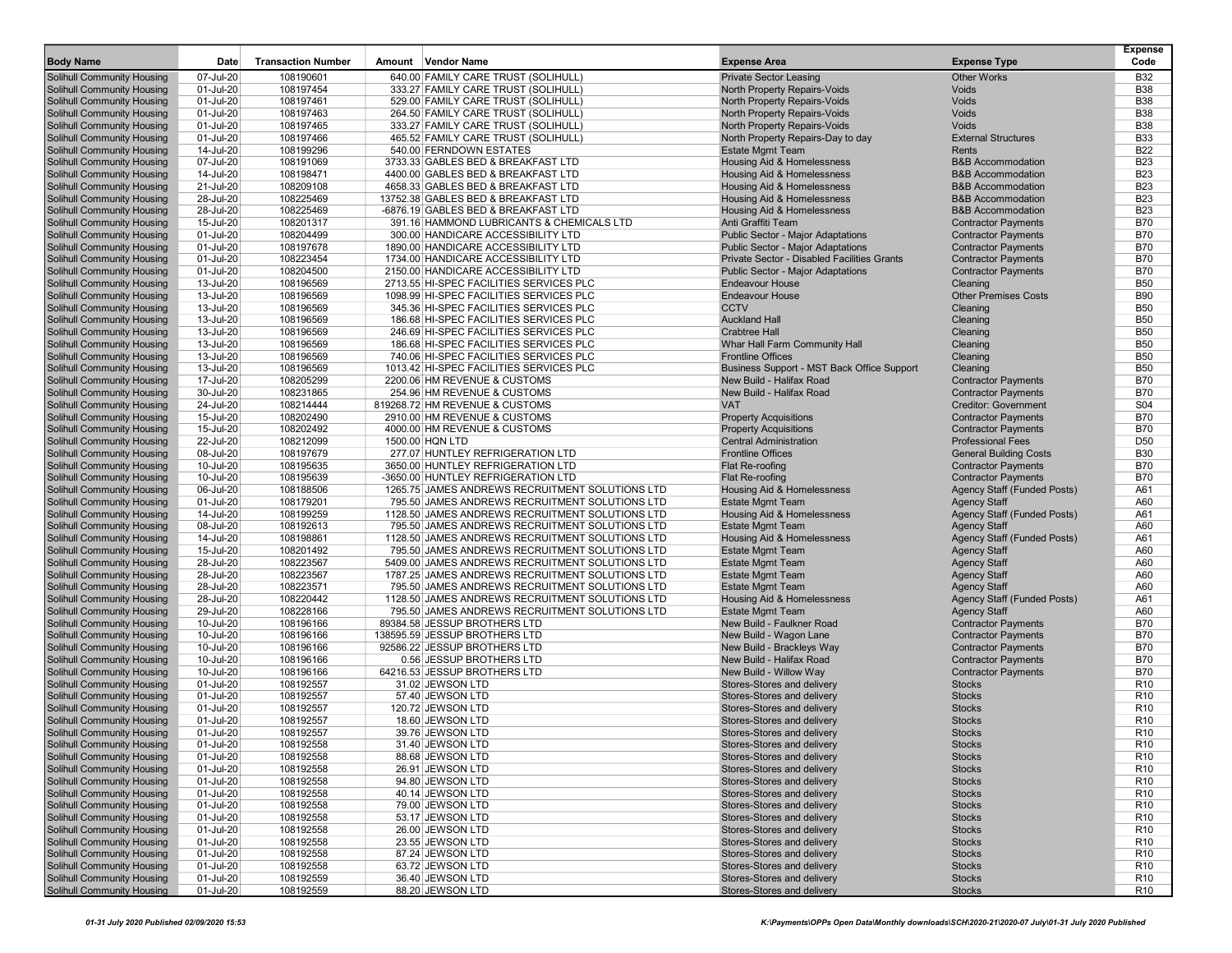| <b>Body Name</b>                                                       | Date                   | <b>Transaction Number</b> | Amount Vendor Name                                       | <b>Expense Area</b>                                      | <b>Expense Type</b>            | <b>Expense</b><br>Code             |
|------------------------------------------------------------------------|------------------------|---------------------------|----------------------------------------------------------|----------------------------------------------------------|--------------------------------|------------------------------------|
| <b>Solihull Community Housing</b>                                      | 07-Jul-20              | 108190601                 | 640.00 FAMILY CARE TRUST (SOLIHULL)                      | <b>Private Sector Leasing</b>                            | <b>Other Works</b>             | <b>B32</b>                         |
| <b>Solihull Community Housing</b>                                      | 01-Jul-20              | 108197454                 | 333.27 FAMILY CARE TRUST (SOLIHULL)                      | North Property Repairs-Voids                             | Voids                          | <b>B38</b>                         |
| <b>Solihull Community Housing</b>                                      | 01-Jul-20              | 108197461                 | 529.00 FAMILY CARE TRUST (SOLIHULL)                      | North Property Repairs-Voids                             | Voids                          | <b>B38</b>                         |
| Solihull Community Housing                                             | 01-Jul-20              | 108197463                 | 264.50 FAMILY CARE TRUST (SOLIHULL)                      | North Property Repairs-Voids                             | Voids                          | <b>B38</b>                         |
| <b>Solihull Community Housing</b>                                      | 01-Jul-20              | 108197465                 | 333.27 FAMILY CARE TRUST (SOLIHULL)                      | <b>North Property Repairs-Voids</b>                      | Voids                          | <b>B38</b>                         |
| <b>Solihull Community Housing</b>                                      | 01-Jul-20              | 108197466                 | 465.52 FAMILY CARE TRUST (SOLIHULL)                      | North Property Repairs-Day to day                        | <b>External Structures</b>     | <b>B33</b>                         |
| <b>Solihull Community Housing</b>                                      | 14-Jul-20              | 108199296                 | 540.00 FERNDOWN ESTATES                                  | <b>Estate Mgmt Team</b>                                  | Rents                          | <b>B22</b>                         |
| <b>Solihull Community Housing</b>                                      | 07-Jul-20              | 108191069                 | 3733.33 GABLES BED & BREAKFAST LTD                       | Housing Aid & Homelessness                               | <b>B&amp;B Accommodation</b>   | <b>B23</b>                         |
| <b>Solihull Community Housing</b>                                      | 14-Jul-20              | 108198471                 | 4400.00 GABLES BED & BREAKFAST LTD                       | Housing Aid & Homelessness                               | <b>B&amp;B Accommodation</b>   | <b>B23</b>                         |
| <b>Solihull Community Housing</b>                                      | 21-Jul-20              | 108209108                 | 4658.33 GABLES BED & BREAKFAST LTD                       | Housing Aid & Homelessness                               | <b>B&amp;B Accommodation</b>   | <b>B23</b>                         |
| <b>Solihull Community Housing</b>                                      | 28-Jul-20              | 108225469                 | 13752.38 GABLES BED & BREAKFAST LTD                      | Housing Aid & Homelessness                               | <b>B&amp;B Accommodation</b>   | <b>B23</b>                         |
| <b>Solihull Community Housing</b>                                      | 28-Jul-20              | 108225469                 | -6876.19 GABLES BED & BREAKFAST LTD                      | Housing Aid & Homelessness                               | <b>B&amp;B Accommodation</b>   | <b>B23</b>                         |
| <b>Solihull Community Housing</b>                                      | 15-Jul-20              | 108201317                 | 391.16 HAMMOND LUBRICANTS & CHEMICALS LTD                | Anti Graffiti Team                                       | <b>Contractor Payments</b>     | <b>B70</b>                         |
| Solihull Community Housing                                             | 01-Jul-20              | 108204499                 | 300.00 HANDICARE ACCESSIBILITY LTD                       | Public Sector - Major Adaptations                        | <b>Contractor Payments</b>     | <b>B70</b>                         |
| <b>Solihull Community Housing</b>                                      | 01-Jul-20              | 108197678                 | 1890.00 HANDICARE ACCESSIBILITY LTD                      | Public Sector - Major Adaptations                        | <b>Contractor Payments</b>     | <b>B70</b>                         |
| <b>Solihull Community Housing</b>                                      | 01-Jul-20              | 108223454                 | 1734.00 HANDICARE ACCESSIBILITY LTD                      | Private Sector - Disabled Facilities Grants              | <b>Contractor Payments</b>     | <b>B70</b>                         |
| <b>Solihull Community Housing</b>                                      | 01-Jul-20              | 108204500                 | 2150.00 HANDICARE ACCESSIBILITY LTD                      | Public Sector - Major Adaptations                        | <b>Contractor Payments</b>     | <b>B70</b>                         |
| <b>Solihull Community Housing</b>                                      | 13-Jul-20              | 108196569                 | 2713.55 HI-SPEC FACILITIES SERVICES PLC                  | <b>Endeavour House</b>                                   | Cleaning                       | <b>B50</b>                         |
| <b>Solihull Community Housing</b>                                      | 13-Jul-20              | 108196569                 | 1098.99 HI-SPEC FACILITIES SERVICES PLC                  | <b>Endeavour House</b>                                   | <b>Other Premises Costs</b>    | <b>B90</b>                         |
| <b>Solihull Community Housing</b>                                      | 13-Jul-20              | 108196569                 | 345.36 HI-SPEC FACILITIES SERVICES PLC                   | <b>CCTV</b>                                              | Cleaning                       | <b>B50</b>                         |
| <b>Solihull Community Housing</b>                                      | 13-Jul-20              | 108196569                 | 186.68 HI-SPEC FACILITIES SERVICES PLC                   | <b>Auckland Hall</b>                                     | Cleaning                       | <b>B50</b>                         |
| <b>Solihull Community Housing</b>                                      | 13-Jul-20              | 108196569                 | 246.69 HI-SPEC FACILITIES SERVICES PLC                   | <b>Crabtree Hall</b>                                     | Cleaning                       | <b>B50</b>                         |
| <b>Solihull Community Housing</b>                                      | 13-Jul-20              | 108196569                 | 186.68 HI-SPEC FACILITIES SERVICES PLC                   | Whar Hall Farm Community Hall                            | Cleaning                       | <b>B50</b>                         |
| Solihull Community Housing                                             | 13-Jul-20              | 108196569                 | 740.06 HI-SPEC FACILITIES SERVICES PLC                   | <b>Frontline Offices</b>                                 | Cleaning                       | <b>B50</b>                         |
| <b>Solihull Community Housing</b>                                      | 13-Jul-20              | 108196569                 | 1013.42 HI-SPEC FACILITIES SERVICES PLC                  | Business Support - MST Back Office Support               | Cleaning                       | <b>B50</b>                         |
| <b>Solihull Community Housing</b>                                      | 17-Jul-20              | 108205299                 | 2200.06 HM REVENUE & CUSTOMS                             | New Build - Halifax Road                                 | <b>Contractor Payments</b>     | <b>B70</b>                         |
| <b>Solihull Community Housing</b>                                      | 30-Jul-20              | 108231865                 | 254.96 HM REVENUE & CUSTOMS                              | New Build - Halifax Road                                 | <b>Contractor Payments</b>     | <b>B70</b>                         |
| <b>Solihull Community Housing</b>                                      | 24-Jul-20              | 108214444                 | 819268.72 HM REVENUE & CUSTOMS                           | <b>VAT</b>                                               | <b>Creditor: Government</b>    | S04                                |
| <b>Solihull Community Housing</b>                                      | 15-Jul-20              | 108202490                 | 2910.00 HM REVENUE & CUSTOMS                             | <b>Property Acquisitions</b>                             | <b>Contractor Payments</b>     | <b>B70</b>                         |
| <b>Solihull Community Housing</b>                                      | 15-Jul-20              | 108202492                 | 4000.00 HM REVENUE & CUSTOMS                             | <b>Property Acquisitions</b>                             | <b>Contractor Payments</b>     | <b>B70</b>                         |
| <b>Solihull Community Housing</b>                                      | 22-Jul-20              | 108212099                 | 1500.00 HQN LTD                                          | <b>Central Administration</b>                            | <b>Professional Fees</b>       | D <sub>50</sub>                    |
| <b>Solihull Community Housing</b>                                      | 08-Jul-20              | 108197679                 | 277.07 HUNTLEY REFRIGERATION LTD                         | <b>Frontline Offices</b>                                 | <b>General Building Costs</b>  | <b>B30</b>                         |
| <b>Solihull Community Housing</b>                                      | 10-Jul-20              | 108195635                 | 3650.00 HUNTLEY REFRIGERATION LTD                        | Flat Re-roofing                                          | <b>Contractor Payments</b>     | <b>B70</b>                         |
| Solihull Community Housing                                             | 10-Jul-20              | 108195639                 | -3650.00 HUNTLEY REFRIGERATION LTD                       | Flat Re-roofing                                          | <b>Contractor Payments</b>     | <b>B70</b>                         |
| <b>Solihull Community Housing</b>                                      | 06-Jul-20              | 108188506                 | 1265.75 JAMES ANDREWS RECRUITMENT SOLUTIONS LTD          | Housing Aid & Homelessness                               | Agency Staff (Funded Posts)    | A61                                |
| <b>Solihull Community Housing</b>                                      | 01-Jul-20              | 108179201                 | 795.50 JAMES ANDREWS RECRUITMENT SOLUTIONS LTD           | <b>Estate Mgmt Team</b>                                  | <b>Agency Staff</b>            | A60                                |
| <b>Solihull Community Housing</b>                                      | 14-Jul-20              | 108199259                 | 1128.50 JAMES ANDREWS RECRUITMENT SOLUTIONS LTD          | Housing Aid & Homelessness                               | Agency Staff (Funded Posts)    | A61                                |
| <b>Solihull Community Housing</b>                                      | 08-Jul-20              | 108192613                 | 795.50 JAMES ANDREWS RECRUITMENT SOLUTIONS LTD           | <b>Estate Mgmt Team</b>                                  | <b>Agency Staff</b>            | A60                                |
| <b>Solihull Community Housing</b>                                      | 14-Jul-20              | 108198861                 | 1128.50 JAMES ANDREWS RECRUITMENT SOLUTIONS LTD          | Housing Aid & Homelessness                               | Agency Staff (Funded Posts)    | A61                                |
| <b>Solihull Community Housing</b>                                      | 15-Jul-20              | 108201492                 | 795.50 JAMES ANDREWS RECRUITMENT SOLUTIONS LTD           | <b>Estate Mgmt Team</b>                                  | <b>Agency Staff</b>            | A60                                |
| <b>Solihull Community Housing</b>                                      | 28-Jul-20              | 108223567                 | 5409.00 JAMES ANDREWS RECRUITMENT SOLUTIONS LTD          | <b>Estate Mgmt Team</b>                                  | <b>Agency Staff</b>            | A60                                |
| <b>Solihull Community Housing</b>                                      | 28-Jul-20              | 108223567                 | 1787.25 JAMES ANDREWS RECRUITMENT SOLUTIONS LTD          | <b>Estate Mgmt Team</b>                                  | <b>Agency Staff</b>            | A60                                |
| <b>Solihull Community Housing</b>                                      | 28-Jul-20              | 108223571                 | 795.50 JAMES ANDREWS RECRUITMENT SOLUTIONS LTD           | <b>Estate Mgmt Team</b>                                  | <b>Agency Staff</b>            | A60                                |
| Solihull Community Housing                                             | 28-Jul-20              | 108220442                 | 1128.50 JAMES ANDREWS RECRUITMENT SOLUTIONS LTD          | Housing Aid & Homelessness                               | Agency Staff (Funded Posts)    | A61                                |
| <b>Solihull Community Housing</b>                                      | 29-Jul-20              | 108228166                 | 795.50 JAMES ANDREWS RECRUITMENT SOLUTIONS LTD           | <b>Estate Mgmt Team</b>                                  | <b>Agency Staff</b>            | A60                                |
| <b>Solihull Community Housing</b>                                      | 10-Jul-20              | 108196166                 | 89384.58 JESSUP BROTHERS LTD                             | New Build - Faulkner Road                                | <b>Contractor Payments</b>     | <b>B70</b>                         |
| <b>Solihull Community Housing</b>                                      | 10-Jul-20              | 108196166                 | 138595.59 JESSUP BROTHERS LTD                            | New Build - Wagon Lane                                   | <b>Contractor Payments</b>     | <b>B70</b>                         |
| <b>Solihull Community Housing</b>                                      | 10-Jul-20              | 108196166                 | 92586.22 JESSUP BROTHERS LTD<br>0.56 JESSUP BROTHERS LTD | New Build - Brackleys Way                                | <b>Contractor Payments</b>     | <b>B70</b>                         |
| <b>Solihull Community Housing</b>                                      | 10-Jul-20              | 108196166                 |                                                          | New Build - Halifax Road                                 | <b>Contractor Payments</b>     | <b>B70</b>                         |
| <b>Solihull Community Housing</b>                                      | 10-Jul-20              | 108196166                 | 64216.53 JESSUP BROTHERS LTD                             | New Build - Willow Way<br>Stores-Stores and delivery     | <b>Contractor Payments</b>     | <b>B70</b>                         |
| <b>Solihull Community Housing</b><br><b>Solihull Community Housing</b> | 01-Jul-20<br>01-Jul-20 | 108192557<br>108192557    | 31.02 JEWSON LTD<br>57.40 JEWSON LTD                     | Stores-Stores and delivery                               | <b>Stocks</b><br><b>Stocks</b> | R <sub>10</sub><br>R <sub>10</sub> |
|                                                                        |                        |                           |                                                          |                                                          | <b>Stocks</b>                  | R <sub>10</sub>                    |
| <b>Solihull Community Housing</b>                                      | 01-Jul-20<br>01-Jul-20 | 108192557<br>108192557    | 120.72 JEWSON LTD<br>18.60 JEWSON LTD                    | Stores-Stores and delivery<br>Stores-Stores and delivery | <b>Stocks</b>                  | R <sub>10</sub>                    |
| <b>Solihull Community Housing</b><br><b>Solihull Community Housing</b> | 01-Jul-20              | 108192557                 | 39.76 JEWSON LTD                                         | Stores-Stores and delivery                               | <b>Stocks</b>                  | R <sub>10</sub>                    |
|                                                                        |                        |                           | 31.40 JEWSON LTD                                         | Stores-Stores and delivery                               |                                |                                    |
| <b>Solihull Community Housing</b><br><b>Solihull Community Housing</b> | 01-Jul-20<br>01-Jul-20 | 108192558                 |                                                          |                                                          | Stocks<br><b>Stocks</b>        | R <sub>10</sub><br>R <sub>10</sub> |
| Solihull Community Housing                                             | 01-Jul-20              | 108192558<br>108192558    | 88.68 JEWSON LTD<br>26.91 JEWSON LTD                     | Stores-Stores and delivery<br>Stores-Stores and delivery | <b>Stocks</b>                  | R <sub>10</sub>                    |
| <b>Solihull Community Housing</b>                                      | 01-Jul-20              | 108192558                 | 94.80 JEWSON LTD                                         | Stores-Stores and delivery                               | <b>Stocks</b>                  | R <sub>10</sub>                    |
| <b>Solihull Community Housing</b>                                      |                        |                           |                                                          | Stores-Stores and delivery                               |                                | R <sub>10</sub>                    |
| Solihull Community Housing                                             | 01-Jul-20<br>01-Jul-20 | 108192558<br>108192558    | 40.14 JEWSON LTD<br>79.00 JEWSON LTD                     | Stores-Stores and delivery                               | <b>Stocks</b><br><b>Stocks</b> | R <sub>10</sub>                    |
| <b>Solihull Community Housing</b>                                      | 01-Jul-20              | 108192558                 | 53.17 JEWSON LTD                                         | Stores-Stores and delivery                               | <b>Stocks</b>                  | R <sub>10</sub>                    |
| <b>Solihull Community Housing</b>                                      | 01-Jul-20              | 108192558                 | 26.00 JEWSON LTD                                         | Stores-Stores and delivery                               | <b>Stocks</b>                  | R <sub>10</sub>                    |
| Solihull Community Housing                                             | 01-Jul-20              | 108192558                 | 23.55 JEWSON LTD                                         | Stores-Stores and delivery                               | <b>Stocks</b>                  | R <sub>10</sub>                    |
| <b>Solihull Community Housing</b>                                      | 01-Jul-20              |                           | 87.24 JEWSON LTD                                         | Stores-Stores and delivery                               | <b>Stocks</b>                  | R <sub>10</sub>                    |
| Solihull Community Housing                                             | 01-Jul-20              | 108192558<br>108192558    | 63.72 JEWSON LTD                                         | Stores-Stores and delivery                               | <b>Stocks</b>                  | R <sub>10</sub>                    |
| Solihull Community Housing                                             | 01-Jul-20              | 108192559                 | 36.40 JEWSON LTD                                         | Stores-Stores and delivery                               | <b>Stocks</b>                  | R <sub>10</sub>                    |
| Solihull Community Housing                                             | 01-Jul-20              | 108192559                 | 88.20 JEWSON LTD                                         | Stores-Stores and delivery                               | <b>Stocks</b>                  | R <sub>10</sub>                    |
|                                                                        |                        |                           |                                                          |                                                          |                                |                                    |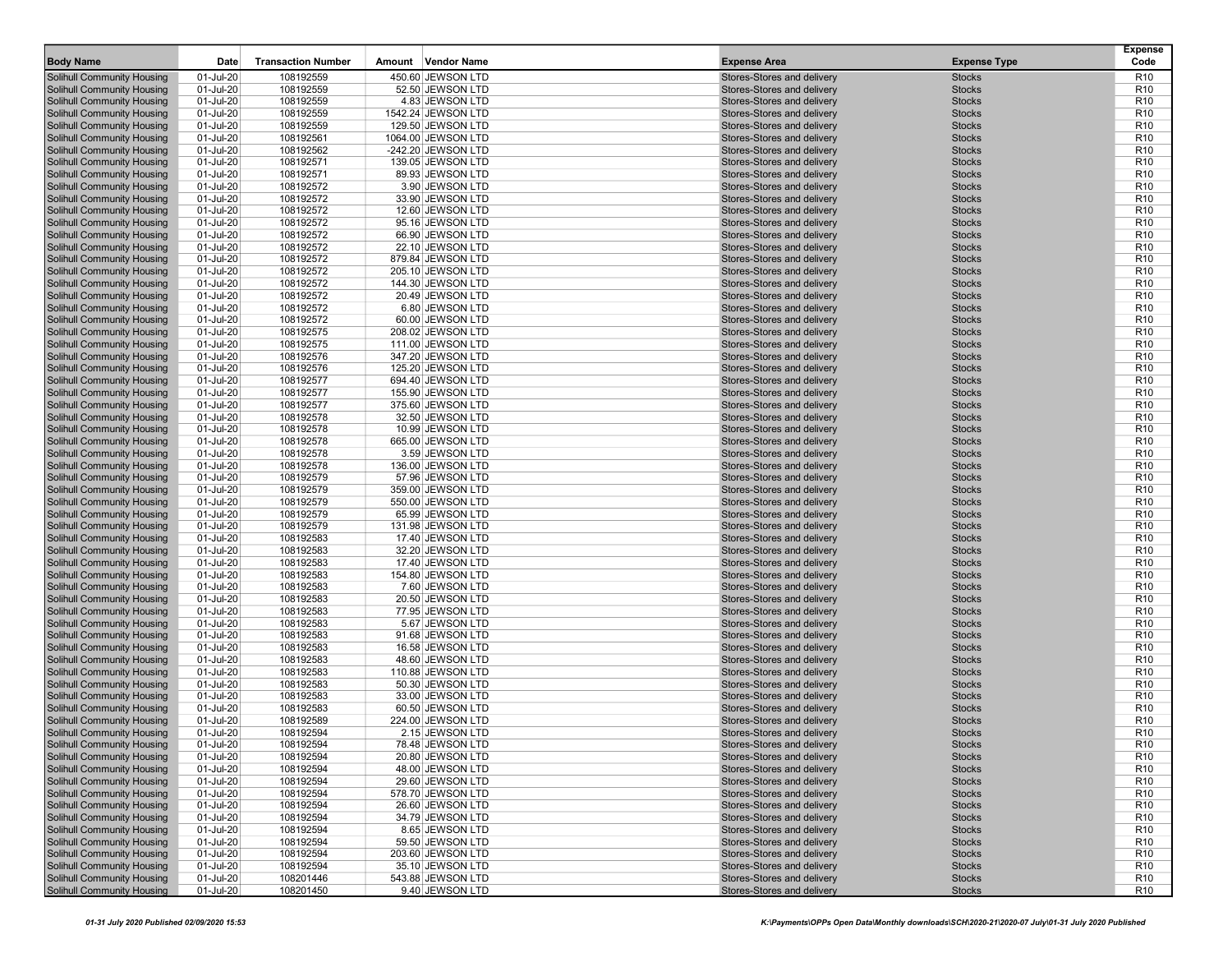| <b>Body Name</b>                                                       | Date                   | <b>Transaction Number</b> | Amount Vendor Name                   | <b>Expense Area</b>                                      | <b>Expense Type</b>            | <b>Expense</b><br>Code             |
|------------------------------------------------------------------------|------------------------|---------------------------|--------------------------------------|----------------------------------------------------------|--------------------------------|------------------------------------|
| Solihull Community Housing                                             | 01-Jul-20              | 108192559                 | 450.60 JEWSON LTD                    | Stores-Stores and delivery                               | <b>Stocks</b>                  | R <sub>10</sub>                    |
| <b>Solihull Community Housing</b>                                      | 01-Jul-20              | 108192559                 | 52.50 JEWSON LTD                     | Stores-Stores and delivery                               | <b>Stocks</b>                  | R <sub>10</sub>                    |
| <b>Solihull Community Housing</b>                                      | 01-Jul-20              | 108192559                 | 4.83 JEWSON LTD                      | Stores-Stores and delivery                               | <b>Stocks</b>                  | R <sub>10</sub>                    |
| <b>Solihull Community Housing</b>                                      | 01-Jul-20              | 108192559                 | 1542.24 JEWSON LTD                   | Stores-Stores and delivery                               | <b>Stocks</b>                  | R <sub>10</sub>                    |
| <b>Solihull Community Housing</b>                                      | 01-Jul-20              | 108192559                 | 129.50 JEWSON LTD                    | Stores-Stores and delivery                               | <b>Stocks</b>                  | R <sub>10</sub>                    |
| Solihull Community Housing                                             | 01-Jul-20              | 108192561                 | 1064.00 JEWSON LTD                   | Stores-Stores and delivery                               | <b>Stocks</b>                  | R <sub>10</sub>                    |
| Solihull Community Housing                                             | 01-Jul-20              | 108192562                 | -242.20 JEWSON LTD                   | Stores-Stores and delivery                               | <b>Stocks</b>                  | R <sub>10</sub>                    |
| <b>Solihull Community Housing</b>                                      | 01-Jul-20              | 108192571                 | 139.05 JEWSON LTD                    | Stores-Stores and delivery                               | <b>Stocks</b>                  | R <sub>10</sub>                    |
| <b>Solihull Community Housing</b>                                      | 01-Jul-20              | 108192571                 | 89.93 JEWSON LTD                     | Stores-Stores and delivery                               | <b>Stocks</b>                  | R <sub>10</sub>                    |
| <b>Solihull Community Housing</b>                                      | 01-Jul-20              | 108192572                 | 3.90 JEWSON LTD                      | Stores-Stores and delivery                               | <b>Stocks</b>                  | R <sub>10</sub>                    |
| Solihull Community Housing                                             | 01-Jul-20              | 108192572                 | 33.90 JEWSON LTD                     | Stores-Stores and delivery                               | <b>Stocks</b>                  | R <sub>10</sub>                    |
| Solihull Community Housing                                             | 01-Jul-20              | 108192572                 | 12.60 JEWSON LTD                     | Stores-Stores and delivery                               | <b>Stocks</b>                  | R <sub>10</sub>                    |
| <b>Solihull Community Housing</b>                                      | 01-Jul-20              | 108192572                 | 95.16 JEWSON LTD                     | Stores-Stores and delivery                               | <b>Stocks</b>                  | R <sub>10</sub>                    |
| <b>Solihull Community Housing</b>                                      | 01-Jul-20              | 108192572                 | 66.90 JEWSON LTD                     | Stores-Stores and delivery                               | <b>Stocks</b>                  | R <sub>10</sub>                    |
| <b>Solihull Community Housing</b>                                      | 01-Jul-20              | 108192572                 | 22.10 JEWSON LTD                     | Stores-Stores and delivery                               | <b>Stocks</b>                  | R <sub>10</sub>                    |
| Solihull Community Housing                                             | 01-Jul-20              | 108192572                 | 879.84 JEWSON LTD                    | Stores-Stores and delivery                               | <b>Stocks</b>                  | R <sub>10</sub>                    |
| Solihull Community Housing                                             | 01-Jul-20              | 108192572                 | 205.10 JEWSON LTD                    | Stores-Stores and delivery                               | <b>Stocks</b>                  | R <sub>10</sub>                    |
| <b>Solihull Community Housing</b>                                      | 01-Jul-20              | 108192572                 | 144.30 JEWSON LTD                    | Stores-Stores and delivery                               | <b>Stocks</b>                  | R <sub>10</sub>                    |
| <b>Solihull Community Housing</b>                                      | 01-Jul-20              | 108192572                 | 20.49 JEWSON LTD                     | Stores-Stores and delivery                               | <b>Stocks</b>                  | R <sub>10</sub>                    |
| <b>Solihull Community Housing</b>                                      | 01-Jul-20              | 108192572                 | 6.80 JEWSON LTD                      | Stores-Stores and delivery                               | <b>Stocks</b>                  | R <sub>10</sub>                    |
| Solihull Community Housing                                             | 01-Jul-20              | 108192572                 | 60.00 JEWSON LTD                     | Stores-Stores and delivery                               | <b>Stocks</b>                  | R <sub>10</sub>                    |
| <b>Solihull Community Housing</b>                                      | 01-Jul-20              | 108192575                 | 208.02 JEWSON LTD                    | Stores-Stores and delivery                               | <b>Stocks</b>                  | R <sub>10</sub>                    |
| <b>Solihull Community Housing</b>                                      | 01-Jul-20              | 108192575                 | 111.00 JEWSON LTD                    | Stores-Stores and delivery                               | <b>Stocks</b>                  | R <sub>10</sub>                    |
| <b>Solihull Community Housing</b>                                      | 01-Jul-20              | 108192576                 | 347.20 JEWSON LTD                    | Stores-Stores and delivery                               | <b>Stocks</b>                  | R <sub>10</sub>                    |
| <b>Solihull Community Housing</b>                                      | 01-Jul-20              | 108192576                 | 125.20 JEWSON LTD                    | Stores-Stores and delivery                               | <b>Stocks</b>                  | R <sub>10</sub>                    |
| Solihull Community Housing                                             | 01-Jul-20              | 108192577                 | 694.40 JEWSON LTD                    | Stores-Stores and delivery                               | <b>Stocks</b>                  | R <sub>10</sub>                    |
| Solihull Community Housing                                             | 01-Jul-20              | 108192577                 | 155.90 JEWSON LTD                    | Stores-Stores and delivery                               | <b>Stocks</b>                  | R <sub>10</sub>                    |
| <b>Solihull Community Housing</b>                                      | 01-Jul-20              | 108192577                 | 375.60 JEWSON LTD                    | Stores-Stores and delivery                               | <b>Stocks</b>                  | R <sub>10</sub>                    |
| <b>Solihull Community Housing</b>                                      | 01-Jul-20              | 108192578                 | 32.50 JEWSON LTD                     | Stores-Stores and delivery<br>Stores-Stores and delivery | <b>Stocks</b>                  | R <sub>10</sub>                    |
| <b>Solihull Community Housing</b>                                      | 01-Jul-20              | 108192578                 | 10.99 JEWSON LTD                     |                                                          | <b>Stocks</b>                  | R <sub>10</sub>                    |
| <b>Solihull Community Housing</b><br>Solihull Community Housing        | 01-Jul-20<br>01-Jul-20 | 108192578<br>108192578    | 665.00 JEWSON LTD<br>3.59 JEWSON LTD | Stores-Stores and delivery<br>Stores-Stores and delivery | <b>Stocks</b><br><b>Stocks</b> | R <sub>10</sub><br>R <sub>10</sub> |
| <b>Solihull Community Housing</b>                                      | 01-Jul-20              | 108192578                 | 136.00 JEWSON LTD                    | Stores-Stores and delivery                               | <b>Stocks</b>                  | R <sub>10</sub>                    |
| <b>Solihull Community Housing</b>                                      | 01-Jul-20              | 108192579                 | 57.96 JEWSON LTD                     | Stores-Stores and delivery                               | <b>Stocks</b>                  | R <sub>10</sub>                    |
| <b>Solihull Community Housing</b>                                      | 01-Jul-20              | 108192579                 | 359.00 JEWSON LTD                    | Stores-Stores and delivery                               | <b>Stocks</b>                  | R <sub>10</sub>                    |
| Solihull Community Housing                                             | 01-Jul-20              | 108192579                 | 550.00 JEWSON LTD                    | Stores-Stores and delivery                               | <b>Stocks</b>                  | R <sub>10</sub>                    |
| Solihull Community Housing                                             | 01-Jul-20              | 108192579                 | 65.99 JEWSON LTD                     | Stores-Stores and delivery                               | <b>Stocks</b>                  | R <sub>10</sub>                    |
| <b>Solihull Community Housing</b>                                      | 01-Jul-20              | 108192579                 | 131.98 JEWSON LTD                    | Stores-Stores and delivery                               | <b>Stocks</b>                  | R <sub>10</sub>                    |
| <b>Solihull Community Housing</b>                                      | 01-Jul-20              | 108192583                 | 17.40 JEWSON LTD                     | Stores-Stores and delivery                               | <b>Stocks</b>                  | R <sub>10</sub>                    |
| Solihull Community Housing                                             | 01-Jul-20              | 108192583                 | 32.20 JEWSON LTD                     | Stores-Stores and delivery                               | <b>Stocks</b>                  | R <sub>10</sub>                    |
| Solihull Community Housing                                             | 01-Jul-20              | 108192583                 | 17.40 JEWSON LTD                     | Stores-Stores and delivery                               | <b>Stocks</b>                  | R <sub>10</sub>                    |
| Solihull Community Housing                                             | 01-Jul-20              | 108192583                 | 154.80 JEWSON LTD                    | Stores-Stores and delivery                               | <b>Stocks</b>                  | R <sub>10</sub>                    |
| <b>Solihull Community Housing</b>                                      | 01-Jul-20              | 108192583                 | 7.60 JEWSON LTD                      | Stores-Stores and delivery                               | <b>Stocks</b>                  | R <sub>10</sub>                    |
| <b>Solihull Community Housing</b>                                      | 01-Jul-20              | 108192583                 | 20.50 JEWSON LTD                     | Stores-Stores and delivery                               | <b>Stocks</b>                  | R <sub>10</sub>                    |
| <b>Solihull Community Housing</b>                                      | 01-Jul-20              | 108192583                 | 77.95 JEWSON LTD                     | Stores-Stores and delivery                               | <b>Stocks</b>                  | R <sub>10</sub>                    |
| Solihull Community Housing                                             | 01-Jul-20              | 108192583                 | 5.67 JEWSON LTD                      | Stores-Stores and delivery                               | <b>Stocks</b>                  | R <sub>10</sub>                    |
| Solihull Community Housing                                             | 01-Jul-20              | 108192583                 | 91.68 JEWSON LTD                     | Stores-Stores and delivery                               | <b>Stocks</b>                  | R <sub>10</sub>                    |
| <b>Solihull Community Housing</b>                                      | 01-Jul-20              | 108192583                 | 16.58 JEWSON LTD                     | Stores-Stores and delivery                               | <b>Stocks</b>                  | R <sub>10</sub>                    |
| <b>Solihull Community Housing</b>                                      | 01-Jul-20              | 108192583                 | 48.60 JEWSON LTD                     | Stores-Stores and delivery                               | <b>Stocks</b>                  | R <sub>10</sub>                    |
| <b>Solihull Community Housing</b>                                      | 01-Jul-20              | 108192583                 | 110.88 JEWSON LTD                    | Stores-Stores and delivery                               | <b>Stocks</b>                  | R <sub>10</sub>                    |
| Solihull Community Housing                                             | 01-Jul-20              | 108192583                 | 50.30 JEWSON LTD                     | Stores-Stores and delivery                               | <b>Stocks</b>                  | R <sub>10</sub>                    |
| Solihull Community Housing                                             | 01-Jul-20              | 108192583                 | 33.00 JEWSON LTD                     | Stores-Stores and delivery                               | <b>Stocks</b>                  | R <sub>10</sub>                    |
| <b>Solihull Community Housing</b>                                      | 01-Jul-20              | 108192583                 | 60.50 JEWSON LTD                     | Stores-Stores and delivery<br>Stores-Stores and delivery | <b>Stocks</b>                  | R <sub>10</sub>                    |
| <b>Solihull Community Housing</b><br><b>Solihull Community Housing</b> | 01-Jul-20              | 108192589                 | 224.00 JEWSON LTD                    |                                                          | <b>Stocks</b><br><b>Stocks</b> | R <sub>10</sub><br>R <sub>10</sub> |
|                                                                        | 01-Jul-20              | 108192594                 | 2.15 JEWSON LTD                      | Stores-Stores and delivery                               |                                |                                    |
| Solihull Community Housing<br>Solihull Community Housing               | 01-Jul-20<br>01-Jul-20 | 108192594<br>108192594    | 78.48 JEWSON LTD                     | Stores-Stores and delivery<br>Stores-Stores and delivery | <b>Stocks</b><br><b>Stocks</b> | R <sub>10</sub><br>R <sub>10</sub> |
| Solihull Community Housing                                             | 01-Jul-20              | 108192594                 | 20.80 JEWSON LTD<br>48.00 JEWSON LTD | Stores-Stores and delivery                               | <b>Stocks</b>                  | R <sub>10</sub>                    |
| Solihull Community Housing                                             | 01-Jul-20              | 108192594                 | 29.60 JEWSON LTD                     | Stores-Stores and delivery                               | <b>Stocks</b>                  | R <sub>10</sub>                    |
| <b>Solihull Community Housing</b>                                      | 01-Jul-20              | 108192594                 | 578.70 JEWSON LTD                    | Stores-Stores and delivery                               | <b>Stocks</b>                  | R <sub>10</sub>                    |
| Solihull Community Housing                                             | 01-Jul-20              | 108192594                 | 26.60 JEWSON LTD                     | Stores-Stores and delivery                               | <b>Stocks</b>                  | R <sub>10</sub>                    |
| Solihull Community Housing                                             | 01-Jul-20              | 108192594                 | 34.79 JEWSON LTD                     | Stores-Stores and delivery                               | <b>Stocks</b>                  | R <sub>10</sub>                    |
| Solihull Community Housing                                             | 01-Jul-20              | 108192594                 | 8.65 JEWSON LTD                      | Stores-Stores and delivery                               | <b>Stocks</b>                  | R <sub>10</sub>                    |
| Solihull Community Housing                                             | 01-Jul-20              | 108192594                 | 59.50 JEWSON LTD                     | Stores-Stores and delivery                               | <b>Stocks</b>                  | R <sub>10</sub>                    |
| Solihull Community Housing                                             | 01-Jul-20              | 108192594                 | 203.60 JEWSON LTD                    | Stores-Stores and delivery                               | <b>Stocks</b>                  | R <sub>10</sub>                    |
| Solihull Community Housing                                             | 01-Jul-20              | 108192594                 | 35.10 JEWSON LTD                     | Stores-Stores and delivery                               | <b>Stocks</b>                  | R <sub>10</sub>                    |
| Solihull Community Housing                                             | 01-Jul-20              | 108201446                 | 543.88 JEWSON LTD                    | Stores-Stores and delivery                               | <b>Stocks</b>                  | R <sub>10</sub>                    |
| Solihull Community Housing                                             | 01-Jul-20              | 108201450                 | 9.40 JEWSON LTD                      | Stores-Stores and delivery                               | <b>Stocks</b>                  | R <sub>10</sub>                    |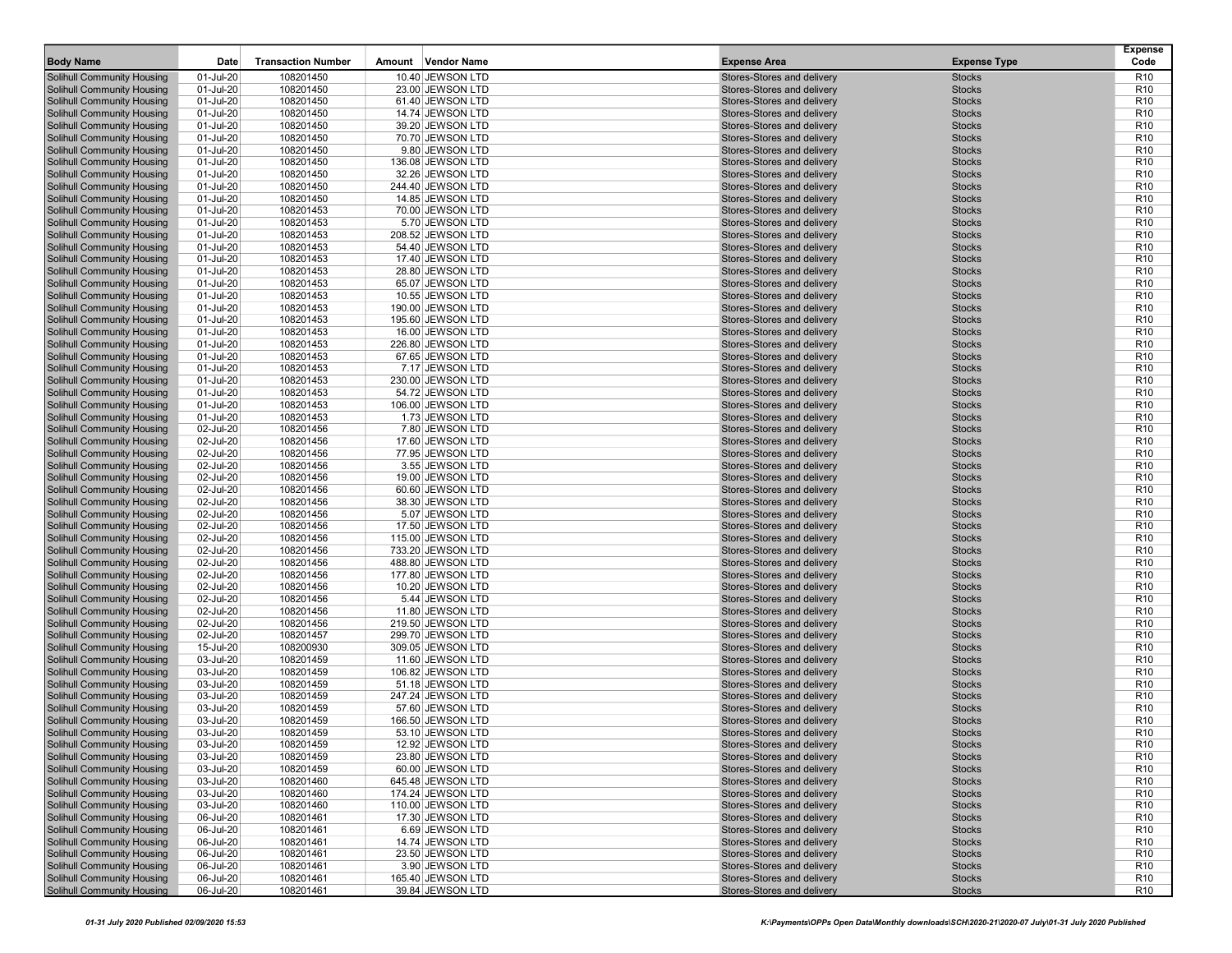| <b>Body Name</b>                                         | Date                   | <b>Transaction Number</b> | Amount Vendor Name                   | <b>Expense Area</b>                                      | <b>Expense Type</b>            | <b>Expense</b><br>Code             |
|----------------------------------------------------------|------------------------|---------------------------|--------------------------------------|----------------------------------------------------------|--------------------------------|------------------------------------|
| Solihull Community Housing                               | 01-Jul-20              | 108201450                 | 10.40 JEWSON LTD                     | Stores-Stores and delivery                               | <b>Stocks</b>                  | R <sub>10</sub>                    |
| Solihull Community Housing                               | 01-Jul-20              | 108201450                 | 23.00 JEWSON LTD                     | Stores-Stores and delivery                               | <b>Stocks</b>                  | R <sub>10</sub>                    |
| <b>Solihull Community Housing</b>                        | 01-Jul-20              | 108201450                 | 61.40 JEWSON LTD                     | Stores-Stores and delivery                               | <b>Stocks</b>                  | R <sub>10</sub>                    |
| <b>Solihull Community Housing</b>                        | 01-Jul-20              | 108201450                 | 14.74 JEWSON LTD                     | Stores-Stores and delivery                               | <b>Stocks</b>                  | R <sub>10</sub>                    |
| Solihull Community Housing                               | 01-Jul-20              | 108201450                 | 39.20 JEWSON LTD                     | Stores-Stores and delivery                               | <b>Stocks</b>                  | R <sub>10</sub>                    |
| <b>Solihull Community Housing</b>                        | 01-Jul-20              | 108201450                 | 70.70 JEWSON LTD                     | Stores-Stores and delivery                               | <b>Stocks</b>                  | R <sub>10</sub>                    |
| Solihull Community Housing                               | 01-Jul-20              | 108201450                 | 9.80 JEWSON LTD                      | Stores-Stores and delivery                               | <b>Stocks</b>                  | R <sub>10</sub>                    |
| Solihull Community Housing                               | 01-Jul-20              | 108201450                 | 136.08 JEWSON LTD                    | Stores-Stores and delivery                               | <b>Stocks</b>                  | R <sub>10</sub>                    |
| <b>Solihull Community Housing</b>                        | 01-Jul-20              | 108201450                 | 32.26 JEWSON LTD                     | Stores-Stores and delivery                               | <b>Stocks</b>                  | R <sub>10</sub>                    |
| Solihull Community Housing                               | 01-Jul-20              | 108201450                 | 244.40 JEWSON LTD                    | Stores-Stores and delivery                               | <b>Stocks</b>                  | R <sub>10</sub>                    |
| <b>Solihull Community Housing</b>                        | 01-Jul-20              | 108201450                 | 14.85 JEWSON LTD                     | Stores-Stores and delivery                               | <b>Stocks</b>                  | R <sub>10</sub>                    |
| <b>Solihull Community Housing</b>                        | 01-Jul-20              | 108201453                 | 70.00 JEWSON LTD                     | Stores-Stores and delivery                               | <b>Stocks</b>                  | R <sub>10</sub>                    |
| Solihull Community Housing                               | 01-Jul-20              | 108201453                 | 5.70 JEWSON LTD                      | Stores-Stores and delivery                               | <b>Stocks</b>                  | R <sub>10</sub>                    |
| <b>Solihull Community Housing</b>                        | 01-Jul-20              | 108201453                 | 208.52 JEWSON LTD                    | Stores-Stores and delivery                               | <b>Stocks</b>                  | R <sub>10</sub>                    |
| Solihull Community Housing                               | 01-Jul-20              | 108201453                 | 54.40 JEWSON LTD                     | Stores-Stores and delivery                               | <b>Stocks</b>                  | R <sub>10</sub>                    |
| <b>Solihull Community Housing</b>                        | 01-Jul-20              | 108201453                 | 17.40 JEWSON LTD                     | Stores-Stores and delivery                               | <b>Stocks</b>                  | R <sub>10</sub>                    |
| Solihull Community Housing                               | 01-Jul-20              | 108201453                 | 28.80 JEWSON LTD                     | Stores-Stores and delivery                               | <b>Stocks</b>                  | R <sub>10</sub>                    |
| <b>Solihull Community Housing</b>                        | 01-Jul-20              | 108201453                 | 65.07 JEWSON LTD                     | Stores-Stores and delivery                               | <b>Stocks</b>                  | R <sub>10</sub>                    |
| <b>Solihull Community Housing</b>                        | 01-Jul-20              | 108201453                 | 10.55 JEWSON LTD                     | Stores-Stores and delivery                               | <b>Stocks</b>                  | R <sub>10</sub>                    |
| Solihull Community Housing                               | 01-Jul-20              | 108201453                 | 190.00 JEWSON LTD                    | Stores-Stores and delivery                               | <b>Stocks</b>                  | R <sub>10</sub>                    |
| <b>Solihull Community Housing</b>                        | 01-Jul-20              | 108201453                 | 195.60 JEWSON LTD                    | Stores-Stores and delivery                               | <b>Stocks</b>                  | R <sub>10</sub>                    |
| <b>Solihull Community Housing</b>                        | 01-Jul-20              | 108201453                 | 16.00 JEWSON LTD                     | Stores-Stores and delivery                               | <b>Stocks</b>                  | R <sub>10</sub>                    |
| <b>Solihull Community Housing</b>                        | 01-Jul-20              | 108201453                 | 226.80 JEWSON LTD                    | Stores-Stores and delivery                               | <b>Stocks</b>                  | R <sub>10</sub>                    |
| <b>Solihull Community Housing</b>                        | 01-Jul-20              | 108201453                 | 67.65 JEWSON LTD                     | Stores-Stores and delivery                               | <b>Stocks</b>                  | R <sub>10</sub>                    |
| Solihull Community Housing                               | 01-Jul-20              | 108201453                 | 7.17 JEWSON LTD                      | Stores-Stores and delivery                               | <b>Stocks</b>                  | R <sub>10</sub>                    |
| <b>Solihull Community Housing</b>                        | 01-Jul-20              | 108201453                 | 230.00 JEWSON LTD                    | Stores-Stores and delivery                               | <b>Stocks</b>                  | R <sub>10</sub>                    |
| <b>Solihull Community Housing</b>                        | 01-Jul-20              | 108201453                 | 54.72 JEWSON LTD                     | Stores-Stores and delivery                               | <b>Stocks</b>                  | R <sub>10</sub>                    |
| Solihull Community Housing                               | 01-Jul-20              | 108201453                 | 106.00 JEWSON LTD                    | Stores-Stores and delivery                               | <b>Stocks</b>                  | R <sub>10</sub>                    |
| <b>Solihull Community Housing</b>                        | 01-Jul-20              | 108201453                 | 1.73 JEWSON LTD                      | Stores-Stores and delivery                               | <b>Stocks</b>                  | R <sub>10</sub>                    |
| Solihull Community Housing                               | 02-Jul-20              | 108201456                 | 7.80 JEWSON LTD                      | Stores-Stores and delivery                               | <b>Stocks</b>                  | R <sub>10</sub>                    |
| <b>Solihull Community Housing</b>                        | 02-Jul-20              | 108201456                 | 17.60 JEWSON LTD                     | Stores-Stores and delivery                               | <b>Stocks</b>                  | R <sub>10</sub>                    |
| <b>Solihull Community Housing</b>                        | 02-Jul-20              | 108201456                 | 77.95 JEWSON LTD                     | Stores-Stores and delivery                               | <b>Stocks</b>                  | R <sub>10</sub><br>R <sub>10</sub> |
| <b>Solihull Community Housing</b>                        | 02-Jul-20              | 108201456                 | 3.55 JEWSON LTD                      | Stores-Stores and delivery<br>Stores-Stores and delivery | <b>Stocks</b>                  | R <sub>10</sub>                    |
| <b>Solihull Community Housing</b>                        | 02-Jul-20              | 108201456<br>108201456    | 19.00 JEWSON LTD                     |                                                          | <b>Stocks</b><br><b>Stocks</b> | R <sub>10</sub>                    |
| Solihull Community Housing<br>Solihull Community Housing | 02-Jul-20<br>02-Jul-20 | 108201456                 | 60.60 JEWSON LTD<br>38.30 JEWSON LTD | Stores-Stores and delivery<br>Stores-Stores and delivery | <b>Stocks</b>                  | R <sub>10</sub>                    |
| <b>Solihull Community Housing</b>                        | 02-Jul-20              | 108201456                 | 5.07 JEWSON LTD                      | Stores-Stores and delivery                               | <b>Stocks</b>                  | R <sub>10</sub>                    |
| <b>Solihull Community Housing</b>                        | 02-Jul-20              | 108201456                 | 17.50 JEWSON LTD                     | Stores-Stores and delivery                               | <b>Stocks</b>                  | R <sub>10</sub>                    |
| <b>Solihull Community Housing</b>                        | 02-Jul-20              | 108201456                 | 115.00 JEWSON LTD                    | Stores-Stores and delivery                               | <b>Stocks</b>                  | R <sub>10</sub>                    |
| Solihull Community Housing                               | 02-Jul-20              | 108201456                 | 733.20 JEWSON LTD                    | Stores-Stores and delivery                               | <b>Stocks</b>                  | R <sub>10</sub>                    |
| <b>Solihull Community Housing</b>                        | 02-Jul-20              | 108201456                 | 488.80 JEWSON LTD                    | Stores-Stores and delivery                               | <b>Stocks</b>                  | R <sub>10</sub>                    |
| Solihull Community Housing                               | 02-Jul-20              | 108201456                 | 177.80 JEWSON LTD                    | Stores-Stores and delivery                               | <b>Stocks</b>                  | R <sub>10</sub>                    |
| Solihull Community Housing                               | 02-Jul-20              | 108201456                 | 10.20 JEWSON LTD                     | Stores-Stores and delivery                               | <b>Stocks</b>                  | R <sub>10</sub>                    |
| <b>Solihull Community Housing</b>                        | 02-Jul-20              | 108201456                 | 5.44 JEWSON LTD                      | Stores-Stores and delivery                               | <b>Stocks</b>                  | R <sub>10</sub>                    |
| Solihull Community Housing                               | 02-Jul-20              | 108201456                 | 11.80 JEWSON LTD                     | Stores-Stores and delivery                               | <b>Stocks</b>                  | R <sub>10</sub>                    |
| <b>Solihull Community Housing</b>                        | 02-Jul-20              | 108201456                 | 219.50 JEWSON LTD                    | Stores-Stores and delivery                               | <b>Stocks</b>                  | R <sub>10</sub>                    |
| <b>Solihull Community Housing</b>                        | 02-Jul-20              | 108201457                 | 299.70 JEWSON LTD                    | Stores-Stores and delivery                               | <b>Stocks</b>                  | R <sub>10</sub>                    |
| Solihull Community Housing                               | 15-Jul-20              | 108200930                 | 309.05 JEWSON LTD                    | Stores-Stores and delivery                               | <b>Stocks</b>                  | R <sub>10</sub>                    |
| <b>Solihull Community Housing</b>                        | 03-Jul-20              | 108201459                 | 11.60 JEWSON LTD                     | Stores-Stores and delivery                               | <b>Stocks</b>                  | R <sub>10</sub>                    |
| Solihull Community Housing                               | 03-Jul-20              | 108201459                 | 106.82 JEWSON LTD                    | Stores-Stores and delivery                               | <b>Stocks</b>                  | R <sub>10</sub>                    |
| <b>Solihull Community Housing</b>                        | 03-Jul-20              | 108201459                 | 51.18 JEWSON LTD                     | Stores-Stores and delivery                               | <b>Stocks</b>                  | R <sub>10</sub>                    |
| <b>Solihull Community Housing</b>                        | 03-Jul-20              | 108201459                 | 247.24 JEWSON LTD                    | Stores-Stores and delivery                               | <b>Stocks</b>                  | R <sub>10</sub>                    |
| <b>Solihull Community Housing</b>                        | 03-Jul-20              | 108201459                 | 57.60 JEWSON LTD                     | Stores-Stores and delivery                               | <b>Stocks</b>                  | R <sub>10</sub>                    |
| <b>Solihull Community Housing</b>                        | 03-Jul-20              | 108201459                 | 166.50 JEWSON LTD                    | Stores-Stores and delivery                               | <b>Stocks</b>                  | R <sub>10</sub>                    |
| Solihull Community Housing                               | 03-Jul-20              | 108201459                 | 53.10 JEWSON LTD                     | Stores-Stores and delivery                               | <b>Stocks</b>                  | R <sub>10</sub>                    |
| Solihull Community Housing                               | 03-Jul-20              | 108201459                 | 12.92 JEWSON LTD                     | Stores-Stores and delivery                               | <b>Stocks</b>                  | R <sub>10</sub>                    |
| Solihull Community Housing                               | 03-Jul-20              | 108201459                 | 23.80 JEWSON LTD                     | Stores-Stores and delivery                               | <b>Stocks</b>                  | R <sub>10</sub>                    |
| Solihull Community Housing                               | 03-Jul-20              | 108201459                 | 60.00 JEWSON LTD                     | Stores-Stores and delivery                               | <b>Stocks</b>                  | R <sub>10</sub>                    |
| Solihull Community Housing                               | 03-Jul-20              | 108201460                 | 645.48 JEWSON LTD                    | Stores-Stores and delivery                               | <b>Stocks</b>                  | R <sub>10</sub>                    |
| Solihull Community Housing                               | 03-Jul-20              | 108201460                 | 174.24 JEWSON LTD                    | Stores-Stores and delivery                               | <b>Stocks</b>                  | R <sub>10</sub>                    |
| Solihull Community Housing                               | 03-Jul-20              | 108201460                 | 110.00 JEWSON LTD                    | Stores-Stores and delivery                               | <b>Stocks</b>                  | R <sub>10</sub>                    |
| Solihull Community Housing                               | 06-Jul-20              | 108201461                 | 17.30 JEWSON LTD                     | Stores-Stores and delivery                               | <b>Stocks</b>                  | R <sub>10</sub>                    |
| Solihull Community Housing                               | 06-Jul-20              | 108201461                 | 6.69 JEWSON LTD                      | Stores-Stores and delivery                               | <b>Stocks</b>                  | R <sub>10</sub>                    |
| Solihull Community Housing                               | 06-Jul-20              | 108201461                 | 14.74 JEWSON LTD                     | Stores-Stores and delivery                               | <b>Stocks</b>                  | R <sub>10</sub>                    |
| Solihull Community Housing                               | 06-Jul-20              | 108201461                 | 23.50 JEWSON LTD                     | Stores-Stores and delivery                               | <b>Stocks</b>                  | R <sub>10</sub>                    |
| Solihull Community Housing                               | 06-Jul-20              | 108201461                 | 3.90 JEWSON LTD                      | Stores-Stores and delivery                               | <b>Stocks</b>                  | R <sub>10</sub>                    |
| Solihull Community Housing                               | 06-Jul-20              | 108201461                 | 165.40 JEWSON LTD                    | Stores-Stores and delivery                               | <b>Stocks</b>                  | R <sub>10</sub>                    |
| <b>Solihull Community Housing</b>                        | 06-Jul-20              | 108201461                 | 39.84 JEWSON LTD                     | Stores-Stores and delivery                               | <b>Stocks</b>                  | R <sub>10</sub>                    |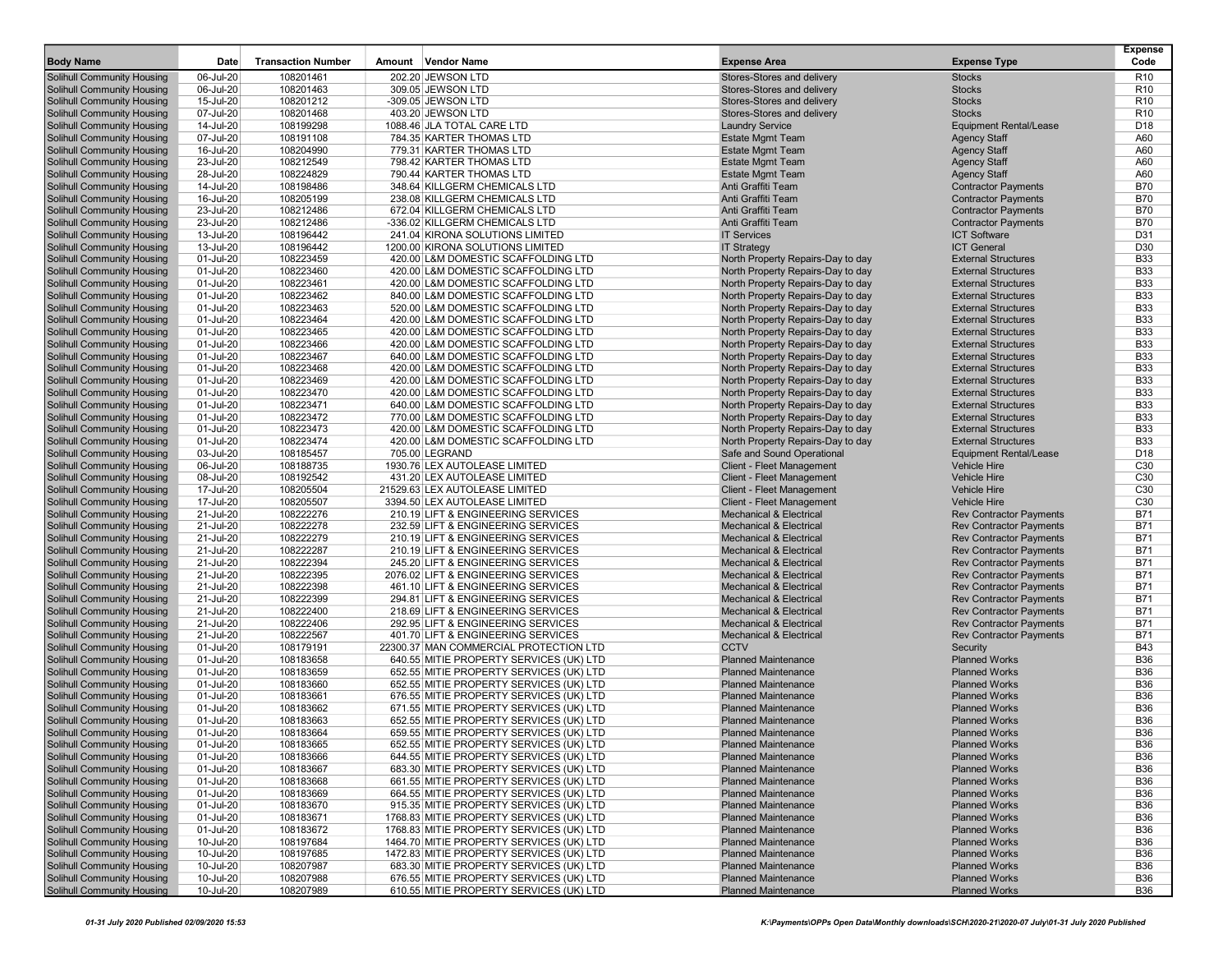| <b>Body Name</b>                                                       | Date                   | <b>Transaction Number</b> | Amount Vendor Name                                                                 | <b>Expense Area</b>                                                    | <b>Expense Type</b>                                              | <b>Expense</b><br>Code   |
|------------------------------------------------------------------------|------------------------|---------------------------|------------------------------------------------------------------------------------|------------------------------------------------------------------------|------------------------------------------------------------------|--------------------------|
| <b>Solihull Community Housing</b>                                      | 06-Jul-20              | 108201461                 | 202.20 JEWSON LTD                                                                  | Stores-Stores and delivery                                             | <b>Stocks</b>                                                    | R <sub>10</sub>          |
| <b>Solihull Community Housing</b>                                      | 06-Jul-20              | 108201463                 | 309.05 JEWSON LTD                                                                  | Stores-Stores and delivery                                             | <b>Stocks</b>                                                    | R <sub>10</sub>          |
| <b>Solihull Community Housing</b>                                      | 15-Jul-20              | 108201212                 | -309.05 JEWSON LTD                                                                 | Stores-Stores and delivery                                             | <b>Stocks</b>                                                    | R <sub>10</sub>          |
| <b>Solihull Community Housing</b>                                      | 07-Jul-20              | 108201468                 | 403.20 JEWSON LTD                                                                  | Stores-Stores and delivery                                             | <b>Stocks</b>                                                    | R <sub>10</sub>          |
| <b>Solihull Community Housing</b>                                      | 14-Jul-20              | 108199298                 | 1088.46 JLA TOTAL CARE LTD                                                         | <b>Laundry Service</b>                                                 | <b>Equipment Rental/Lease</b>                                    | D18                      |
| <b>Solihull Community Housing</b>                                      | 07-Jul-20              | 108191108                 | 784.35 KARTER THOMAS LTD                                                           | <b>Estate Mgmt Team</b>                                                | <b>Agency Staff</b>                                              | A60                      |
| <b>Solihull Community Housing</b>                                      | 16-Jul-20              | 108204990                 | 779.31 KARTER THOMAS LTD                                                           | <b>Estate Mgmt Team</b>                                                | <b>Agency Staff</b>                                              | A60                      |
| <b>Solihull Community Housing</b>                                      | 23-Jul-20              | 108212549                 | 798.42 KARTER THOMAS LTD                                                           | <b>Estate Mgmt Team</b>                                                | <b>Agency Staff</b>                                              | A60                      |
| <b>Solihull Community Housing</b>                                      | 28-Jul-20              | 108224829                 | 790.44 KARTER THOMAS LTD                                                           | <b>Estate Mgmt Team</b>                                                | <b>Agency Staff</b>                                              | A60                      |
| <b>Solihull Community Housing</b>                                      | 14-Jul-20              | 108198486                 | 348.64 KILLGERM CHEMICALS LTD                                                      | Anti Graffiti Team                                                     | <b>Contractor Payments</b>                                       | <b>B70</b>               |
| <b>Solihull Community Housing</b>                                      | 16-Jul-20              | 108205199                 | 238.08 KILLGERM CHEMICALS LTD                                                      | Anti Graffiti Team                                                     | <b>Contractor Payments</b>                                       | <b>B70</b>               |
| <b>Solihull Community Housing</b>                                      | 23-Jul-20              | 108212486                 | 672.04 KILLGERM CHEMICALS LTD                                                      | Anti Graffiti Team                                                     | <b>Contractor Payments</b>                                       | B70                      |
| <b>Solihull Community Housing</b>                                      | 23-Jul-20              | 108212486                 | -336.02 KILLGERM CHEMICALS LTD                                                     | Anti Graffiti Team                                                     | <b>Contractor Payments</b>                                       | <b>B70</b>               |
| <b>Solihull Community Housing</b>                                      | 13-Jul-20              | 108196442                 | 241.04 KIRONA SOLUTIONS LIMITED                                                    | <b>IT Services</b>                                                     | <b>ICT Software</b>                                              | D31                      |
| <b>Solihull Community Housing</b><br><b>Solihull Community Housing</b> | 13-Jul-20              | 108196442<br>108223459    | 1200.00 KIRONA SOLUTIONS LIMITED                                                   | <b>IT Strategy</b>                                                     | <b>ICT General</b>                                               | D30<br><b>B33</b>        |
| <b>Solihull Community Housing</b>                                      | 01-Jul-20<br>01-Jul-20 | 108223460                 | 420.00 L&M DOMESTIC SCAFFOLDING LTD<br>420.00 L&M DOMESTIC SCAFFOLDING LTD         | North Property Repairs-Day to day<br>North Property Repairs-Day to day | <b>External Structures</b><br><b>External Structures</b>         | <b>B33</b>               |
| <b>Solihull Community Housing</b>                                      | 01-Jul-20              | 108223461                 | 420.00 L&M DOMESTIC SCAFFOLDING LTD                                                | North Property Repairs-Day to day                                      | <b>External Structures</b>                                       | <b>B33</b>               |
| <b>Solihull Community Housing</b>                                      | 01-Jul-20              | 108223462                 | 840.00 L&M DOMESTIC SCAFFOLDING LTD                                                | North Property Repairs-Day to day                                      | <b>External Structures</b>                                       | <b>B33</b>               |
| <b>Solihull Community Housing</b>                                      | 01-Jul-20              | 108223463                 | 520.00 L&M DOMESTIC SCAFFOLDING LTD                                                | North Property Repairs-Day to day                                      | <b>External Structures</b>                                       | <b>B33</b>               |
| <b>Solihull Community Housing</b>                                      | 01-Jul-20              | 108223464                 | 420.00 L&M DOMESTIC SCAFFOLDING LTD                                                | North Property Repairs-Day to day                                      | <b>External Structures</b>                                       | <b>B33</b>               |
| <b>Solihull Community Housing</b>                                      | 01-Jul-20              | 108223465                 | 420.00 L&M DOMESTIC SCAFFOLDING LTD                                                | North Property Repairs-Day to day                                      | <b>External Structures</b>                                       | <b>B33</b>               |
| <b>Solihull Community Housing</b>                                      | 01-Jul-20              | 108223466                 | 420.00 L&M DOMESTIC SCAFFOLDING LTD                                                | North Property Repairs-Day to day                                      | <b>External Structures</b>                                       | <b>B33</b>               |
| <b>Solihull Community Housing</b>                                      | 01-Jul-20              | 108223467                 | 640.00 L&M DOMESTIC SCAFFOLDING LTD                                                | North Property Repairs-Day to day                                      | <b>External Structures</b>                                       | <b>B33</b>               |
| <b>Solihull Community Housing</b>                                      | 01-Jul-20              | 108223468                 | 420.00 L&M DOMESTIC SCAFFOLDING LTD                                                | North Property Repairs-Day to day                                      | <b>External Structures</b>                                       | <b>B33</b>               |
| <b>Solihull Community Housing</b>                                      | 01-Jul-20              | 108223469                 | 420.00 L&M DOMESTIC SCAFFOLDING LTD                                                | North Property Repairs-Day to day                                      | <b>External Structures</b>                                       | <b>B33</b>               |
| <b>Solihull Community Housing</b>                                      | 01-Jul-20              | 108223470                 | 420.00 L&M DOMESTIC SCAFFOLDING LTD                                                | North Property Repairs-Day to day                                      | <b>External Structures</b>                                       | <b>B33</b>               |
| <b>Solihull Community Housing</b>                                      | 01-Jul-20              | 108223471                 | 640.00 L&M DOMESTIC SCAFFOLDING LTD                                                | North Property Repairs-Day to day                                      | <b>External Structures</b>                                       | <b>B33</b>               |
| <b>Solihull Community Housing</b>                                      | 01-Jul-20              | 108223472                 | 770.00 L&M DOMESTIC SCAFFOLDING LTD                                                | North Property Repairs-Day to day                                      | <b>External Structures</b>                                       | <b>B33</b>               |
| <b>Solihull Community Housing</b>                                      | 01-Jul-20              | 108223473                 | 420.00 L&M DOMESTIC SCAFFOLDING LTD                                                | North Property Repairs-Day to day                                      | <b>External Structures</b>                                       | <b>B33</b>               |
| <b>Solihull Community Housing</b>                                      | 01-Jul-20              | 108223474                 | 420.00 L&M DOMESTIC SCAFFOLDING LTD                                                | North Property Repairs-Day to day                                      | <b>External Structures</b>                                       | <b>B33</b>               |
| <b>Solihull Community Housing</b>                                      | 03-Jul-20              | 108185457                 | 705.00 LEGRAND                                                                     | Safe and Sound Operational                                             | <b>Equipment Rental/Lease</b>                                    | D18                      |
| <b>Solihull Community Housing</b>                                      | 06-Jul-20              | 108188735                 | 1930.76 LEX AUTOLEASE LIMITED                                                      | Client - Fleet Management                                              | <b>Vehicle Hire</b>                                              | C30                      |
| <b>Solihull Community Housing</b>                                      | 08-Jul-20              | 108192542                 | 431.20 LEX AUTOLEASE LIMITED                                                       | Client - Fleet Management                                              | <b>Vehicle Hire</b>                                              | C30                      |
| <b>Solihull Community Housing</b>                                      | 17-Jul-20              | 108205504                 | 21529.63 LEX AUTOLEASE LIMITED                                                     | Client - Fleet Management                                              | <b>Vehicle Hire</b>                                              | C30                      |
| <b>Solihull Community Housing</b>                                      | 17-Jul-20              | 108205507                 | 3394.50 LEX AUTOLEASE LIMITED                                                      | Client - Fleet Management<br><b>Mechanical &amp; Electrical</b>        | <b>Vehicle Hire</b>                                              | C30<br><b>B71</b>        |
| <b>Solihull Community Housing</b><br><b>Solihull Community Housing</b> | 21-Jul-20<br>21-Jul-20 | 108222276<br>108222278    | 210.19 LIFT & ENGINEERING SERVICES<br>232.59 LIFT & ENGINEERING SERVICES           | <b>Mechanical &amp; Electrical</b>                                     | <b>Rev Contractor Payments</b><br><b>Rev Contractor Payments</b> | <b>B71</b>               |
| <b>Solihull Community Housing</b>                                      | 21-Jul-20              | 108222279                 | 210.19 LIFT & ENGINEERING SERVICES                                                 | <b>Mechanical &amp; Electrical</b>                                     | <b>Rev Contractor Payments</b>                                   | <b>B71</b>               |
| <b>Solihull Community Housing</b>                                      | 21-Jul-20              | 108222287                 | 210.19 LIFT & ENGINEERING SERVICES                                                 | <b>Mechanical &amp; Electrical</b>                                     | <b>Rev Contractor Payments</b>                                   | <b>B71</b>               |
| <b>Solihull Community Housing</b>                                      | 21-Jul-20              | 108222394                 | 245.20 LIFT & ENGINEERING SERVICES                                                 | <b>Mechanical &amp; Electrical</b>                                     | <b>Rev Contractor Payments</b>                                   | <b>B71</b>               |
| <b>Solihull Community Housing</b>                                      | 21-Jul-20              | 108222395                 | 2076.02 LIFT & ENGINEERING SERVICES                                                | <b>Mechanical &amp; Electrical</b>                                     | <b>Rev Contractor Payments</b>                                   | <b>B71</b>               |
| <b>Solihull Community Housing</b>                                      | 21-Jul-20              | 108222398                 | 461.10 LIFT & ENGINEERING SERVICES                                                 | <b>Mechanical &amp; Electrical</b>                                     | <b>Rev Contractor Payments</b>                                   | <b>B71</b>               |
| <b>Solihull Community Housing</b>                                      | 21-Jul-20              | 108222399                 | 294.81 LIFT & ENGINEERING SERVICES                                                 | <b>Mechanical &amp; Electrical</b>                                     | <b>Rev Contractor Payments</b>                                   | <b>B71</b>               |
| <b>Solihull Community Housing</b>                                      | 21-Jul-20              | 108222400                 | 218.69 LIFT & ENGINEERING SERVICES                                                 | <b>Mechanical &amp; Electrical</b>                                     | <b>Rev Contractor Payments</b>                                   | <b>B71</b>               |
| <b>Solihull Community Housing</b>                                      | 21-Jul-20              | 108222406                 | 292.95 LIFT & ENGINEERING SERVICES                                                 | <b>Mechanical &amp; Electrical</b>                                     | <b>Rev Contractor Payments</b>                                   | <b>B71</b>               |
| <b>Solihull Community Housing</b>                                      | 21-Jul-20              | 108222567                 | 401.70 LIFT & ENGINEERING SERVICES                                                 | <b>Mechanical &amp; Electrical</b>                                     | <b>Rev Contractor Payments</b>                                   | <b>B71</b>               |
| <b>Solihull Community Housing</b>                                      | 01-Jul-20              | 108179191                 | 22300.37 MAN COMMERCIAL PROTECTION LTD                                             | <b>CCTV</b>                                                            | Security                                                         | <b>B43</b>               |
| <b>Solihull Community Housing</b>                                      | 01-Jul-20              | 108183658                 | 640.55 MITIE PROPERTY SERVICES (UK) LTD                                            | <b>Planned Maintenance</b>                                             | <b>Planned Works</b>                                             | <b>B36</b>               |
| <b>Solihull Community Housing</b>                                      | 01-Jul-20              | 108183659                 | 652.55 MITIE PROPERTY SERVICES (UK) LTD                                            | <b>Planned Maintenance</b>                                             | <b>Planned Works</b>                                             | <b>B36</b>               |
| <b>Solihull Community Housing</b>                                      | 01-Jul-20              | 108183660                 | 652.55 MITIE PROPERTY SERVICES (UK) LTD                                            | <b>Planned Maintenance</b>                                             | <b>Planned Works</b>                                             | <b>B36</b>               |
| <b>Solihull Community Housing</b>                                      | 01-Jul-20              | 108183661                 | 676.55 MITIE PROPERTY SERVICES (UK) LTD                                            | <b>Planned Maintenance</b>                                             | <b>Planned Works</b>                                             | <b>B36</b>               |
| <b>Solihull Community Housing</b>                                      | 01-Jul-20              | 108183662                 | 671.55 MITIE PROPERTY SERVICES (UK) LTD                                            | <b>Planned Maintenance</b>                                             | <b>Planned Works</b>                                             | <b>B36</b>               |
| <b>Solihull Community Housing</b>                                      | 01-Jul-20              | 108183663                 | 652.55 MITIE PROPERTY SERVICES (UK) LTD                                            | <b>Planned Maintenance</b>                                             | <b>Planned Works</b>                                             | <b>B36</b>               |
| <b>Solihull Community Housing</b>                                      | 01-Jul-20              | 108183664                 | 659.55 MITIE PROPERTY SERVICES (UK) LTD                                            | <b>Planned Maintenance</b>                                             | <b>Planned Works</b>                                             | <b>B36</b>               |
| <b>Solihull Community Housing</b>                                      | 01-Jul-20              | 108183665                 | 652.55 MITIE PROPERTY SERVICES (UK) LTD                                            | <b>Planned Maintenance</b>                                             | <b>Planned Works</b>                                             | B36                      |
| <b>Solihull Community Housing</b>                                      | 01-Jul-20              | 108183666                 | 644.55 MITIE PROPERTY SERVICES (UK) LTD                                            | <b>Planned Maintenance</b>                                             | <b>Planned Works</b>                                             | <b>B36</b>               |
| Solihull Community Housing<br>Solihull Community Housing               | 01-Jul-20              | 108183667<br>108183668    | 683.30 MITIE PROPERTY SERVICES (UK) LTD<br>661.55 MITIE PROPERTY SERVICES (UK) LTD | <b>Planned Maintenance</b><br><b>Planned Maintenance</b>               | <b>Planned Works</b><br><b>Planned Works</b>                     | <b>B36</b>               |
| <b>Solihull Community Housing</b>                                      | 01-Jul-20<br>01-Jul-20 | 108183669                 | 664.55 MITIE PROPERTY SERVICES (UK) LTD                                            | <b>Planned Maintenance</b>                                             | <b>Planned Works</b>                                             | <b>B36</b><br><b>B36</b> |
| Solihull Community Housing                                             | 01-Jul-20              | 108183670                 | 915.35 MITIE PROPERTY SERVICES (UK) LTD                                            | <b>Planned Maintenance</b>                                             | <b>Planned Works</b>                                             | <b>B36</b>               |
| <b>Solihull Community Housing</b>                                      | 01-Jul-20              | 108183671                 | 1768.83 MITIE PROPERTY SERVICES (UK) LTD                                           | <b>Planned Maintenance</b>                                             | <b>Planned Works</b>                                             | <b>B36</b>               |
| <b>Solihull Community Housing</b>                                      | 01-Jul-20              | 108183672                 | 1768.83 MITIE PROPERTY SERVICES (UK) LTD                                           | <b>Planned Maintenance</b>                                             | <b>Planned Works</b>                                             | <b>B36</b>               |
| Solihull Community Housing                                             | 10-Jul-20              | 108197684                 | 1464.70 MITIE PROPERTY SERVICES (UK) LTD                                           | <b>Planned Maintenance</b>                                             | <b>Planned Works</b>                                             | <b>B36</b>               |
| <b>Solihull Community Housing</b>                                      | 10-Jul-20              | 108197685                 | 1472.83 MITIE PROPERTY SERVICES (UK) LTD                                           | <b>Planned Maintenance</b>                                             | <b>Planned Works</b>                                             | <b>B36</b>               |
| Solihull Community Housing                                             | 10-Jul-20              | 108207987                 | 683.30 MITIE PROPERTY SERVICES (UK) LTD                                            | <b>Planned Maintenance</b>                                             | <b>Planned Works</b>                                             | <b>B36</b>               |
| Solihull Community Housing                                             | 10-Jul-20              | 108207988                 | 676.55 MITIE PROPERTY SERVICES (UK) LTD                                            | <b>Planned Maintenance</b>                                             | <b>Planned Works</b>                                             | <b>B36</b>               |
| Solihull Community Housing                                             | 10-Jul-20              | 108207989                 | 610.55 MITIE PROPERTY SERVICES (UK) LTD                                            | <b>Planned Maintenance</b>                                             | <b>Planned Works</b>                                             | <b>B36</b>               |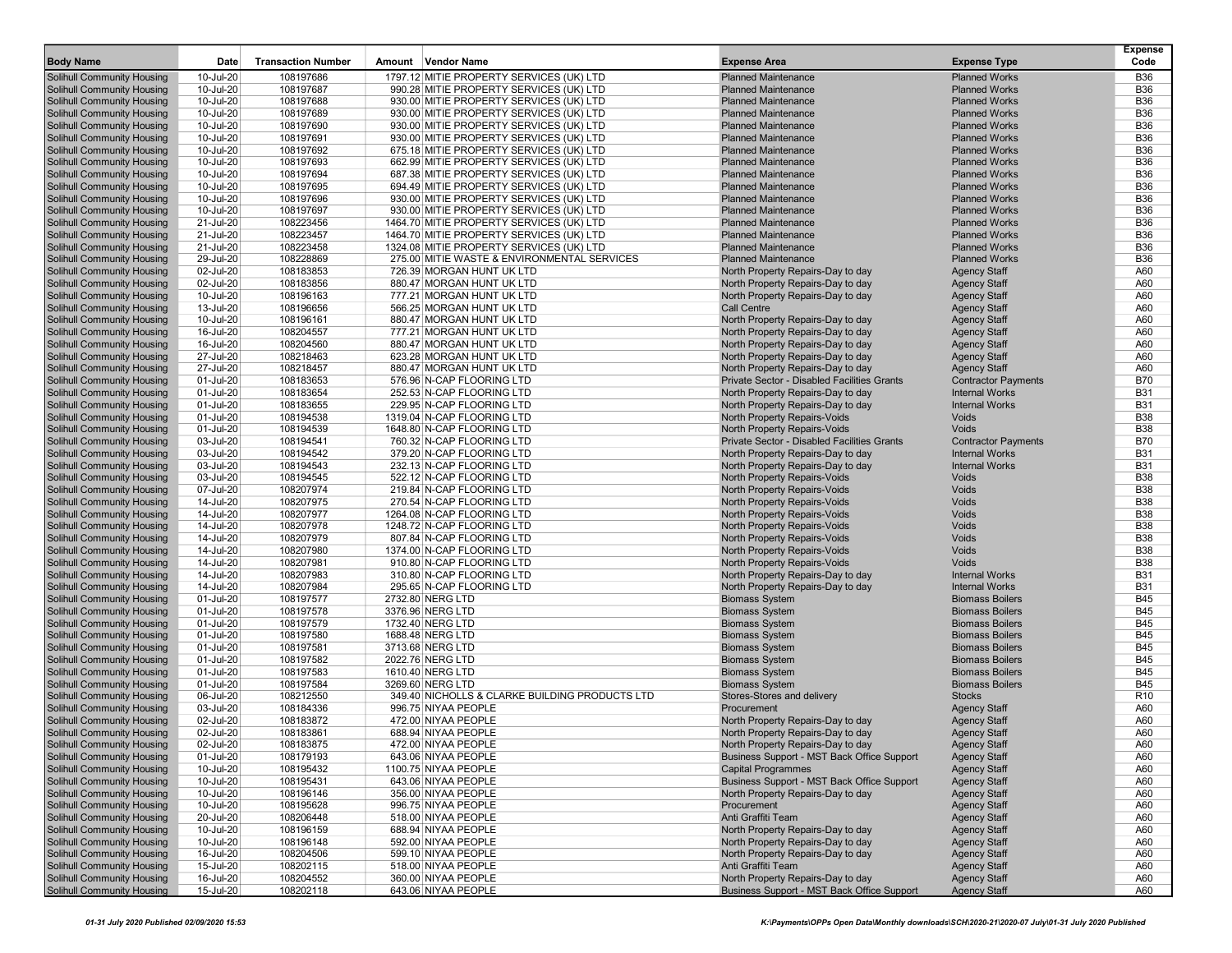| <b>Body Name</b>                                                       | Date                   | <b>Transaction Number</b> | Amount Vendor Name                                                                 | <b>Expense Area</b>                                          | <b>Expense Type</b>                          | <b>Expense</b><br>Code   |
|------------------------------------------------------------------------|------------------------|---------------------------|------------------------------------------------------------------------------------|--------------------------------------------------------------|----------------------------------------------|--------------------------|
|                                                                        |                        |                           |                                                                                    |                                                              |                                              |                          |
| <b>Solihull Community Housing</b>                                      | 10-Jul-20              | 108197686                 | 1797.12 MITIE PROPERTY SERVICES (UK) LTD                                           | <b>Planned Maintenance</b><br><b>Planned Maintenance</b>     | <b>Planned Works</b><br><b>Planned Works</b> | <b>B36</b><br><b>B36</b> |
| Solihull Community Housing                                             | 10-Jul-20<br>10-Jul-20 | 108197687<br>108197688    | 990.28 MITIE PROPERTY SERVICES (UK) LTD                                            | <b>Planned Maintenance</b>                                   | <b>Planned Works</b>                         | <b>B36</b>               |
| <b>Solihull Community Housing</b><br><b>Solihull Community Housing</b> | 10-Jul-20              | 108197689                 | 930.00 MITIE PROPERTY SERVICES (UK) LTD<br>930.00 MITIE PROPERTY SERVICES (UK) LTD | <b>Planned Maintenance</b>                                   | <b>Planned Works</b>                         | <b>B36</b>               |
| Solihull Community Housing                                             | 10-Jul-20              | 108197690                 | 930.00 MITIE PROPERTY SERVICES (UK) LTD                                            | <b>Planned Maintenance</b>                                   | <b>Planned Works</b>                         | <b>B36</b>               |
| <b>Solihull Community Housing</b>                                      | 10-Jul-20              | 108197691                 | 930.00 MITIE PROPERTY SERVICES (UK) LTD                                            | <b>Planned Maintenance</b>                                   | <b>Planned Works</b>                         | <b>B36</b>               |
| <b>Solihull Community Housing</b>                                      | 10-Jul-20              | 108197692                 | 675.18 MITIE PROPERTY SERVICES (UK) LTD                                            | <b>Planned Maintenance</b>                                   | <b>Planned Works</b>                         | <b>B36</b>               |
| Solihull Community Housing                                             | 10-Jul-20              | 108197693                 | 662.99 MITIE PROPERTY SERVICES (UK) LTD                                            | <b>Planned Maintenance</b>                                   | <b>Planned Works</b>                         | <b>B36</b>               |
| <b>Solihull Community Housing</b>                                      | 10-Jul-20              | 108197694                 | 687.38 MITIE PROPERTY SERVICES (UK) LTD                                            | <b>Planned Maintenance</b>                                   | <b>Planned Works</b>                         | <b>B36</b>               |
| <b>Solihull Community Housing</b>                                      | 10-Jul-20              | 108197695                 | 694.49 MITIE PROPERTY SERVICES (UK) LTD                                            | <b>Planned Maintenance</b>                                   | <b>Planned Works</b>                         | <b>B36</b>               |
| Solihull Community Housing                                             | 10-Jul-20              | 108197696                 | 930.00 MITIE PROPERTY SERVICES (UK) LTD                                            | <b>Planned Maintenance</b>                                   | <b>Planned Works</b>                         | <b>B36</b>               |
| <b>Solihull Community Housing</b>                                      | 10-Jul-20              | 108197697                 | 930.00 MITIE PROPERTY SERVICES (UK) LTD                                            | <b>Planned Maintenance</b>                                   | <b>Planned Works</b>                         | <b>B36</b>               |
| <b>Solihull Community Housing</b>                                      | 21-Jul-20              | 108223456                 | 1464.70 MITIE PROPERTY SERVICES (UK) LTD                                           | <b>Planned Maintenance</b>                                   | <b>Planned Works</b>                         | <b>B36</b>               |
| <b>Solihull Community Housing</b>                                      | 21-Jul-20              | 108223457                 | 1464.70 MITIE PROPERTY SERVICES (UK) LTD                                           | <b>Planned Maintenance</b>                                   | <b>Planned Works</b>                         | <b>B36</b>               |
| <b>Solihull Community Housing</b>                                      | 21-Jul-20              | 108223458                 | 1324.08 MITIE PROPERTY SERVICES (UK) LTD                                           | <b>Planned Maintenance</b>                                   | <b>Planned Works</b>                         | <b>B36</b>               |
| Solihull Community Housing                                             | 29-Jul-20              | 108228869                 | 275.00 MITIE WASTE & ENVIRONMENTAL SERVICES                                        | <b>Planned Maintenance</b>                                   | <b>Planned Works</b>                         | <b>B36</b>               |
| <b>Solihull Community Housing</b>                                      | 02-Jul-20              | 108183853                 | 726.39 MORGAN HUNT UK LTD                                                          | North Property Repairs-Day to day                            | <b>Agency Staff</b>                          | A60                      |
| <b>Solihull Community Housing</b>                                      | 02-Jul-20              | 108183856                 | 880.47 MORGAN HUNT UK LTD                                                          | North Property Repairs-Day to day                            | <b>Agency Staff</b>                          | A60                      |
| <b>Solihull Community Housing</b>                                      | 10-Jul-20              | 108196163                 | 777.21 MORGAN HUNT UK LTD                                                          | North Property Repairs-Day to day                            | <b>Agency Staff</b>                          | A60                      |
| <b>Solihull Community Housing</b>                                      | 13-Jul-20              | 108196656                 | 566.25 MORGAN HUNT UK LTD                                                          | <b>Call Centre</b>                                           | <b>Agency Staff</b>                          | A60                      |
| <b>Solihull Community Housing</b>                                      | 10-Jul-20              | 108196161                 | 880.47 MORGAN HUNT UK LTD                                                          | North Property Repairs-Day to day                            | <b>Agency Staff</b>                          | A60                      |
| <b>Solihull Community Housing</b>                                      | 16-Jul-20              | 108204557                 | 777.21 MORGAN HUNT UK LTD                                                          | North Property Repairs-Day to day                            | <b>Agency Staff</b>                          | A60                      |
| <b>Solihull Community Housing</b>                                      | 16-Jul-20              | 108204560                 | 880.47 MORGAN HUNT UK LTD                                                          | North Property Repairs-Day to day                            | <b>Agency Staff</b>                          | A60                      |
| <b>Solihull Community Housing</b>                                      | 27-Jul-20              | 108218463                 | 623.28 MORGAN HUNT UK LTD                                                          | North Property Repairs-Day to day                            | <b>Agency Staff</b>                          | A60                      |
| <b>Solihull Community Housing</b>                                      | 27-Jul-20              | 108218457                 | 880.47 MORGAN HUNT UK LTD                                                          | North Property Repairs-Day to day                            | <b>Agency Staff</b>                          | A60                      |
| Solihull Community Housing                                             | 01-Jul-20              | 108183653                 | 576.96 N-CAP FLOORING LTD                                                          | <b>Private Sector - Disabled Facilities Grants</b>           | <b>Contractor Payments</b>                   | <b>B70</b>               |
| <b>Solihull Community Housing</b>                                      | 01-Jul-20              | 108183654                 | 252.53 N-CAP FLOORING LTD                                                          | North Property Repairs-Day to day                            | <b>Internal Works</b>                        | <b>B31</b>               |
| Solihull Community Housing                                             | 01-Jul-20              | 108183655                 | 229.95 N-CAP FLOORING LTD                                                          | North Property Repairs-Day to day                            | <b>Internal Works</b>                        | <b>B31</b>               |
| <b>Solihull Community Housing</b>                                      | 01-Jul-20              | 108194538                 | 1319.04 N-CAP FLOORING LTD                                                         | North Property Repairs-Voids                                 | Voids                                        | <b>B38</b>               |
| <b>Solihull Community Housing</b>                                      | 01-Jul-20              | 108194539                 | 1648.80 N-CAP FLOORING LTD                                                         | North Property Repairs-Voids                                 | Voids                                        | <b>B38</b>               |
| <b>Solihull Community Housing</b>                                      | 03-Jul-20              | 108194541                 | 760.32 N-CAP FLOORING LTD                                                          | Private Sector - Disabled Facilities Grants                  | <b>Contractor Payments</b>                   | <b>B70</b>               |
| <b>Solihull Community Housing</b>                                      | 03-Jul-20              | 108194542                 | 379.20 N-CAP FLOORING LTD                                                          | North Property Repairs-Day to day                            | <b>Internal Works</b>                        | <b>B31</b>               |
| <b>Solihull Community Housing</b>                                      | 03-Jul-20              | 108194543                 | 232.13 N-CAP FLOORING LTD                                                          | North Property Repairs-Day to day                            | <b>Internal Works</b>                        | <b>B31</b>               |
| <b>Solihull Community Housing</b>                                      | 03-Jul-20              | 108194545                 | 522.12 N-CAP FLOORING LTD                                                          | North Property Repairs-Voids                                 | Voids                                        | <b>B38</b>               |
| <b>Solihull Community Housing</b>                                      | 07-Jul-20              | 108207974                 | 219.84 N-CAP FLOORING LTD                                                          | North Property Repairs-Voids                                 | Voids<br>Voids                               | <b>B38</b><br><b>B38</b> |
| <b>Solihull Community Housing</b><br><b>Solihull Community Housing</b> | 14-Jul-20<br>14-Jul-20 | 108207975<br>108207977    | 270.54 N-CAP FLOORING LTD<br>1264.08 N-CAP FLOORING LTD                            | North Property Repairs-Voids<br>North Property Repairs-Voids | Voids                                        | <b>B38</b>               |
| <b>Solihull Community Housing</b>                                      | 14-Jul-20              | 108207978                 | 1248.72 N-CAP FLOORING LTD                                                         | North Property Repairs-Voids                                 | Voids                                        | <b>B38</b>               |
| <b>Solihull Community Housing</b>                                      | 14-Jul-20              | 108207979                 | 807.84 N-CAP FLOORING LTD                                                          | North Property Repairs-Voids                                 | Voids                                        | <b>B38</b>               |
| <b>Solihull Community Housing</b>                                      | 14-Jul-20              | 108207980                 | 1374.00 N-CAP FLOORING LTD                                                         | North Property Repairs-Voids                                 | Voids                                        | <b>B38</b>               |
| <b>Solihull Community Housing</b>                                      | 14-Jul-20              | 108207981                 | 910.80 N-CAP FLOORING LTD                                                          | <b>North Property Repairs-Voids</b>                          | Voids                                        | <b>B38</b>               |
| <b>Solihull Community Housing</b>                                      | 14-Jul-20              | 108207983                 | 310.80 N-CAP FLOORING LTD                                                          | North Property Repairs-Day to day                            | <b>Internal Works</b>                        | <b>B31</b>               |
| <b>Solihull Community Housing</b>                                      | 14-Jul-20              | 108207984                 | 295.65 N-CAP FLOORING LTD                                                          | North Property Repairs-Day to day                            | <b>Internal Works</b>                        | <b>B31</b>               |
| <b>Solihull Community Housing</b>                                      | 01-Jul-20              | 108197577                 | 2732.80 NERG LTD                                                                   | <b>Biomass System</b>                                        | <b>Biomass Boilers</b>                       | <b>B45</b>               |
| <b>Solihull Community Housing</b>                                      | 01-Jul-20              | 108197578                 | 3376.96 NERG LTD                                                                   | <b>Biomass System</b>                                        | <b>Biomass Boilers</b>                       | <b>B45</b>               |
| <b>Solihull Community Housing</b>                                      | 01-Jul-20              | 108197579                 | 1732.40 NERG LTD                                                                   | <b>Biomass System</b>                                        | <b>Biomass Boilers</b>                       | <b>B45</b>               |
| <b>Solihull Community Housing</b>                                      | 01-Jul-20              | 108197580                 | 1688.48 NERG LTD                                                                   | <b>Biomass System</b>                                        | <b>Biomass Boilers</b>                       | <b>B45</b>               |
| <b>Solihull Community Housing</b>                                      | 01-Jul-20              | 108197581                 | 3713.68 NERG LTD                                                                   | <b>Biomass System</b>                                        | <b>Biomass Boilers</b>                       | <b>B45</b>               |
| <b>Solihull Community Housing</b>                                      | 01-Jul-20              | 108197582                 | 2022.76 NERG LTD                                                                   | <b>Biomass System</b>                                        | <b>Biomass Boilers</b>                       | <b>B45</b>               |
| Solihull Community Housing                                             | 01-Jul-20              | 108197583                 | 1610.40 NERG LTD                                                                   | <b>Biomass System</b>                                        | <b>Biomass Boilers</b>                       | <b>B45</b>               |
| <b>Solihull Community Housing</b>                                      | 01-Jul-20              | 108197584                 | 3269.60 NERG LTD                                                                   | <b>Biomass System</b>                                        | <b>Biomass Boilers</b>                       | <b>B45</b>               |
| <b>Solihull Community Housing</b>                                      | 06-Jul-20              | 108212550                 | 349.40 NICHOLLS & CLARKE BUILDING PRODUCTS LTD                                     | Stores-Stores and delivery                                   | <b>Stocks</b>                                | R <sub>10</sub>          |
| <b>Solihull Community Housing</b>                                      | 03-Jul-20              | 108184336                 | 996.75 NIYAA PEOPLE                                                                | Procurement                                                  | <b>Agency Staff</b>                          | A60                      |
| <b>Solihull Community Housing</b>                                      | 02-Jul-20              | 108183872                 | 472.00 NIYAA PEOPLE                                                                | North Property Repairs-Day to day                            | <b>Agency Staff</b>                          | A60                      |
| Solihull Community Housing                                             | 02-Jul-20              | 108183861                 | 688.94 NIYAA PEOPLE                                                                | North Property Repairs-Day to day                            | <b>Agency Staff</b>                          | A60                      |
| Solihull Community Housing                                             | 02-Jul-20              | 108183875                 | 472.00 NIYAA PEOPLE                                                                | North Property Repairs-Day to day                            | Agency Staff                                 | A60                      |
| <b>Solihull Community Housing</b>                                      | 01-Jul-20              | 108179193                 | 643.06 NIYAA PEOPLE                                                                | Business Support - MST Back Office Support                   | <b>Agency Staff</b>                          | A60                      |
| <b>Solihull Community Housing</b>                                      | 10-Jul-20              | 108195432                 | 1100.75 NIYAA PEOPLE                                                               | <b>Capital Programmes</b>                                    | <b>Agency Staff</b>                          | A60                      |
| <b>Solihull Community Housing</b>                                      | 10-Jul-20              | 108195431                 | 643.06 NIYAA PEOPLE                                                                | Business Support - MST Back Office Support                   | <b>Agency Staff</b>                          | A60                      |
| Solihull Community Housing                                             | 10-Jul-20              | 108196146                 | 356.00 NIYAA PEOPLE                                                                | North Property Repairs-Day to day                            | <b>Agency Staff</b>                          | A60                      |
| Solihull Community Housing                                             | 10-Jul-20              | 108195628                 | 996.75 NIYAA PEOPLE                                                                | Procurement                                                  | <b>Agency Staff</b>                          | A60                      |
| <b>Solihull Community Housing</b>                                      | 20-Jul-20              | 108206448                 | 518.00 NIYAA PEOPLE                                                                | Anti Graffiti Team                                           | <b>Agency Staff</b>                          | A60                      |
| <b>Solihull Community Housing</b>                                      | 10-Jul-20              | 108196159                 | 688.94 NIYAA PEOPLE                                                                | North Property Repairs-Day to day                            | <b>Agency Staff</b>                          | A60                      |
| <b>Solihull Community Housing</b>                                      | 10-Jul-20              | 108196148                 | 592.00 NIYAA PEOPLE                                                                | North Property Repairs-Day to day                            | <b>Agency Staff</b>                          | A60                      |
| Solihull Community Housing                                             | 16-Jul-20              | 108204506                 | 599.10 NIYAA PEOPLE                                                                | North Property Repairs-Day to day                            | <b>Agency Staff</b>                          | A60                      |
| Solihull Community Housing                                             | 15-Jul-20              | 108202115                 | 518.00 NIYAA PEOPLE                                                                | Anti Graffiti Team                                           | <b>Agency Staff</b>                          | A60                      |
| <b>Solihull Community Housing</b>                                      | 16-Jul-20              | 108204552                 | 360.00 NIYAA PEOPLE                                                                | North Property Repairs-Day to day                            | <b>Agency Staff</b>                          | A60                      |
| Solihull Community Housing                                             | 15-Jul-20              | 108202118                 | 643.06 NIYAA PEOPLE                                                                | Business Support - MST Back Office Support                   | <b>Agency Staff</b>                          | A60                      |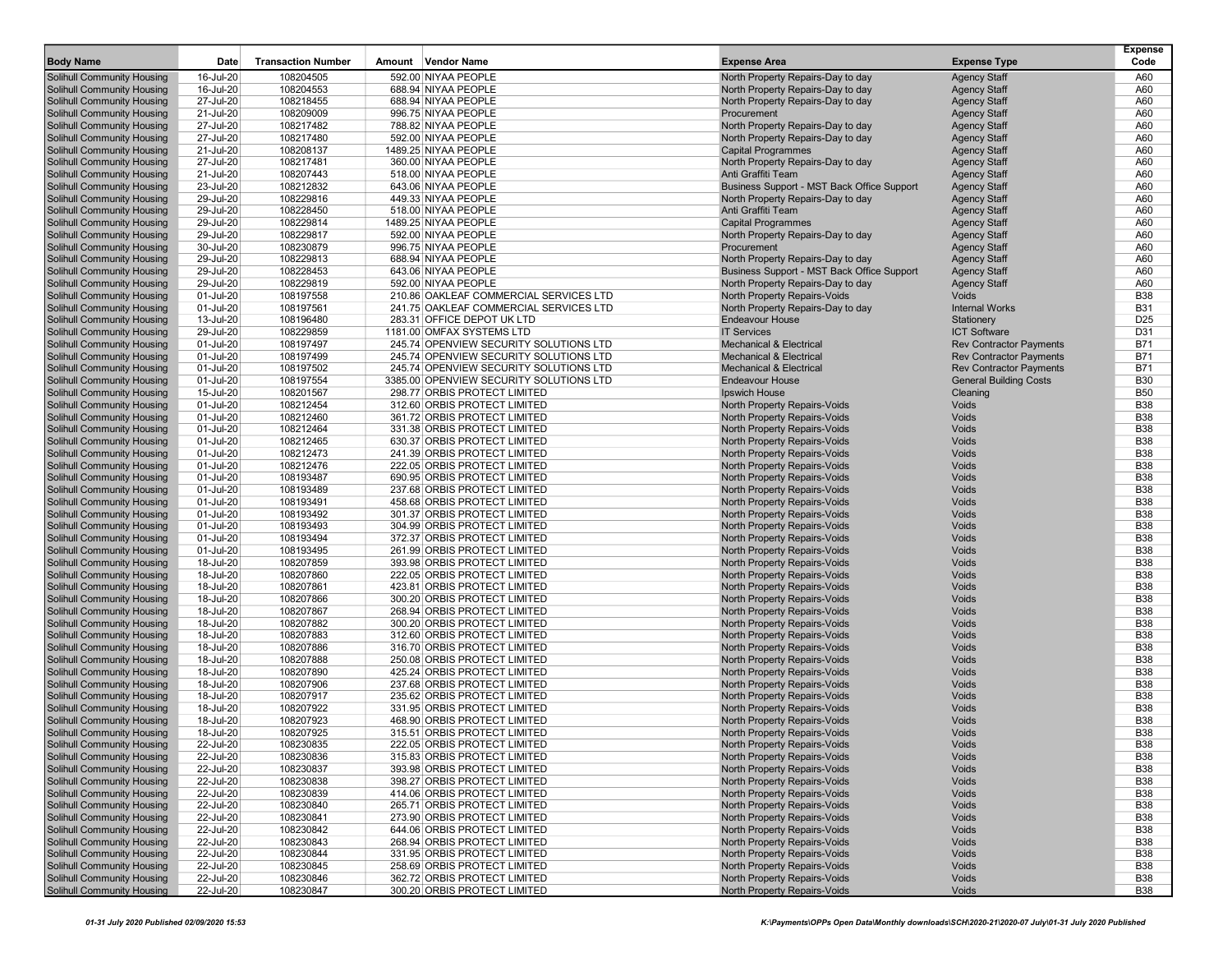| <b>Body Name</b>                                                       | Date                   | <b>Transaction Number</b> | Amount Vendor Name                                           | <b>Expense Area</b>                                                    | <b>Expense Type</b>                        | <b>Expense</b><br>Code   |
|------------------------------------------------------------------------|------------------------|---------------------------|--------------------------------------------------------------|------------------------------------------------------------------------|--------------------------------------------|--------------------------|
|                                                                        |                        | 108204505                 | 592.00 NIYAA PEOPLE                                          |                                                                        |                                            |                          |
| <b>Solihull Community Housing</b>                                      | 16-Jul-20<br>16-Jul-20 |                           | 688.94 NIYAA PEOPLE                                          | North Property Repairs-Day to day                                      | <b>Agency Staff</b>                        | A60<br>A60               |
| Solihull Community Housing                                             |                        | 108204553                 | 688.94 NIYAA PEOPLE                                          | North Property Repairs-Day to day                                      | <b>Agency Staff</b>                        |                          |
| <b>Solihull Community Housing</b>                                      | 27-Jul-20              | 108218455                 |                                                              | North Property Repairs-Day to day                                      | <b>Agency Staff</b>                        | A60                      |
| <b>Solihull Community Housing</b><br><b>Solihull Community Housing</b> | 21-Jul-20<br>27-Jul-20 | 108209009<br>108217482    | 996.75 NIYAA PEOPLE                                          | Procurement                                                            | <b>Agency Staff</b>                        | A60                      |
|                                                                        | 27-Jul-20              | 108217480                 | 788.82 NIYAA PEOPLE<br>592.00 NIYAA PEOPLE                   | North Property Repairs-Day to day<br>North Property Repairs-Day to day | <b>Agency Staff</b>                        | A60<br>A60               |
| <b>Solihull Community Housing</b><br><b>Solihull Community Housing</b> | 21-Jul-20              | 108208137                 | 1489.25 NIYAA PEOPLE                                         | <b>Capital Programmes</b>                                              | <b>Agency Staff</b>                        | A60                      |
| <b>Solihull Community Housing</b>                                      | 27-Jul-20              | 108217481                 | 360.00 NIYAA PEOPLE                                          | North Property Repairs-Day to day                                      | <b>Agency Staff</b>                        | A60                      |
| <b>Solihull Community Housing</b>                                      | 21-Jul-20              | 108207443                 | 518.00 NIYAA PEOPLE                                          | Anti Graffiti Team                                                     | <b>Agency Staff</b><br><b>Agency Staff</b> | A60                      |
| <b>Solihull Community Housing</b>                                      | 23-Jul-20              | 108212832                 | 643.06 NIYAA PEOPLE                                          | Business Support - MST Back Office Support                             | <b>Agency Staff</b>                        | A60                      |
| <b>Solihull Community Housing</b>                                      | 29-Jul-20              | 108229816                 | 449.33 NIYAA PEOPLE                                          | North Property Repairs-Day to day                                      | <b>Agency Staff</b>                        | A60                      |
| <b>Solihull Community Housing</b>                                      | 29-Jul-20              | 108228450                 | 518.00 NIYAA PEOPLE                                          | Anti Graffiti Team                                                     | <b>Agency Staff</b>                        | A60                      |
| <b>Solihull Community Housing</b>                                      | 29-Jul-20              | 108229814                 | 1489.25 NIYAA PEOPLE                                         | <b>Capital Programmes</b>                                              | <b>Agency Staff</b>                        | A60                      |
| <b>Solihull Community Housing</b>                                      | 29-Jul-20              | 108229817                 | 592.00 NIYAA PEOPLE                                          | North Property Repairs-Day to day                                      | <b>Agency Staff</b>                        | A60                      |
| <b>Solihull Community Housing</b>                                      | 30-Jul-20              | 108230879                 | 996.75 NIYAA PEOPLE                                          | Procurement                                                            | <b>Agency Staff</b>                        | A60                      |
| <b>Solihull Community Housing</b>                                      | 29-Jul-20              | 108229813                 | 688.94 NIYAA PEOPLE                                          | North Property Repairs-Day to day                                      | <b>Agency Staff</b>                        | A60                      |
| <b>Solihull Community Housing</b>                                      | 29-Jul-20              | 108228453                 | 643.06 NIYAA PEOPLE                                          | Business Support - MST Back Office Support                             | <b>Agency Staff</b>                        | A60                      |
| <b>Solihull Community Housing</b>                                      | 29-Jul-20              | 108229819                 | 592.00 NIYAA PEOPLE                                          | North Property Repairs-Day to day                                      | <b>Agency Staff</b>                        | A60                      |
| <b>Solihull Community Housing</b>                                      | 01-Jul-20              | 108197558                 | 210.86 OAKLEAF COMMERCIAL SERVICES LTD                       | North Property Repairs-Voids                                           | Voids                                      | <b>B38</b>               |
| <b>Solihull Community Housing</b>                                      | 01-Jul-20              | 108197561                 | 241.75 OAKLEAF COMMERCIAL SERVICES LTD                       | North Property Repairs-Day to day                                      | <b>Internal Works</b>                      | <b>B31</b>               |
| <b>Solihull Community Housing</b>                                      | 13-Jul-20              | 108196480                 | 283.31 OFFICE DEPOT UK LTD                                   | <b>Endeavour House</b>                                                 | Stationery                                 | D <sub>25</sub>          |
| Solihull Community Housing                                             | 29-Jul-20              | 108229859                 | 1181.00 OMFAX SYSTEMS LTD                                    | <b>IT Services</b>                                                     | <b>ICT Software</b>                        | D31                      |
| <b>Solihull Community Housing</b>                                      | 01-Jul-20              | 108197497                 | 245.74 OPENVIEW SECURITY SOLUTIONS LTD                       | <b>Mechanical &amp; Electrical</b>                                     | <b>Rev Contractor Payments</b>             | <b>B71</b>               |
| <b>Solihull Community Housing</b>                                      | 01-Jul-20              | 108197499                 | 245.74 OPENVIEW SECURITY SOLUTIONS LTD                       | <b>Mechanical &amp; Electrical</b>                                     | <b>Rev Contractor Payments</b>             | <b>B71</b>               |
| <b>Solihull Community Housing</b>                                      | 01-Jul-20              | 108197502                 | 245.74 OPENVIEW SECURITY SOLUTIONS LTD                       | <b>Mechanical &amp; Electrical</b>                                     | <b>Rev Contractor Payments</b>             | <b>B71</b>               |
| <b>Solihull Community Housing</b>                                      | 01-Jul-20              | 108197554                 | 3385.00 OPENVIEW SECURITY SOLUTIONS LTD                      | <b>Endeavour House</b>                                                 | <b>General Building Costs</b>              | <b>B30</b>               |
| <b>Solihull Community Housing</b>                                      | 15-Jul-20              | 108201567                 | 298.77 ORBIS PROTECT LIMITED                                 | <b>Ipswich House</b>                                                   | Cleaning                                   | <b>B50</b>               |
| <b>Solihull Community Housing</b>                                      | 01-Jul-20              | 108212454                 | 312.60 ORBIS PROTECT LIMITED                                 | North Property Repairs-Voids                                           | Voids                                      | <b>B38</b>               |
| <b>Solihull Community Housing</b>                                      | 01-Jul-20              | 108212460                 | 361.72 ORBIS PROTECT LIMITED                                 | North Property Repairs-Voids                                           | Voids                                      | <b>B38</b>               |
| <b>Solihull Community Housing</b>                                      | 01-Jul-20              | 108212464                 | 331.38 ORBIS PROTECT LIMITED                                 | North Property Repairs-Voids                                           | Voids                                      | <b>B38</b>               |
| <b>Solihull Community Housing</b>                                      | 01-Jul-20              | 108212465                 | 630.37 ORBIS PROTECT LIMITED                                 | North Property Repairs-Voids                                           | Voids                                      | <b>B38</b>               |
| <b>Solihull Community Housing</b>                                      | 01-Jul-20              | 108212473                 | 241.39 ORBIS PROTECT LIMITED                                 | North Property Repairs-Voids                                           | Voids                                      | <b>B38</b>               |
| <b>Solihull Community Housing</b>                                      | 01-Jul-20              | 108212476                 | 222.05 ORBIS PROTECT LIMITED                                 | North Property Repairs-Voids                                           | Voids                                      | <b>B38</b>               |
| <b>Solihull Community Housing</b>                                      | 01-Jul-20              | 108193487                 | 690.95 ORBIS PROTECT LIMITED                                 | North Property Repairs-Voids                                           | Voids                                      | <b>B38</b>               |
| <b>Solihull Community Housing</b>                                      | 01-Jul-20              | 108193489                 | 237.68 ORBIS PROTECT LIMITED                                 | North Property Repairs-Voids                                           | Voids                                      | <b>B38</b>               |
| <b>Solihull Community Housing</b>                                      | 01-Jul-20              | 108193491                 | 458.68 ORBIS PROTECT LIMITED                                 | North Property Repairs-Voids                                           | Voids                                      | <b>B38</b>               |
| <b>Solihull Community Housing</b>                                      | 01-Jul-20              | 108193492                 | 301.37 ORBIS PROTECT LIMITED                                 | North Property Repairs-Voids                                           | Voids                                      | <b>B38</b>               |
| <b>Solihull Community Housing</b>                                      | 01-Jul-20              | 108193493                 | 304.99 ORBIS PROTECT LIMITED                                 | North Property Repairs-Voids                                           | Voids                                      | <b>B38</b>               |
| <b>Solihull Community Housing</b>                                      | 01-Jul-20              | 108193494                 | 372.37 ORBIS PROTECT LIMITED                                 | North Property Repairs-Voids                                           | Voids                                      | <b>B38</b>               |
| <b>Solihull Community Housing</b>                                      | 01-Jul-20              | 108193495                 | 261.99 ORBIS PROTECT LIMITED                                 | North Property Repairs-Voids                                           | Voids                                      | <b>B38</b>               |
| <b>Solihull Community Housing</b>                                      | 18-Jul-20              | 108207859                 | 393.98 ORBIS PROTECT LIMITED                                 | North Property Repairs-Voids                                           | Voids                                      | <b>B38</b>               |
| Solihull Community Housing                                             | 18-Jul-20              | 108207860                 | 222.05 ORBIS PROTECT LIMITED                                 | North Property Repairs-Voids                                           | Voids                                      | <b>B38</b>               |
| <b>Solihull Community Housing</b>                                      | 18-Jul-20              | 108207861                 | 423.81 ORBIS PROTECT LIMITED                                 | North Property Repairs-Voids                                           | Voids                                      | <b>B38</b>               |
| <b>Solihull Community Housing</b>                                      | 18-Jul-20              | 108207866                 | 300.20 ORBIS PROTECT LIMITED                                 | North Property Repairs-Voids                                           | Voids                                      | <b>B38</b>               |
| <b>Solihull Community Housing</b>                                      | 18-Jul-20              | 108207867                 | 268.94 ORBIS PROTECT LIMITED                                 | North Property Repairs-Voids                                           | Voids                                      | <b>B38</b>               |
| <b>Solihull Community Housing</b>                                      | 18-Jul-20              | 108207882                 | 300.20 ORBIS PROTECT LIMITED                                 | North Property Repairs-Voids                                           | Voids                                      | <b>B38</b>               |
| <b>Solihull Community Housing</b>                                      | 18-Jul-20              | 108207883                 | 312.60 ORBIS PROTECT LIMITED                                 | North Property Repairs-Voids                                           | Voids                                      | <b>B38</b>               |
| <b>Solihull Community Housing</b>                                      | 18-Jul-20              | 108207886                 | 316.70 ORBIS PROTECT LIMITED                                 | North Property Repairs-Voids                                           | Voids                                      | <b>B38</b>               |
| <b>Solihull Community Housing</b>                                      | 18-Jul-20              | 108207888                 | 250.08 ORBIS PROTECT LIMITED                                 | North Property Repairs-Voids                                           | Voids                                      | <b>B38</b>               |
| <b>Solihull Community Housing</b>                                      | 18-Jul-20              | 108207890                 | 425.24 ORBIS PROTECT LIMITED                                 | North Property Repairs-Voids                                           | Voids                                      | <b>B38</b>               |
| <b>Solihull Community Housing</b>                                      | 18-Jul-20              | 108207906                 | 237.68 ORBIS PROTECT LIMITED                                 | North Property Repairs-Voids                                           | Voids<br>Voids                             | <b>B38</b>               |
| <b>Solihull Community Housing</b><br><b>Solihull Community Housing</b> | 18-Jul-20              | 108207917<br>108207922    | 235.62 ORBIS PROTECT LIMITED                                 | North Property Repairs-Voids                                           | Voids                                      | <b>B38</b><br><b>B38</b> |
|                                                                        | 18-Jul-20              |                           | 331.95 ORBIS PROTECT LIMITED                                 | North Property Repairs-Voids                                           |                                            | <b>B38</b>               |
| <b>Solihull Community Housing</b><br><b>Solihull Community Housing</b> | 18-Jul-20              | 108207923<br>108207925    | 468.90 ORBIS PROTECT LIMITED                                 | North Property Repairs-Voids<br>North Property Repairs-Voids           | Voids                                      | <b>B38</b>               |
|                                                                        | 18-Jul-20              |                           | 315.51 ORBIS PROTECT LIMITED                                 |                                                                        | Voids                                      |                          |
| Solihull Community Housing<br><b>Solihull Community Housing</b>        | 22-Jul-20<br>22-Jul-20 | 108230835<br>108230836    | 222.05 ORBIS PROTECT LIMITED<br>315.83 ORBIS PROTECT LIMITED | North Property Repairs-Voids<br>North Property Repairs-Voids           | Voids<br>Voids                             | <b>B38</b><br><b>B38</b> |
| <b>Solihull Community Housing</b>                                      | 22-Jul-20              | 108230837                 | 393.98 ORBIS PROTECT LIMITED                                 | North Property Repairs-Voids                                           | Voids                                      | <b>B38</b>               |
| <b>Solihull Community Housing</b>                                      | 22-Jul-20              | 108230838                 | 398.27 ORBIS PROTECT LIMITED                                 | North Property Repairs-Voids                                           | Voids                                      | <b>B38</b>               |
| <b>Solihull Community Housing</b>                                      | 22-Jul-20              | 108230839                 | 414.06 ORBIS PROTECT LIMITED                                 | North Property Repairs-Voids                                           | Voids                                      | <b>B38</b>               |
| <b>Solihull Community Housing</b>                                      | 22-Jul-20              | 108230840                 | 265.71 ORBIS PROTECT LIMITED                                 | North Property Repairs-Voids                                           | Voids                                      | <b>B38</b>               |
| <b>Solihull Community Housing</b>                                      | 22-Jul-20              | 108230841                 | 273.90 ORBIS PROTECT LIMITED                                 | North Property Repairs-Voids                                           | Voids                                      | <b>B38</b>               |
| <b>Solihull Community Housing</b>                                      | 22-Jul-20              | 108230842                 | 644.06 ORBIS PROTECT LIMITED                                 | North Property Repairs-Voids                                           | Voids                                      | <b>B38</b>               |
| <b>Solihull Community Housing</b>                                      | 22-Jul-20              | 108230843                 | 268.94 ORBIS PROTECT LIMITED                                 | North Property Repairs-Voids                                           | Voids                                      | <b>B38</b>               |
| <b>Solihull Community Housing</b>                                      | 22-Jul-20              | 108230844                 | 331.95 ORBIS PROTECT LIMITED                                 | North Property Repairs-Voids                                           | Voids                                      | <b>B38</b>               |
| <b>Solihull Community Housing</b>                                      | 22-Jul-20              | 108230845                 | 258.69 ORBIS PROTECT LIMITED                                 | North Property Repairs-Voids                                           | Voids                                      | <b>B38</b>               |
| <b>Solihull Community Housing</b>                                      | 22-Jul-20              | 108230846                 | 362.72 ORBIS PROTECT LIMITED                                 | North Property Repairs-Voids                                           | Voids                                      | <b>B38</b>               |
| <b>Solihull Community Housing</b>                                      | 22-Jul-20              | 108230847                 | 300.20 ORBIS PROTECT LIMITED                                 | North Property Repairs-Voids                                           | Voids                                      | <b>B38</b>               |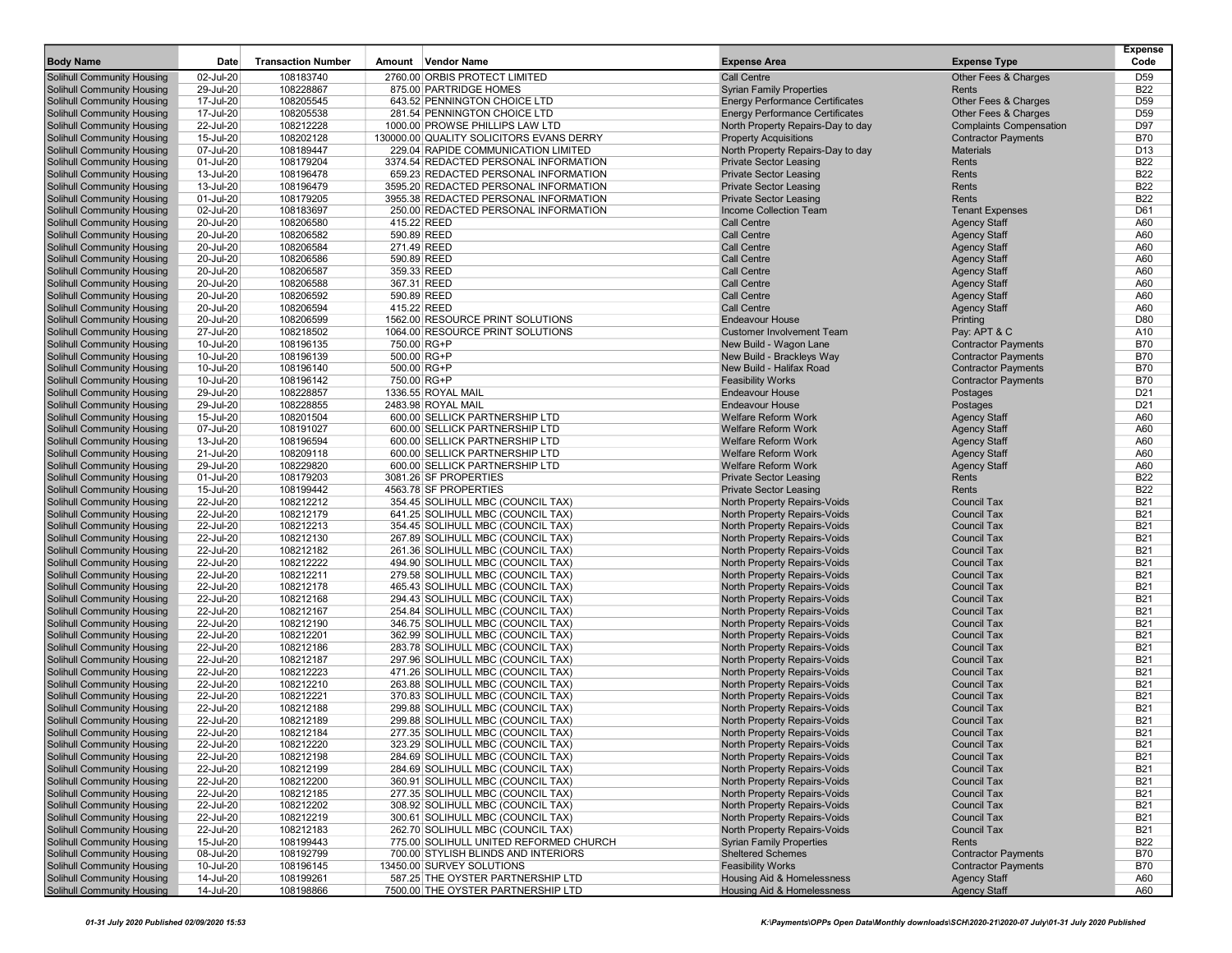| <b>Body Name</b>                                                       | Date                   | <b>Transaction Number</b> | Amount Vendor Name                                                     | <b>Expense Area</b>                                          | <b>Expense Type</b>                        | <b>Expense</b><br>Code   |
|------------------------------------------------------------------------|------------------------|---------------------------|------------------------------------------------------------------------|--------------------------------------------------------------|--------------------------------------------|--------------------------|
| <b>Solihull Community Housing</b>                                      | 02-Jul-20              | 108183740                 | 2760.00 ORBIS PROTECT LIMITED                                          | <b>Call Centre</b>                                           | Other Fees & Charges                       | D <sub>59</sub>          |
| <b>Solihull Community Housing</b>                                      | 29-Jul-20              | 108228867                 | 875.00 PARTRIDGE HOMES                                                 | <b>Syrian Family Properties</b>                              | Rents                                      | <b>B22</b>               |
| <b>Solihull Community Housing</b>                                      | 17-Jul-20              | 108205545                 | 643.52 PENNINGTON CHOICE LTD                                           | <b>Energy Performance Certificates</b>                       | Other Fees & Charges                       | D <sub>59</sub>          |
| <b>Solihull Community Housing</b>                                      | 17-Jul-20              | 108205538                 | 281.54 PENNINGTON CHOICE LTD                                           | <b>Energy Performance Certificates</b>                       | Other Fees & Charges                       | D <sub>59</sub>          |
| <b>Solihull Community Housing</b>                                      | 22-Jul-20              | 108212228                 | 1000.00 PROWSE PHILLIPS LAW LTD                                        | North Property Repairs-Day to day                            | <b>Complaints Compensation</b>             | D97                      |
| Solihull Community Housing                                             | 15-Jul-20              | 108202128                 | 130000.00 QUALITY SOLICITORS EVANS DERRY                               | <b>Property Acquisitions</b>                                 | <b>Contractor Payments</b>                 | <b>B70</b>               |
| <b>Solihull Community Housing</b>                                      | 07-Jul-20              | 108189447                 | 229.04 RAPIDE COMMUNICATION LIMITED                                    | North Property Repairs-Day to day                            | <b>Materials</b>                           | D <sub>13</sub>          |
| <b>Solihull Community Housing</b>                                      | 01-Jul-20              | 108179204                 | 3374.54 REDACTED PERSONAL INFORMATION                                  | <b>Private Sector Leasing</b>                                | Rents                                      | <b>B22</b>               |
| <b>Solihull Community Housing</b>                                      | 13-Jul-20              | 108196478                 | 659.23 REDACTED PERSONAL INFORMATION                                   | <b>Private Sector Leasing</b>                                | Rents                                      | <b>B22</b>               |
| <b>Solihull Community Housing</b>                                      | 13-Jul-20              | 108196479                 | 3595.20 REDACTED PERSONAL INFORMATION                                  | <b>Private Sector Leasing</b>                                | Rents                                      | <b>B22</b>               |
| Solihull Community Housing                                             | 01-Jul-20              | 108179205                 | 3955.38 REDACTED PERSONAL INFORMATION                                  | <b>Private Sector Leasing</b>                                | Rents                                      | <b>B22</b>               |
| <b>Solihull Community Housing</b>                                      | 02-Jul-20              | 108183697                 | 250.00 REDACTED PERSONAL INFORMATION                                   | Income Collection Team                                       | <b>Tenant Expenses</b>                     | D61                      |
| <b>Solihull Community Housing</b>                                      | 20-Jul-20              | 108206580                 | 415.22 REED                                                            | Call Centre                                                  | <b>Agency Staff</b>                        | A60                      |
| <b>Solihull Community Housing</b>                                      | 20-Jul-20              | 108206582                 | 590.89 REED                                                            | <b>Call Centre</b>                                           | <b>Agency Staff</b>                        | A60                      |
| <b>Solihull Community Housing</b>                                      | 20-Jul-20              | 108206584                 | 271.49 REED<br>590.89 REED                                             | <b>Call Centre</b>                                           | <b>Agency Staff</b>                        | A60                      |
| <b>Solihull Community Housing</b><br><b>Solihull Community Housing</b> | 20-Jul-20<br>20-Jul-20 | 108206586<br>108206587    | 359.33 REED                                                            | <b>Call Centre</b><br><b>Call Centre</b>                     | <b>Agency Staff</b><br><b>Agency Staff</b> | A60<br>A60               |
| <b>Solihull Community Housing</b>                                      | 20-Jul-20              | 108206588                 | 367.31 REED                                                            | <b>Call Centre</b>                                           | <b>Agency Staff</b>                        | A60                      |
| <b>Solihull Community Housing</b>                                      | 20-Jul-20              | 108206592                 | 590.89 REED                                                            | <b>Call Centre</b>                                           | <b>Agency Staff</b>                        | A60                      |
| <b>Solihull Community Housing</b>                                      | 20-Jul-20              | 108206594                 | 415.22 REED                                                            | <b>Call Centre</b>                                           | <b>Agency Staff</b>                        | A60                      |
| <b>Solihull Community Housing</b>                                      | 20-Jul-20              | 108206599                 | 1562.00 RESOURCE PRINT SOLUTIONS                                       | <b>Endeavour House</b>                                       | Printing                                   | D80                      |
| <b>Solihull Community Housing</b>                                      | 27-Jul-20              | 108218502                 | 1064.00 RESOURCE PRINT SOLUTIONS                                       | <b>Customer Involvement Team</b>                             | Pay: APT & C                               | A10                      |
| <b>Solihull Community Housing</b>                                      | 10-Jul-20              | 108196135                 | 750.00 RG+P                                                            | New Build - Wagon Lane                                       | <b>Contractor Payments</b>                 | <b>B70</b>               |
| <b>Solihull Community Housing</b>                                      | 10-Jul-20              | 108196139                 | 500.00 RG+P                                                            | New Build - Brackleys Way                                    | <b>Contractor Payments</b>                 | <b>B70</b>               |
| <b>Solihull Community Housing</b>                                      | 10-Jul-20              | 108196140                 | 500.00 RG+P                                                            | New Build - Halifax Road                                     | <b>Contractor Payments</b>                 | <b>B70</b>               |
| <b>Solihull Community Housing</b>                                      | 10-Jul-20              | 108196142                 | 750.00 RG+P                                                            | <b>Feasibility Works</b>                                     | <b>Contractor Payments</b>                 | <b>B70</b>               |
| <b>Solihull Community Housing</b>                                      | 29-Jul-20              | 108228857                 | 1336.55 ROYAL MAIL                                                     | <b>Endeavour House</b>                                       | Postages                                   | D <sub>21</sub>          |
| <b>Solihull Community Housing</b>                                      | 29-Jul-20              | 108228855                 | 2483.98 ROYAL MAIL                                                     | <b>Endeavour House</b>                                       | Postages                                   | D <sub>21</sub>          |
| <b>Solihull Community Housing</b>                                      | 15-Jul-20              | 108201504                 | 600.00 SELLICK PARTNERSHIP LTD                                         | <b>Welfare Reform Work</b>                                   | <b>Agency Staff</b>                        | A60                      |
| <b>Solihull Community Housing</b>                                      | 07-Jul-20              | 108191027                 | 600.00 SELLICK PARTNERSHIP LTD                                         | <b>Welfare Reform Work</b>                                   | <b>Agency Staff</b>                        | A60                      |
| Solihull Community Housing                                             | 13-Jul-20              | 108196594                 | 600.00 SELLICK PARTNERSHIP LTD                                         | <b>Welfare Reform Work</b>                                   | <b>Agency Staff</b>                        | A60                      |
| <b>Solihull Community Housing</b>                                      | 21-Jul-20              | 108209118                 | 600.00 SELLICK PARTNERSHIP LTD                                         | <b>Welfare Reform Work</b>                                   | <b>Agency Staff</b>                        | A60                      |
| <b>Solihull Community Housing</b>                                      | 29-Jul-20              | 108229820                 | 600.00 SELLICK PARTNERSHIP LTD                                         | <b>Welfare Reform Work</b>                                   | <b>Agency Staff</b>                        | A60                      |
| <b>Solihull Community Housing</b>                                      | 01-Jul-20              | 108179203                 | 3081.26 SF PROPERTIES                                                  | <b>Private Sector Leasing</b>                                | Rents                                      | <b>B22</b>               |
| <b>Solihull Community Housing</b>                                      | 15-Jul-20              | 108199442                 | 4563.78 SF PROPERTIES                                                  | <b>Private Sector Leasing</b>                                | Rents                                      | <b>B22</b>               |
| <b>Solihull Community Housing</b>                                      | 22-Jul-20              | 108212212                 | 354.45 SOLIHULL MBC (COUNCIL TAX)                                      | North Property Repairs-Voids                                 | <b>Council Tax</b>                         | <b>B21</b>               |
| <b>Solihull Community Housing</b>                                      | 22-Jul-20<br>22-Jul-20 | 108212179<br>108212213    | 641.25 SOLIHULL MBC (COUNCIL TAX)                                      | North Property Repairs-Voids                                 | <b>Council Tax</b><br><b>Council Tax</b>   | <b>B21</b><br><b>B21</b> |
| <b>Solihull Community Housing</b><br><b>Solihull Community Housing</b> | 22-Jul-20              | 108212130                 | 354.45 SOLIHULL MBC (COUNCIL TAX)<br>267.89 SOLIHULL MBC (COUNCIL TAX) | North Property Repairs-Voids<br>North Property Repairs-Voids | <b>Council Tax</b>                         | <b>B21</b>               |
| <b>Solihull Community Housing</b>                                      | 22-Jul-20              | 108212182                 | 261.36 SOLIHULL MBC (COUNCIL TAX)                                      | North Property Repairs-Voids                                 | <b>Council Tax</b>                         | <b>B21</b>               |
| <b>Solihull Community Housing</b>                                      | 22-Jul-20              | 108212222                 | 494.90 SOLIHULL MBC (COUNCIL TAX)                                      | North Property Repairs-Voids                                 | <b>Council Tax</b>                         | <b>B21</b>               |
| <b>Solihull Community Housing</b>                                      | 22-Jul-20              | 108212211                 | 279.58 SOLIHULL MBC (COUNCIL TAX)                                      | North Property Repairs-Voids                                 | <b>Council Tax</b>                         | <b>B21</b>               |
| <b>Solihull Community Housing</b>                                      | 22-Jul-20              | 108212178                 | 465.43 SOLIHULL MBC (COUNCIL TAX)                                      | North Property Repairs-Voids                                 | <b>Council Tax</b>                         | <b>B21</b>               |
| <b>Solihull Community Housing</b>                                      | 22-Jul-20              | 108212168                 | 294.43 SOLIHULL MBC (COUNCIL TAX)                                      | North Property Repairs-Voids                                 | <b>Council Tax</b>                         | <b>B21</b>               |
| <b>Solihull Community Housing</b>                                      | 22-Jul-20              | 108212167                 | 254.84 SOLIHULL MBC (COUNCIL TAX)                                      | North Property Repairs-Voids                                 | <b>Council Tax</b>                         | <b>B21</b>               |
| <b>Solihull Community Housing</b>                                      | 22-Jul-20              | 108212190                 | 346.75 SOLIHULL MBC (COUNCIL TAX)                                      | North Property Repairs-Voids                                 | <b>Council Tax</b>                         | <b>B21</b>               |
| <b>Solihull Community Housing</b>                                      | 22-Jul-20              | 108212201                 | 362.99 SOLIHULL MBC (COUNCIL TAX)                                      | North Property Repairs-Voids                                 | <b>Council Tax</b>                         | <b>B21</b>               |
| <b>Solihull Community Housing</b>                                      | 22-Jul-20              | 108212186                 | 283.78 SOLIHULL MBC (COUNCIL TAX)                                      | North Property Repairs-Voids                                 | <b>Council Tax</b>                         | <b>B21</b>               |
| <b>Solihull Community Housing</b>                                      | 22-Jul-20              | 108212187                 | 297.96 SOLIHULL MBC (COUNCIL TAX)                                      | North Property Repairs-Voids                                 | <b>Council Tax</b>                         | <b>B21</b>               |
| <b>Solihull Community Housing</b>                                      | 22-Jul-20              | 108212223                 | 471.26 SOLIHULL MBC (COUNCIL TAX)                                      | North Property Repairs-Voids                                 | <b>Council Tax</b>                         | <b>B21</b>               |
| Solihull Community Housing                                             | 22-Jul-20              | 108212210                 | 263.88 SOLIHULL MBC (COUNCIL TAX)                                      | North Property Repairs-Voids                                 | <b>Council Tax</b>                         | <b>B21</b>               |
| <b>Solihull Community Housing</b>                                      | 22-Jul-20              | 108212221                 | 370.83 SOLIHULL MBC (COUNCIL TAX)                                      | North Property Repairs-Voids                                 | <b>Council Tax</b>                         | <b>B21</b>               |
| <b>Solihull Community Housing</b>                                      | 22-Jul-20              | 108212188                 | 299.88 SOLIHULL MBC (COUNCIL TAX)                                      | North Property Repairs-Voids                                 | <b>Council Tax</b>                         | <b>B21</b>               |
| <b>Solihull Community Housing</b>                                      | 22-Jul-20              | 108212189                 | 299.88 SOLIHULL MBC (COUNCIL TAX)                                      | North Property Repairs-Voids                                 | <b>Council Tax</b>                         | <b>B21</b>               |
| <b>Solihull Community Housing</b>                                      | 22-Jul-20              | 108212184                 | 277.35 SOLIHULL MBC (COUNCIL TAX)                                      | North Property Repairs-Voids                                 | <b>Council Tax</b>                         | <b>B21</b>               |
| <b>Solihull Community Housing</b>                                      | 22-Jul-20              | 108212220                 | 323.29 SOLIHULL MBC (COUNCIL TAX)                                      | North Property Repairs-Voids                                 | Council Tax                                | B21                      |
| <b>Solihull Community Housing</b>                                      | 22-Jul-20              | 108212198                 | 284.69 SOLIHULL MBC (COUNCIL TAX)                                      | North Property Repairs-Voids                                 | <b>Council Tax</b>                         | <b>B21</b>               |
| <b>Solihull Community Housing</b>                                      | 22-Jul-20              | 108212199                 | 284.69 SOLIHULL MBC (COUNCIL TAX)                                      | North Property Repairs-Voids<br>North Property Repairs-Voids | <b>Council Tax</b>                         | <b>B21</b>               |
| <b>Solihull Community Housing</b><br><b>Solihull Community Housing</b> | 22-Jul-20              | 108212200<br>108212185    | 360.91 SOLIHULL MBC (COUNCIL TAX)                                      |                                                              | <b>Council Tax</b>                         | <b>B21</b>               |
| Solihull Community Housing                                             | 22-Jul-20<br>22-Jul-20 |                           | 277.35 SOLIHULL MBC (COUNCIL TAX)<br>308.92 SOLIHULL MBC (COUNCIL TAX) | North Property Repairs-Voids<br>North Property Repairs-Voids | <b>Council Tax</b><br><b>Council Tax</b>   | <b>B21</b><br><b>B21</b> |
| <b>Solihull Community Housing</b>                                      | 22-Jul-20              | 108212202<br>108212219    | 300.61 SOLIHULL MBC (COUNCIL TAX)                                      | North Property Repairs-Voids                                 | <b>Council Tax</b>                         | <b>B21</b>               |
| <b>Solihull Community Housing</b>                                      | 22-Jul-20              | 108212183                 | 262.70 SOLIHULL MBC (COUNCIL TAX)                                      | North Property Repairs-Voids                                 | Council Tax                                | <b>B21</b>               |
| <b>Solihull Community Housing</b>                                      | 15-Jul-20              | 108199443                 | 775.00 SOLIHULL UNITED REFORMED CHURCH                                 | <b>Syrian Family Properties</b>                              | Rents                                      | <b>B22</b>               |
| <b>Solihull Community Housing</b>                                      | 08-Jul-20              | 108192799                 | 700.00 STYLISH BLINDS AND INTERIORS                                    | <b>Sheltered Schemes</b>                                     | <b>Contractor Payments</b>                 | <b>B70</b>               |
| <b>Solihull Community Housing</b>                                      | 10-Jul-20              | 108196145                 | 13450.00 SURVEY SOLUTIONS                                              | <b>Feasibility Works</b>                                     | <b>Contractor Payments</b>                 | <b>B70</b>               |
| <b>Solihull Community Housing</b>                                      | 14-Jul-20              | 108199261                 | 587.25 THE OYSTER PARTNERSHIP LTD                                      | Housing Aid & Homelessness                                   | <b>Agency Staff</b>                        | A60                      |
| <b>Solihull Community Housing</b>                                      | 14-Jul-20              | 108198866                 | 7500.00 THE OYSTER PARTNERSHIP LTD                                     | Housing Aid & Homelessness                                   | <b>Agency Staff</b>                        | A60                      |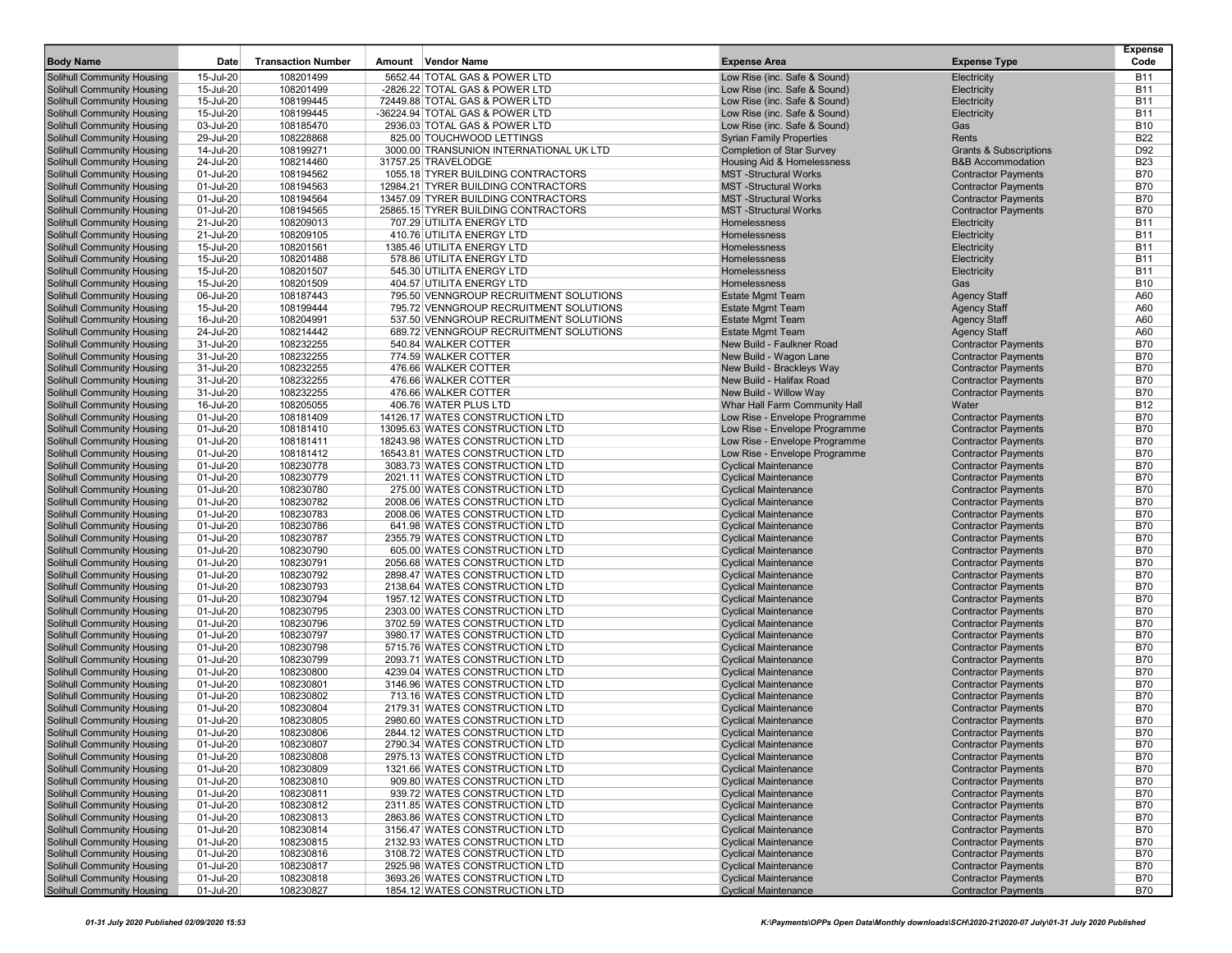| <b>Body Name</b>                                         | Date                   | <b>Transaction Number</b> | Amount Vendor Name                                                 | <b>Expense Area</b>                                          | <b>Expense Type</b>                                      | <b>Expense</b><br>Code   |
|----------------------------------------------------------|------------------------|---------------------------|--------------------------------------------------------------------|--------------------------------------------------------------|----------------------------------------------------------|--------------------------|
| Solihull Community Housing                               | 15-Jul-20              | 108201499                 | 5652.44 TOTAL GAS & POWER LTD                                      | Low Rise (inc. Safe & Sound)                                 | Electricity                                              | <b>B11</b>               |
| <b>Solihull Community Housing</b>                        | $15 -$ Jul- $20$       | 108201499                 | -2826.22 TOTAL GAS & POWER LTD                                     | Low Rise (inc. Safe & Sound)                                 | Electricity                                              | <b>B11</b>               |
| Solihull Community Housing                               | 15-Jul-20              | 108199445                 | 72449.88 TOTAL GAS & POWER LTD                                     | Low Rise (inc. Safe & Sound)                                 | Electricity                                              | <b>B11</b>               |
| Solihull Community Housing                               | 15-Jul-20              | 108199445                 | -36224.94 TOTAL GAS & POWER LTD                                    | Low Rise (inc. Safe & Sound)                                 | Electricity                                              | <b>B11</b>               |
| <b>Solihull Community Housing</b>                        | 03-Jul-20              | 108185470                 | 2936.03 TOTAL GAS & POWER LTD                                      | Low Rise (inc. Safe & Sound)                                 | Gas                                                      | <b>B10</b>               |
| Solihull Community Housing                               | 29-Jul-20              | 108228868                 | 825.00 TOUCHWOOD LETTINGS                                          | <b>Syrian Family Properties</b>                              | Rents                                                    | <b>B22</b>               |
| Solihull Community Housing                               | 14-Jul-20              | 108199271                 | 3000.00 TRANSUNION INTERNATIONAL UK LTD                            | <b>Completion of Star Survey</b>                             | <b>Grants &amp; Subscriptions</b>                        | D92                      |
| <b>Solihull Community Housing</b>                        | 24-Jul-20              | 108214460                 | 31757.25 TRAVELODGE                                                | Housing Aid & Homelessness                                   | <b>B&amp;B</b> Accommodation                             | <b>B23</b>               |
| Solihull Community Housing                               | 01-Jul-20              | 108194562                 | 1055.18 TYRER BUILDING CONTRACTORS                                 | <b>MST-Structural Works</b>                                  | <b>Contractor Payments</b>                               | <b>B70</b>               |
| Solihull Community Housing                               | 01-Jul-20              | 108194563                 | 12984.21 TYRER BUILDING CONTRACTORS                                | <b>MST-Structural Works</b>                                  | <b>Contractor Payments</b>                               | <b>B70</b>               |
| Solihull Community Housing                               | 01-Jul-20              | 108194564                 | 13457.09 TYRER BUILDING CONTRACTORS                                | <b>MST-Structural Works</b>                                  | <b>Contractor Payments</b>                               | <b>B70</b>               |
| Solihull Community Housing                               | 01-Jul-20              | 108194565                 | 25865.15 TYRER BUILDING CONTRACTORS                                | <b>MST-Structural Works</b>                                  | <b>Contractor Payments</b>                               | <b>B70</b>               |
| Solihull Community Housing                               | 21-Jul-20              | 108209013                 | 707.29 UTILITA ENERGY LTD                                          | Homelessness                                                 | Electricity                                              | <b>B11</b>               |
| Solihull Community Housing                               | 21-Jul-20              | 108209105                 | 410.76 UTILITA ENERGY LTD                                          | Homelessness                                                 | Electricity                                              | <b>B11</b>               |
| Solihull Community Housing                               | 15-Jul-20              | 108201561                 | 1385.46 UTILITA ENERGY LTD                                         | Homelessness                                                 | Electricity                                              | <b>B11</b>               |
| Solihull Community Housing                               | 15-Jul-20              | 108201488                 | 578.86 UTILITA ENERGY LTD                                          | Homelessness                                                 | Electricity                                              | <b>B11</b>               |
| Solihull Community Housing                               | 15-Jul-20              | 108201507                 | 545.30 UTILITA ENERGY LTD                                          | Homelessness                                                 | Electricity                                              | <b>B11</b>               |
| Solihull Community Housing                               | 15-Jul-20              | 108201509                 | 404.57 UTILITA ENERGY LTD                                          | Homelessness                                                 | Gas                                                      | <b>B10</b>               |
| Solihull Community Housing                               | 06-Jul-20              | 108187443                 | 795.50 VENNGROUP RECRUITMENT SOLUTIONS                             | <b>Estate Mgmt Team</b>                                      | <b>Agency Staff</b>                                      | A60                      |
| Solihull Community Housing                               | 15-Jul-20              | 108199444                 | 795.72 VENNGROUP RECRUITMENT SOLUTIONS                             | <b>Estate Mgmt Team</b>                                      | <b>Agency Staff</b>                                      | A60                      |
| Solihull Community Housing                               | 16-Jul-20              | 108204991                 | 537.50 VENNGROUP RECRUITMENT SOLUTIONS                             | <b>Estate Mgmt Team</b>                                      | <b>Agency Staff</b>                                      | A60                      |
| Solihull Community Housing                               | 24-Jul-20              | 108214442                 | 689.72 VENNGROUP RECRUITMENT SOLUTIONS                             | <b>Estate Mgmt Team</b>                                      | <b>Agency Staff</b>                                      | A60                      |
| Solihull Community Housing                               | 31-Jul-20              | 108232255                 | 540.84 WALKER COTTER                                               | New Build - Faulkner Road                                    | <b>Contractor Payments</b>                               | <b>B70</b>               |
| Solihull Community Housing                               | 31-Jul-20              | 108232255                 | 774.59 WALKER COTTER                                               | New Build - Wagon Lane                                       | <b>Contractor Payments</b>                               | <b>B70</b>               |
| Solihull Community Housing                               | 31-Jul-20              | 108232255                 | 476.66 WALKER COTTER                                               | New Build - Brackleys Way                                    | <b>Contractor Payments</b>                               | <b>B70</b>               |
| Solihull Community Housing                               | 31-Jul-20              | 108232255                 | 476.66 WALKER COTTER                                               | New Build - Halifax Road                                     | <b>Contractor Payments</b>                               | <b>B70</b>               |
| Solihull Community Housing                               | 31-Jul-20              | 108232255                 | 476.66 WALKER COTTER                                               | New Build - Willow Way                                       | <b>Contractor Payments</b>                               | <b>B70</b>               |
| Solihull Community Housing                               | 16-Jul-20              | 108205055                 | 406.76 WATER PLUS LTD                                              | Whar Hall Farm Community Hall                                | Water                                                    | <b>B12</b>               |
| Solihull Community Housing                               | 01-Jul-20              | 108181409                 | 14126.17 WATES CONSTRUCTION LTD                                    | Low Rise - Envelope Programme                                | <b>Contractor Payments</b>                               | <b>B70</b>               |
| Solihull Community Housing                               | 01-Jul-20              | 108181410<br>108181411    | 13095.63 WATES CONSTRUCTION LTD                                    | Low Rise - Envelope Programme                                | <b>Contractor Payments</b>                               | <b>B70</b>               |
| Solihull Community Housing<br>Solihull Community Housing | 01-Jul-20<br>01-Jul-20 | 108181412                 | 18243.98 WATES CONSTRUCTION LTD<br>16543.81 WATES CONSTRUCTION LTD | Low Rise - Envelope Programme                                | <b>Contractor Payments</b>                               | <b>B70</b><br><b>B70</b> |
| Solihull Community Housing                               | 01-Jul-20              | 108230778                 | 3083.73 WATES CONSTRUCTION LTD                                     | Low Rise - Envelope Programme<br><b>Cyclical Maintenance</b> | <b>Contractor Payments</b><br><b>Contractor Payments</b> | <b>B70</b>               |
| Solihull Community Housing                               | 01-Jul-20              | 108230779                 | 2021.11 WATES CONSTRUCTION LTD                                     | <b>Cyclical Maintenance</b>                                  | <b>Contractor Payments</b>                               | <b>B70</b>               |
| Solihull Community Housing                               | 01-Jul-20              | 108230780                 | 275.00 WATES CONSTRUCTION LTD                                      | <b>Cyclical Maintenance</b>                                  | <b>Contractor Payments</b>                               | <b>B70</b>               |
| Solihull Community Housing                               | 01-Jul-20              | 108230782                 | 2008.06 WATES CONSTRUCTION LTD                                     | <b>Cyclical Maintenance</b>                                  | <b>Contractor Payments</b>                               | <b>B70</b>               |
| Solihull Community Housing                               | 01-Jul-20              | 108230783                 | 2008.06 WATES CONSTRUCTION LTD                                     | <b>Cyclical Maintenance</b>                                  | <b>Contractor Payments</b>                               | <b>B70</b>               |
| Solihull Community Housing                               | 01-Jul-20              | 108230786                 | 641.98 WATES CONSTRUCTION LTD                                      | <b>Cyclical Maintenance</b>                                  | <b>Contractor Payments</b>                               | <b>B70</b>               |
| Solihull Community Housing                               | 01-Jul-20              | 108230787                 | 2355.79 WATES CONSTRUCTION LTD                                     | <b>Cyclical Maintenance</b>                                  | <b>Contractor Payments</b>                               | <b>B70</b>               |
| Solihull Community Housing                               | 01-Jul-20              | 108230790                 | 605.00 WATES CONSTRUCTION LTD                                      | <b>Cyclical Maintenance</b>                                  | <b>Contractor Payments</b>                               | <b>B70</b>               |
| Solihull Community Housing                               | 01-Jul-20              | 108230791                 | 2056.68 WATES CONSTRUCTION LTD                                     | <b>Cyclical Maintenance</b>                                  | <b>Contractor Payments</b>                               | <b>B70</b>               |
| Solihull Community Housing                               | 01-Jul-20              | 108230792                 | 2898.47 WATES CONSTRUCTION LTD                                     | <b>Cyclical Maintenance</b>                                  | <b>Contractor Payments</b>                               | <b>B70</b>               |
| Solihull Community Housing                               | 01-Jul-20              | 108230793                 | 2138.64 WATES CONSTRUCTION LTD                                     | <b>Cyclical Maintenance</b>                                  | <b>Contractor Payments</b>                               | <b>B70</b>               |
| Solihull Community Housing                               | 01-Jul-20              | 108230794                 | 1957.12 WATES CONSTRUCTION LTD                                     | <b>Cyclical Maintenance</b>                                  | <b>Contractor Payments</b>                               | <b>B70</b>               |
| <b>Solihull Community Housing</b>                        | 01-Jul-20              | 108230795                 | 2303.00 WATES CONSTRUCTION LTD                                     | <b>Cyclical Maintenance</b>                                  | <b>Contractor Payments</b>                               | <b>B70</b>               |
| Solihull Community Housing                               | 01-Jul-20              | 108230796                 | 3702.59 WATES CONSTRUCTION LTD                                     | <b>Cyclical Maintenance</b>                                  | <b>Contractor Payments</b>                               | <b>B70</b>               |
| Solihull Community Housing                               | 01-Jul-20              | 108230797                 | 3980.17 WATES CONSTRUCTION LTD                                     | <b>Cyclical Maintenance</b>                                  | <b>Contractor Payments</b>                               | <b>B70</b>               |
| Solihull Community Housing                               | 01-Jul-20              | 108230798                 | 5715.76 WATES CONSTRUCTION LTD                                     | <b>Cyclical Maintenance</b>                                  | <b>Contractor Payments</b>                               | <b>B70</b>               |
| Solihull Community Housing                               | 01-Jul-20              | 108230799                 | 2093.71 WATES CONSTRUCTION LTD                                     | <b>Cyclical Maintenance</b>                                  | <b>Contractor Payments</b>                               | <b>B70</b>               |
| Solihull Community Housing                               | 01-Jul-20              | 108230800                 | 4239.04 WATES CONSTRUCTION LTD                                     | <b>Cyclical Maintenance</b>                                  | <b>Contractor Payments</b>                               | <b>B70</b>               |
| Solihull Community Housing                               | 01-Jul-20              | 108230801                 | 3146.96 WATES CONSTRUCTION LTD                                     | <b>Cyclical Maintenance</b>                                  | <b>Contractor Payments</b>                               | <b>B70</b>               |
| Solihull Community Housing                               | 01-Jul-20              | 108230802                 | 713.16 WATES CONSTRUCTION LTD                                      | <b>Cyclical Maintenance</b>                                  | <b>Contractor Payments</b>                               | <b>B70</b>               |
| Solihull Community Housing                               | 01-Jul-20              | 108230804                 | 2179.31 WATES CONSTRUCTION LTD                                     | <b>Cyclical Maintenance</b>                                  | <b>Contractor Payments</b>                               | <b>B70</b>               |
| Solihull Community Housing                               | 01-Jul-20              | 108230805                 | 2980.60 WATES CONSTRUCTION LTD                                     | <b>Cyclical Maintenance</b>                                  | <b>Contractor Payments</b>                               | <b>B70</b>               |
| <b>Solihull Community Housing</b>                        | 01-Jul-20              | 108230806                 | 2844.12 WATES CONSTRUCTION LTD                                     | <b>Cyclical Maintenance</b>                                  | <b>Contractor Payments</b>                               | <b>B70</b>               |
| Solihull Community Housing                               | 01-Jul-20              | 108230807                 | 2790.34 WATES CONSTRUCTION LTD                                     | <b>Cyclical Maintenance</b>                                  | <b>Contractor Payments</b>                               | B70                      |
| Solihull Community Housing<br>Solihull Community Housing | 01-Jul-20<br>01-Jul-20 | 108230808<br>108230809    | 2975.13 WATES CONSTRUCTION LTD<br>1321.66 WATES CONSTRUCTION LTD   | <b>Cyclical Maintenance</b><br><b>Cyclical Maintenance</b>   | <b>Contractor Payments</b><br><b>Contractor Payments</b> | <b>B70</b><br><b>B70</b> |
| Solihull Community Housing                               | 01-Jul-20              | 108230810                 | 909.80 WATES CONSTRUCTION LTD                                      | <b>Cyclical Maintenance</b>                                  | <b>Contractor Payments</b>                               | <b>B70</b>               |
| Solihull Community Housing                               | 01-Jul-20              | 108230811                 | 939.72 WATES CONSTRUCTION LTD                                      | <b>Cyclical Maintenance</b>                                  | <b>Contractor Payments</b>                               | <b>B70</b>               |
| Solihull Community Housing                               | 01-Jul-20              | 108230812                 | 2311.85 WATES CONSTRUCTION LTD                                     | <b>Cyclical Maintenance</b>                                  | <b>Contractor Payments</b>                               | <b>B70</b>               |
| Solihull Community Housing                               | 01-Jul-20              | 108230813                 | 2863.86 WATES CONSTRUCTION LTD                                     | <b>Cyclical Maintenance</b>                                  | <b>Contractor Payments</b>                               | <b>B70</b>               |
| Solihull Community Housing                               | 01-Jul-20              | 108230814                 | 3156.47 WATES CONSTRUCTION LTD                                     | <b>Cyclical Maintenance</b>                                  | <b>Contractor Payments</b>                               | <b>B70</b>               |
| Solihull Community Housing                               | 01-Jul-20              | 108230815                 | 2132.93 WATES CONSTRUCTION LTD                                     | <b>Cyclical Maintenance</b>                                  | <b>Contractor Payments</b>                               | <b>B70</b>               |
| Solihull Community Housing                               | 01-Jul-20              | 108230816                 | 3108.72 WATES CONSTRUCTION LTD                                     | <b>Cyclical Maintenance</b>                                  | <b>Contractor Payments</b>                               | <b>B70</b>               |
| Solihull Community Housing                               | 01-Jul-20              | 108230817                 | 2925.98 WATES CONSTRUCTION LTD                                     | <b>Cyclical Maintenance</b>                                  | <b>Contractor Payments</b>                               | <b>B70</b>               |
| Solihull Community Housing                               | 01-Jul-20              | 108230818                 | 3693.26 WATES CONSTRUCTION LTD                                     | <b>Cyclical Maintenance</b>                                  | <b>Contractor Payments</b>                               | <b>B70</b>               |
| <b>Solihull Community Housing</b>                        | 01-Jul-20              | 108230827                 | 1854.12 WATES CONSTRUCTION LTD                                     | <b>Cyclical Maintenance</b>                                  | <b>Contractor Payments</b>                               | <b>B70</b>               |